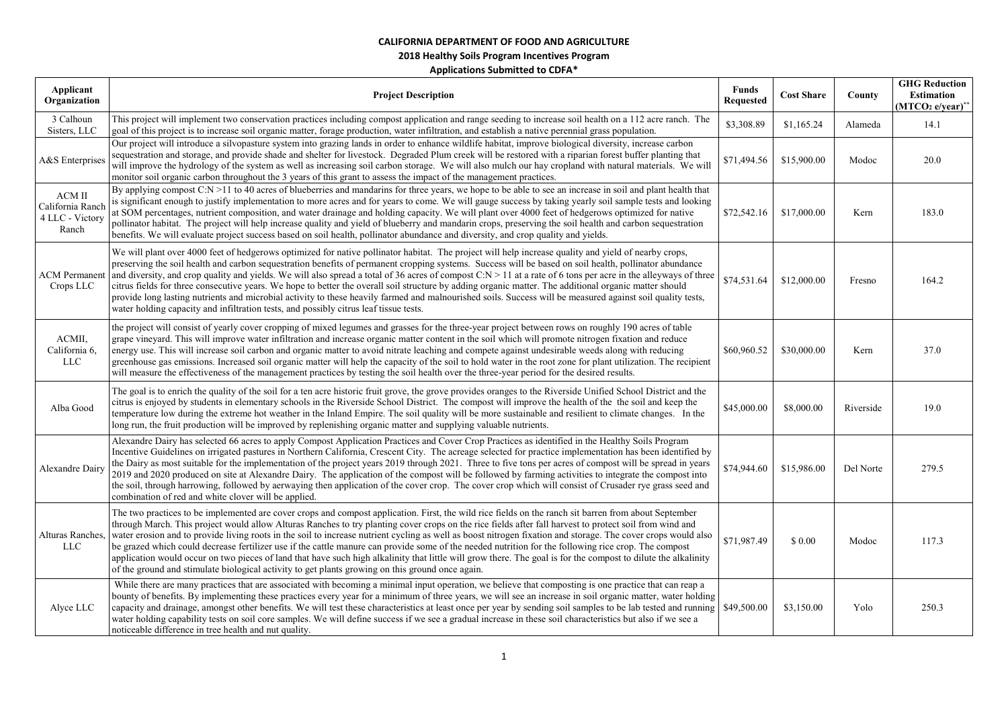## **2018 Healthy Soils Program Incentives Program**

| Applicant<br>Organization                                     | <b>Project Description</b>                                                                                                                                                                                                                                                                                                                                                                                                                                                                                                                                                                                                                                                                                                                                                                                                                                                                                      | <b>Funds</b><br><b>Requested</b> | <b>Cost Share</b> | County    | <b>GHG Reduction</b><br><b>Estimation</b><br>$(MTCO2 e/year)**$ |
|---------------------------------------------------------------|-----------------------------------------------------------------------------------------------------------------------------------------------------------------------------------------------------------------------------------------------------------------------------------------------------------------------------------------------------------------------------------------------------------------------------------------------------------------------------------------------------------------------------------------------------------------------------------------------------------------------------------------------------------------------------------------------------------------------------------------------------------------------------------------------------------------------------------------------------------------------------------------------------------------|----------------------------------|-------------------|-----------|-----------------------------------------------------------------|
| 3 Calhoun<br>Sisters, LLC                                     | This project will implement two conservation practices including compost application and range seeding to increase soil health on a 112 acre ranch. The<br>goal of this project is to increase soil organic matter, forage production, water infiltration, and establish a native perennial grass population.                                                                                                                                                                                                                                                                                                                                                                                                                                                                                                                                                                                                   | \$3,308.89                       | \$1,165.24        | Alameda   | 14.1                                                            |
| A&S Enterprises                                               | Our project will introduce a silvopasture system into grazing lands in order to enhance wildlife habitat, improve biological diversity, increase carbon<br>sequestration and storage, and provide shade and shelter for livestock. Degraded Plum creek will be restored with a riparian forest buffer planting that<br>will improve the hydrology of the system as well as increasing soil carbon storage. We will also mulch our hay cropland with natural materials. We will<br>monitor soil organic carbon throughout the 3 years of this grant to assess the impact of the management practices.                                                                                                                                                                                                                                                                                                            | \$71,494.56                      | \$15,900.00       | Modoc     | 20.0                                                            |
| $\rm{ACM}$ II<br>California Ranch<br>4 LLC - Victory<br>Ranch | By applying compost C:N >11 to 40 acres of blueberries and mandarins for three years, we hope to be able to see an increase in soil and plant health that<br>is significant enough to justify implementation to more acres and for years to come. We will gauge success by taking yearly soil sample tests and looking<br>at SOM percentages, nutrient composition, and water drainage and holding capacity. We will plant over 4000 feet of hedgerows optimized for native<br>pollinator habitat. The project will help increase quality and yield of blueberry and mandarin crops, preserving the soil health and carbon sequestration<br>benefits. We will evaluate project success based on soil health, pollinator abundance and diversity, and crop quality and yields.                                                                                                                                   | \$72,542.16                      | \$17,000.00       | Kern      | 183.0                                                           |
| <b>ACM Permanent</b><br>Crops LLC                             | We will plant over 4000 feet of hedgerows optimized for native pollinator habitat. The project will help increase quality and yield of nearby crops,<br>preserving the soil health and carbon sequestration benefits of permanent cropping systems. Success will be based on soil health, pollinator abundance<br>and diversity, and crop quality and yields. We will also spread a total of 36 acres of compost C:N > 11 at a rate of 6 tons per acre in the alleyways of three<br>citrus fields for three consecutive years. We hope to better the overall soil structure by adding organic matter. The additional organic matter should<br>provide long lasting nutrients and microbial activity to these heavily farmed and malnourished soils. Success will be measured against soil quality tests,<br>water holding capacity and infiltration tests, and possibly citrus leaf tissue tests.               | \$74,531.64                      | \$12,000.00       | Fresno    | 164.2                                                           |
| ACMII,<br>California 6,<br>LLC                                | the project will consist of yearly cover cropping of mixed legumes and grasses for the three-year project between rows on roughly 190 acres of table<br>grape vineyard. This will improve water infiltration and increase organic matter content in the soil which will promote nitrogen fixation and reduce<br>energy use. This will increase soil carbon and organic matter to avoid nitrate leaching and compete against undesirable weeds along with reducing<br>greenhouse gas emissions. Increased soil organic matter will help the capacity of the soil to hold water in the root zone for plant utilization. The recipient<br>will measure the effectiveness of the management practices by testing the soil health over the three-year period for the desired results.                                                                                                                                | \$60,960.52                      | \$30,000.00       | Kern      | 37.0                                                            |
| Alba Good                                                     | The goal is to enrich the quality of the soil for a ten acre historic fruit grove, the grove provides oranges to the Riverside Unified School District and the<br>citrus is enjoyed by students in elementary schools in the Riverside School District. The compost will improve the health of the the soil and keep the<br>temperature low during the extreme hot weather in the Inland Empire. The soil quality will be more sustainable and resilient to climate changes. In the<br>long run, the fruit production will be improved by replenishing organic matter and supplying valuable nutrients.                                                                                                                                                                                                                                                                                                         | \$45,000.00                      | \$8,000.00        | Riverside | 19.0                                                            |
| <b>Alexandre Dairy</b>                                        | Alexandre Dairy has selected 66 acres to apply Compost Application Practices and Cover Crop Practices as identified in the Healthy Soils Program<br>Incentive Guidelines on irrigated pastures in Northern California, Crescent City. The acreage selected for practice implementation has been identified by<br>the Dairy as most suitable for the implementation of the project years 2019 through 2021. Three to five tons per acres of compost will be spread in years<br>2019 and 2020 produced on site at Alexandre Dairy. The application of the compost will be followed by farming activities to integrate the compost into<br>the soil, through harrowing, followed by aerwaying then application of the cover crop. The cover crop which will consist of Crusader rye grass seed and<br>combination of red and white clover will be applied.                                                         | \$74,944.60                      | \$15,986.00       | Del Norte | 279.5                                                           |
| Alturas Ranches,<br>LLC                                       | The two practices to be implemented are cover crops and compost application. First, the wild rice fields on the ranch sit barren from about September<br>through March. This project would allow Alturas Ranches to try planting cover crops on the rice fields after fall harvest to protect soil from wind and<br>water erosion and to provide living roots in the soil to increase nutrient cycling as well as boost nitrogen fixation and storage. The cover crops would also<br>be grazed which could decrease fertilizer use if the cattle manure can provide some of the needed nutrition for the following rice crop. The compost<br>application would occur on two pieces of land that have such high alkalinity that little will grow there. The goal is for the compost to dilute the alkalinity<br>of the ground and stimulate biological activity to get plants growing on this ground once again. | \$71,987.49                      | \$0.00            | Modoc     | 117.3                                                           |
| Alyce LLC                                                     | While there are many practices that are associated with becoming a minimal input operation, we believe that composting is one practice that can reap a<br>bounty of benefits. By implementing these practices every year for a minimum of three years, we will see an increase in soil organic matter, water holding<br>capacity and drainage, amongst other benefits. We will test these characteristics at least once per year by sending soil samples to be lab tested and running \$49,500.00<br>water holding capability tests on soil core samples. We will define success if we see a gradual increase in these soil characteristics but also if we see a<br>noticeable difference in tree health and nut quality.                                                                                                                                                                                       |                                  | \$3,150.00        | Yolo      | 250.3                                                           |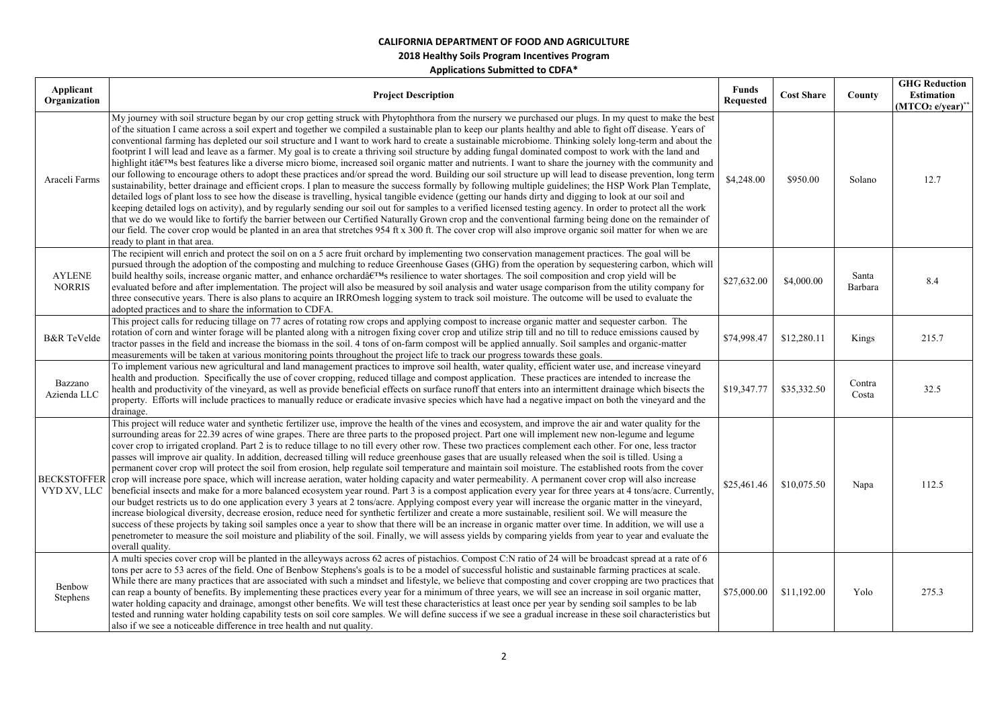| Applicant<br>Organization      | <b>Project Description</b>                                                                                                                                                                                                                                                                                                                                                                                                                                                                                                                                                                                                                                                                                                                                                                                                                                                                                                                                                                                                                                                                                                                                                                                                                                                                                                                                                                                                                                                                                                                                                                                                                                                                                                                                                                                                                             | <b>Funds</b><br><b>Requested</b> | <b>Cost Share</b> | County           | <b>GHG Reduction</b><br><b>Estimation</b><br>$(MTCO2 e/year)*$ |
|--------------------------------|--------------------------------------------------------------------------------------------------------------------------------------------------------------------------------------------------------------------------------------------------------------------------------------------------------------------------------------------------------------------------------------------------------------------------------------------------------------------------------------------------------------------------------------------------------------------------------------------------------------------------------------------------------------------------------------------------------------------------------------------------------------------------------------------------------------------------------------------------------------------------------------------------------------------------------------------------------------------------------------------------------------------------------------------------------------------------------------------------------------------------------------------------------------------------------------------------------------------------------------------------------------------------------------------------------------------------------------------------------------------------------------------------------------------------------------------------------------------------------------------------------------------------------------------------------------------------------------------------------------------------------------------------------------------------------------------------------------------------------------------------------------------------------------------------------------------------------------------------------|----------------------------------|-------------------|------------------|----------------------------------------------------------------|
| Araceli Farms                  | My journey with soil structure began by our crop getting struck with Phytophthora from the nursery we purchased our plugs. In my quest to make the best<br>of the situation I came across a soil expert and together we compiled a sustainable plan to keep our plants healthy and able to fight off disease. Years of<br>conventional farming has depleted our soil structure and I want to work hard to create a sustainable microbiome. Thinking solely long-term and about the<br>footprint I will lead and leave as a farmer. My goal is to create a thriving soil structure by adding fungal dominated compost to work with the land and<br>highlight itâ $\mathbf{f}^{\text{TM}}$ s best features like a diverse micro biome, increased soil organic matter and nutrients. I want to share the journey with the community and<br>our following to encourage others to adopt these practices and/or spread the word. Building our soil structure up will lead to disease prevention, long term<br>sustainability, better drainage and efficient crops. I plan to measure the success formally by following multiple guidelines; the HSP Work Plan Template,<br>detailed logs of plant loss to see how the disease is travelling, hysical tangible evidence (getting our hands dirty and digging to look at our soil and<br>keeping detailed logs on activity), and by regularly sending our soil out for samples to a verified licensed testing agency. In order to protect all the work<br>that we do we would like to fortify the barrier between our Certified Naturally Grown crop and the conventional farming being done on the remainder of<br>our field. The cover crop would be planted in an area that stretches 954 ft x 300 ft. The cover crop will also improve organic soil matter for when we are<br>ready to plant in that area. | \$4,248.00                       | \$950.00          | Solano           | 12.7                                                           |
| <b>AYLENE</b><br><b>NORRIS</b> | The recipient will enrich and protect the soil on on a 5 acre fruit orchard by implementing two conservation management practices. The goal will be<br>pursued through the adoption of the composting and mulching to reduce Greenhouse Gases (GHG) from the operation by sequestering carbon, which will<br>build healthy soils, increase organic matter, and enhance orchard's resilience to water shortages. The soil composition and crop yield will be<br>evaluated before and after implementation. The project will also be measured by soil analysis and water usage comparison from the utility company for<br>three consecutive years. There is also plans to acquire an IRROmesh logging system to track soil moisture. The outcome will be used to evaluate the<br>adopted practices and to share the information to CDFA.                                                                                                                                                                                                                                                                                                                                                                                                                                                                                                                                                                                                                                                                                                                                                                                                                                                                                                                                                                                                                 | \$27,632.00                      | \$4,000.00        | Santa<br>Barbara | 8.4                                                            |
| <b>B&amp;R</b> TeVelde         | This project calls for reducing tillage on 77 acres of rotating row crops and applying compost to increase organic matter and sequester carbon. The<br>rotation of corn and winter forage will be planted along with a nitrogen fixing cover crop and utilize strip till and no till to reduce emissions caused by<br>tractor passes in the field and increase the biomass in the soil. 4 tons of on-farm compost will be applied annually. Soil samples and organic-matter<br>measurements will be taken at various monitoring points throughout the project life to track our progress towards these goals.                                                                                                                                                                                                                                                                                                                                                                                                                                                                                                                                                                                                                                                                                                                                                                                                                                                                                                                                                                                                                                                                                                                                                                                                                                          | \$74,998.47                      | \$12,280.11       | Kings            | 215.7                                                          |
| Bazzano<br>Azienda LLC         | To implement various new agricultural and land management practices to improve soil health, water quality, efficient water use, and increase vineyard<br>health and production. Specifically the use of cover cropping, reduced tillage and compost application. These practices are intended to increase the<br>health and productivity of the vineyard, as well as provide beneficial effects on surface runoff that enters into an intermittent drainage which bisects the<br>property. Efforts will include practices to manually reduce or eradicate invasive species which have had a negative impact on both the vineyard and the<br>drainage.                                                                                                                                                                                                                                                                                                                                                                                                                                                                                                                                                                                                                                                                                                                                                                                                                                                                                                                                                                                                                                                                                                                                                                                                  | \$19,347.77                      | \$35,332.50       | Contra<br>Costa  | 32.5                                                           |
| VYD XV, LLC                    | This project will reduce water and synthetic fertilizer use, improve the health of the vines and ecosystem, and improve the air and water quality for the<br>surrounding areas for 22.39 acres of wine grapes. There are three parts to the proposed project. Part one will implement new non-legume and legume<br>cover crop to irrigated cropland. Part 2 is to reduce tillage to no till every other row. These two practices complement each other. For one, less tractor<br>passes will improve air quality. In addition, decreased tilling will reduce greenhouse gases that are usually released when the soil is tilled. Using a<br>permanent cover crop will protect the soil from erosion, help regulate soil temperature and maintain soil moisture. The established roots from the cover<br>BECKSTOFFER crop will increase pore space, which will increase aeration, water holding capacity and water permeability. A permanent cover crop will also increase<br>beneficial insects and make for a more balanced ecosystem year round. Part 3 is a compost application every year for three years at 4 tons/acre. Currently,<br>our budget restricts us to do one application every 3 years at 2 tons/acre. Applying compost every year will increase the organic matter in the vineyard,<br>increase biological diversity, decrease erosion, reduce need for synthetic fertilizer and create a more sustainable, resilient soil. We will measure the<br>success of these projects by taking soil samples once a year to show that there will be an increase in organic matter over time. In addition, we will use a<br>penetrometer to measure the soil moisture and pliability of the soil. Finally, we will assess yields by comparing yields from year to year and evaluate the<br>overall quality.                                    | \$25,461.46                      | \$10,075.50       | Napa             | 112.5                                                          |
| Benbow<br>Stephens             | A multi species cover crop will be planted in the alleyways across 62 acres of pistachios. Compost C:N ratio of 24 will be broadcast spread at a rate of 6<br>tons per acre to 53 acres of the field. One of Benbow Stephens's goals is to be a model of successful holistic and sustainable farming practices at scale.<br>While there are many practices that are associated with such a mindset and lifestyle, we believe that composting and cover cropping are two practices that<br>can reap a bounty of benefits. By implementing these practices every year for a minimum of three years, we will see an increase in soil organic matter,<br>water holding capacity and drainage, amongst other benefits. We will test these characteristics at least once per year by sending soil samples to be lab<br>tested and running water holding capability tests on soil core samples. We will define success if we see a gradual increase in these soil characteristics but<br>also if we see a noticeable difference in tree health and nut quality.                                                                                                                                                                                                                                                                                                                                                                                                                                                                                                                                                                                                                                                                                                                                                                                               | \$75,000.00                      | \$11,192.00       | Yolo             | 275.3                                                          |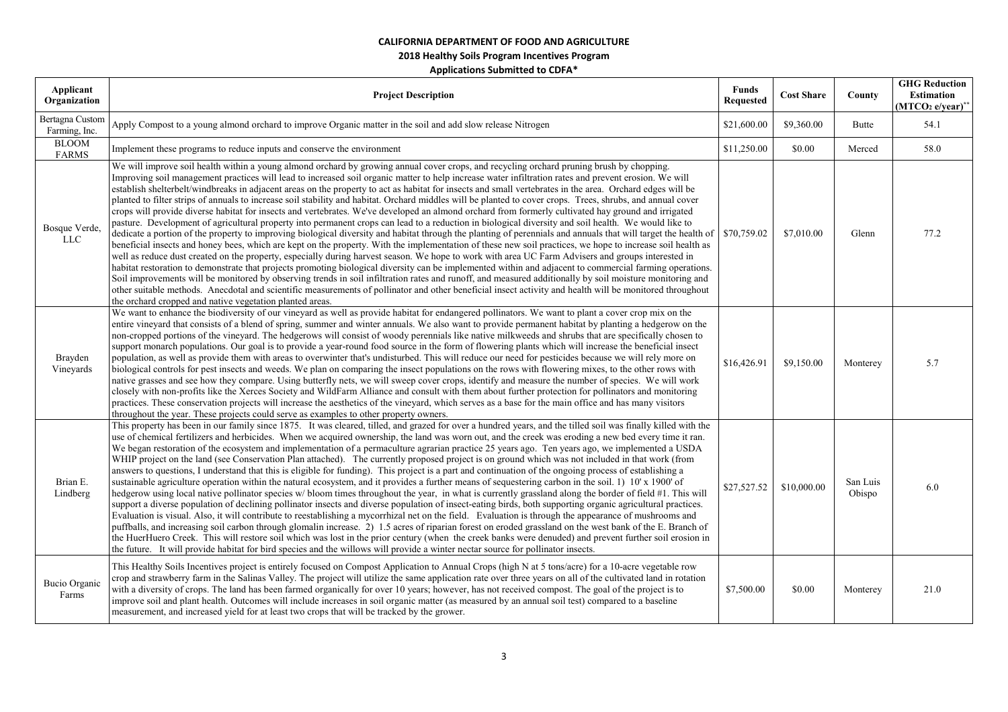**2018 Healthy Soils Program Incentives Program** 

| Applicant<br>Organization        | <b>Project Description</b>                                                                                                                                                                                                                                                                                                                                                                                                                                                                                                                                                                                                                                                                                                                                                                                                                                                                                                                                                                                                                                                                                                                                                                                                                                                                                                                                                                                                                                                                                                                                                                                                                                                                                                                                                                                                                                                                                                                                                          | Funds<br><b>Requested</b> | <b>Cost Share</b> | County             | <b>GHG Reduction</b><br>Estimation<br>$(MTCO2 e/year)^*$ |
|----------------------------------|-------------------------------------------------------------------------------------------------------------------------------------------------------------------------------------------------------------------------------------------------------------------------------------------------------------------------------------------------------------------------------------------------------------------------------------------------------------------------------------------------------------------------------------------------------------------------------------------------------------------------------------------------------------------------------------------------------------------------------------------------------------------------------------------------------------------------------------------------------------------------------------------------------------------------------------------------------------------------------------------------------------------------------------------------------------------------------------------------------------------------------------------------------------------------------------------------------------------------------------------------------------------------------------------------------------------------------------------------------------------------------------------------------------------------------------------------------------------------------------------------------------------------------------------------------------------------------------------------------------------------------------------------------------------------------------------------------------------------------------------------------------------------------------------------------------------------------------------------------------------------------------------------------------------------------------------------------------------------------------|---------------------------|-------------------|--------------------|----------------------------------------------------------|
| Bertagna Custom<br>Farming, Inc. | Apply Compost to a young almond orchard to improve Organic matter in the soil and add slow release Nitrogen                                                                                                                                                                                                                                                                                                                                                                                                                                                                                                                                                                                                                                                                                                                                                                                                                                                                                                                                                                                                                                                                                                                                                                                                                                                                                                                                                                                                                                                                                                                                                                                                                                                                                                                                                                                                                                                                         | \$21,600.00               | \$9,360.00        | Butte              | 54.1                                                     |
| <b>BLOOM</b><br><b>FARMS</b>     | Implement these programs to reduce inputs and conserve the environment                                                                                                                                                                                                                                                                                                                                                                                                                                                                                                                                                                                                                                                                                                                                                                                                                                                                                                                                                                                                                                                                                                                                                                                                                                                                                                                                                                                                                                                                                                                                                                                                                                                                                                                                                                                                                                                                                                              | \$11,250.00               | \$0.00            | Merced             | 58.0                                                     |
| Bosque Verde,<br><b>LLC</b>      | We will improve soil health within a young almond orchard by growing annual cover crops, and recycling orchard pruning brush by chopping.<br>Improving soil management practices will lead to increased soil organic matter to help increase water infiltration rates and prevent erosion. We will<br>establish shelterbelt/windbreaks in adjacent areas on the property to act as habitat for insects and small vertebrates in the area. Orchard edges will be<br>planted to filter strips of annuals to increase soil stability and habitat. Orchard middles will be planted to cover crops. Trees, shrubs, and annual cover<br>crops will provide diverse habitat for insects and vertebrates. We've developed an almond orchard from formerly cultivated hay ground and irrigated<br>pasture. Development of agricultural property into permanent crops can lead to a reduction in biological diversity and soil health. We would like to<br>dedicate a portion of the property to improving biological diversity and habitat through the planting of perennials and annuals that will target the health of<br>beneficial insects and honey bees, which are kept on the property. With the implementation of these new soil practices, we hope to increase soil health as<br>well as reduce dust created on the property, especially during harvest season. We hope to work with area UC Farm Advisers and groups interested in<br>habitat restoration to demonstrate that projects promoting biological diversity can be implemented within and adjacent to commercial farming operations.<br>Soil improvements will be monitored by observing trends in soil infiltration rates and runoff, and measured additionally by soil moisture monitoring and<br>other suitable methods. Anecdotal and scientific measurements of pollinator and other beneficial insect activity and health will be monitored throughout<br>the orchard cropped and native vegetation planted areas. | \$70,759.02               | \$7,010.00        | Glenn              | 77.2                                                     |
| Brayden<br>Vineyards             | We want to enhance the biodiversity of our vineyard as well as provide habitat for endangered pollinators. We want to plant a cover crop mix on the<br>entire vineyard that consists of a blend of spring, summer and winter annuals. We also want to provide permanent habitat by planting a hedgerow on the<br>non-cropped portions of the vineyard. The hedgerows will consist of woody perennials like native milkweeds and shrubs that are specifically chosen to<br>support monarch populations. Our goal is to provide a year-round food source in the form of flowering plants which will increase the beneficial insect<br>population, as well as provide them with areas to overwinter that's undisturbed. This will reduce our need for pesticides because we will rely more on<br>biological controls for pest insects and weeds. We plan on comparing the insect populations on the rows with flowering mixes, to the other rows with<br>native grasses and see how they compare. Using butterfly nets, we will sweep cover crops, identify and measure the number of species. We will work<br>closely with non-profits like the Xerces Society and WildFarm Alliance and consult with them about further protection for pollinators and monitoring<br>practices. These conservation projects will increase the aesthetics of the vineyard, which serves as a base for the main office and has many visitors<br>throughout the year. These projects could serve as examples to other property owners.                                                                                                                                                                                                                                                                                                                                                                                                                                                                  | \$16,426.91               | \$9,150.00        | Monterey           | 5.7                                                      |
| Brian E.<br>Lindberg             | This property has been in our family since 1875. It was cleared, tilled, and grazed for over a hundred years, and the tilled soil was finally killed with the<br>use of chemical fertilizers and herbicides. When we acquired ownership, the land was worn out, and the creek was eroding a new bed every time it ran.<br>We began restoration of the ecosystem and implementation of a permaculture agrarian practice 25 years ago. Ten years ago, we implemented a USDA<br>WHIP project on the land (see Conservation Plan attached). The currently proposed project is on ground which was not included in that work (from<br>answers to questions, I understand that this is eligible for funding). This project is a part and continuation of the ongoing process of establishing a<br>sustainable agriculture operation within the natural ecosystem, and it provides a further means of sequestering carbon in the soil. 1) 10' x 1900' of<br>hedgerow using local native pollinator species w/bloom times throughout the year, in what is currently grassland along the border of field #1. This will<br>support a diverse population of declining pollinator insects and diverse population of insect-eating birds, both supporting organic agricultural practices.<br>Evaluation is visual. Also, it will contribute to reestablishing a mycorrhizal net on the field. Evaluation is through the appearance of mushrooms and<br>puffballs, and increasing soil carbon through glomalin increase. 2) 1.5 acres of riparian forest on eroded grassland on the west bank of the E. Branch of<br>the HuerHuero Creek. This will restore soil which was lost in the prior century (when the creek banks were denuded) and prevent further soil erosion in<br>the future. It will provide habitat for bird species and the willows will provide a winter nectar source for pollinator insects.                                                                                  | \$27,527.52               | \$10,000.00       | San Luis<br>Obispo | 6.0                                                      |
| Bucio Organic<br>Farms           | This Healthy Soils Incentives project is entirely focused on Compost Application to Annual Crops (high N at 5 tons/acre) for a 10-acre vegetable row<br>crop and strawberry farm in the Salinas Valley. The project will utilize the same application rate over three years on all of the cultivated land in rotation<br>with a diversity of crops. The land has been farmed organically for over 10 years; however, has not received compost. The goal of the project is to<br>improve soil and plant health. Outcomes will include increases in soil organic matter (as measured by an annual soil test) compared to a baseline<br>measurement, and increased yield for at least two crops that will be tracked by the grower.                                                                                                                                                                                                                                                                                                                                                                                                                                                                                                                                                                                                                                                                                                                                                                                                                                                                                                                                                                                                                                                                                                                                                                                                                                                    | \$7,500.00                | \$0.00            | Monterey           | 21.0                                                     |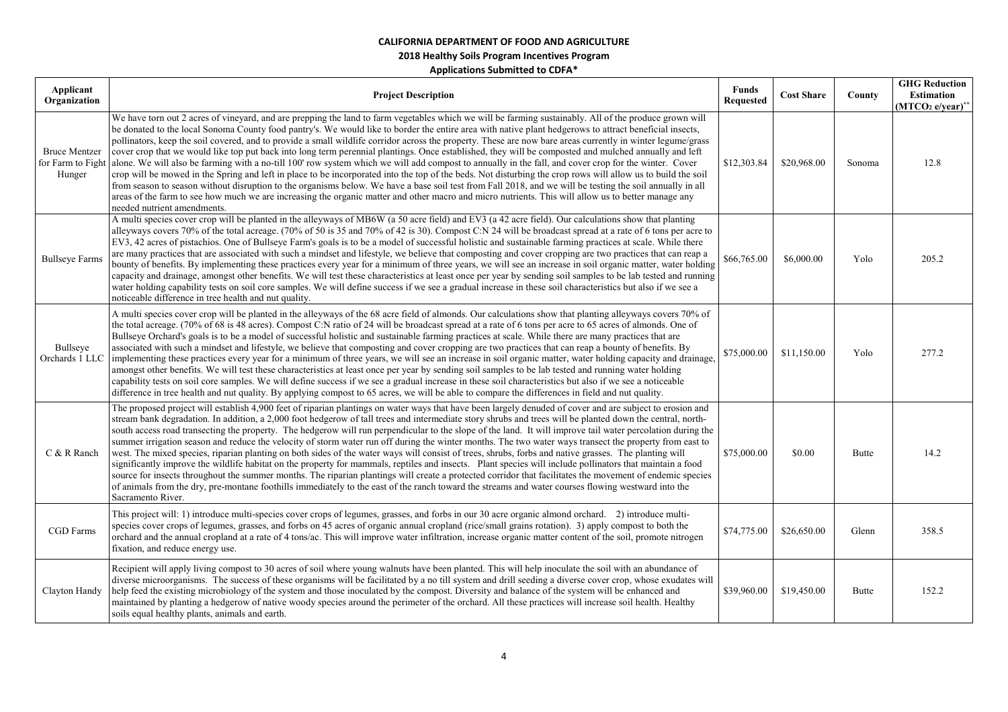| Applicant<br>Organization      | <b>Project Description</b>                                                                                                                                                                                                                                                                                                                                                                                                                                                                                                                                                                                                                                                                                                                                                                                                                                                                                                                                                                                                                                                                                                                                                                                                                                                                                                              | <b>Funds</b><br>Requested | <b>Cost Share</b> | County | <b>GHG Reduction</b><br><b>Estimation</b><br>$(MTCO2 e/year)*$ |
|--------------------------------|-----------------------------------------------------------------------------------------------------------------------------------------------------------------------------------------------------------------------------------------------------------------------------------------------------------------------------------------------------------------------------------------------------------------------------------------------------------------------------------------------------------------------------------------------------------------------------------------------------------------------------------------------------------------------------------------------------------------------------------------------------------------------------------------------------------------------------------------------------------------------------------------------------------------------------------------------------------------------------------------------------------------------------------------------------------------------------------------------------------------------------------------------------------------------------------------------------------------------------------------------------------------------------------------------------------------------------------------|---------------------------|-------------------|--------|----------------------------------------------------------------|
| <b>Bruce Mentzer</b><br>Hunger | We have torn out 2 acres of vineyard, and are prepping the land to farm vegetables which we will be farming sustainably. All of the produce grown will<br>be donated to the local Sonoma County food pantry's. We would like to border the entire area with native plant hedgerows to attract beneficial insects,<br>pollinators, keep the soil covered, and to provide a small wildlife corridor across the property. These are now bare areas currently in winter legume/grass<br>cover crop that we would like top put back into long term perennial plantings. Once established, they will be composted and mulched annually and left<br>for Farm to Fight alone. We will also be farming with a no-till 100' row system which we will add compost to annually in the fall, and cover crop for the winter. Cover<br>crop will be mowed in the Spring and left in place to be incorporated into the top of the beds. Not disturbing the crop rows will allow us to build the soil<br>from season to season without disruption to the organisms below. We have a base soil test from Fall 2018, and we will be testing the soil annually in all<br>areas of the farm to see how much we are increasing the organic matter and other macro and micro nutrients. This will allow us to better manage any<br>needed nutrient amendments. | \$12,303.84               | \$20,968.00       | Sonoma | 12.8                                                           |
| <b>Bullseye Farms</b>          | A multi species cover crop will be planted in the alleyways of MB6W (a 50 acre field) and EV3 (a 42 acre field). Our calculations show that planting<br>alleyways covers 70% of the total acreage. (70% of 50 is 35 and 70% of 42 is 30). Compost C:N 24 will be broadcast spread at a rate of 6 tons per acre to<br>EV3, 42 acres of pistachios. One of Bullseye Farm's goals is to be a model of successful holistic and sustainable farming practices at scale. While there<br>are many practices that are associated with such a mindset and lifestyle, we believe that composting and cover cropping are two practices that can reap a<br>bounty of benefits. By implementing these practices every year for a minimum of three years, we will see an increase in soil organic matter, water holding<br>capacity and drainage, amongst other benefits. We will test these characteristics at least once per year by sending soil samples to be lab tested and running<br>water holding capability tests on soil core samples. We will define success if we see a gradual increase in these soil characteristics but also if we see a<br>noticeable difference in tree health and nut quality.                                                                                                                                      | \$66,765.00               | \$6,000.00        | Yolo   | 205.2                                                          |
| Bullseye<br>Orchards 1 LLC     | A multi species cover crop will be planted in the alleyways of the 68 acre field of almonds. Our calculations show that planting alleyways covers 70% of<br>the total acreage. (70% of 68 is 48 acres). Compost C:N ratio of 24 will be broadcast spread at a rate of 6 tons per acre to 65 acres of almonds. One of<br>Bullseye Orchard's goals is to be a model of successful holistic and sustainable farming practices at scale. While there are many practices that are<br>associated with such a mindset and lifestyle, we believe that composting and cover cropping are two practices that can reap a bounty of benefits. By<br>implementing these practices every year for a minimum of three years, we will see an increase in soil organic matter, water holding capacity and drainage,<br>amongst other benefits. We will test these characteristics at least once per year by sending soil samples to be lab tested and running water holding<br>capability tests on soil core samples. We will define success if we see a gradual increase in these soil characteristics but also if we see a noticeable<br>difference in tree health and nut quality. By applying compost to 65 acres, we will be able to compare the differences in field and nut quality.                                                              | \$75,000.00               | \$11,150.00       | Yolo   | 277.2                                                          |
| C & R Ranch                    | The proposed project will establish 4,900 feet of riparian plantings on water ways that have been largely denuded of cover and are subject to erosion and<br>stream bank degradation. In addition, a 2,000 foot hedgerow of tall trees and intermediate story shrubs and trees will be planted down the central, north-<br>south access road transecting the property. The hedgerow will run perpendicular to the slope of the land. It will improve tail water percolation during the<br>summer irrigation season and reduce the velocity of storm water run off during the winter months. The two water ways transect the property from east to<br>west. The mixed species, riparian planting on both sides of the water ways will consist of trees, shrubs, forbs and native grasses. The planting will<br>significantly improve the wildlife habitat on the property for mammals, reptiles and insects. Plant species will include pollinators that maintain a food<br>source for insects throughout the summer months. The riparian plantings will create a protected corridor that facilitates the movement of endemic species<br>of animals from the dry, pre-montane foothills immediately to the east of the ranch toward the streams and water courses flowing westward into the<br>Sacramento River.                         | \$75,000.00               | \$0.00            | Butte  | 14.2                                                           |
| <b>CGD</b> Farms               | This project will: 1) introduce multi-species cover crops of legumes, grasses, and forbs in our 30 acre organic almond orchard. 2) introduce multi-<br>species cover crops of legumes, grasses, and forbs on 45 acres of organic annual cropland (rice/small grains rotation). 3) apply compost to both the<br>orchard and the annual cropland at a rate of 4 tons/ac. This will improve water infiltration, increase organic matter content of the soil, promote nitrogen<br>fixation, and reduce energy use.                                                                                                                                                                                                                                                                                                                                                                                                                                                                                                                                                                                                                                                                                                                                                                                                                          | \$74,775.00               | \$26,650.00       | Glenn  | 358.5                                                          |
| Clayton Handy                  | Recipient will apply living compost to 30 acres of soil where young walnuts have been planted. This will help inoculate the soil with an abundance of<br>diverse microorganisms. The success of these organisms will be facilitated by a no till system and drill seeding a diverse cover crop, whose exudates will<br>help feed the existing microbiology of the system and those inoculated by the compost. Diversity and balance of the system will be enhanced and<br>maintained by planting a hedgerow of native woody species around the perimeter of the orchard. All these practices will increase soil health. Healthy<br>soils equal healthy plants, animals and earth.                                                                                                                                                                                                                                                                                                                                                                                                                                                                                                                                                                                                                                                       | \$39,960.00               | \$19,450.00       | Butte  | 152.2                                                          |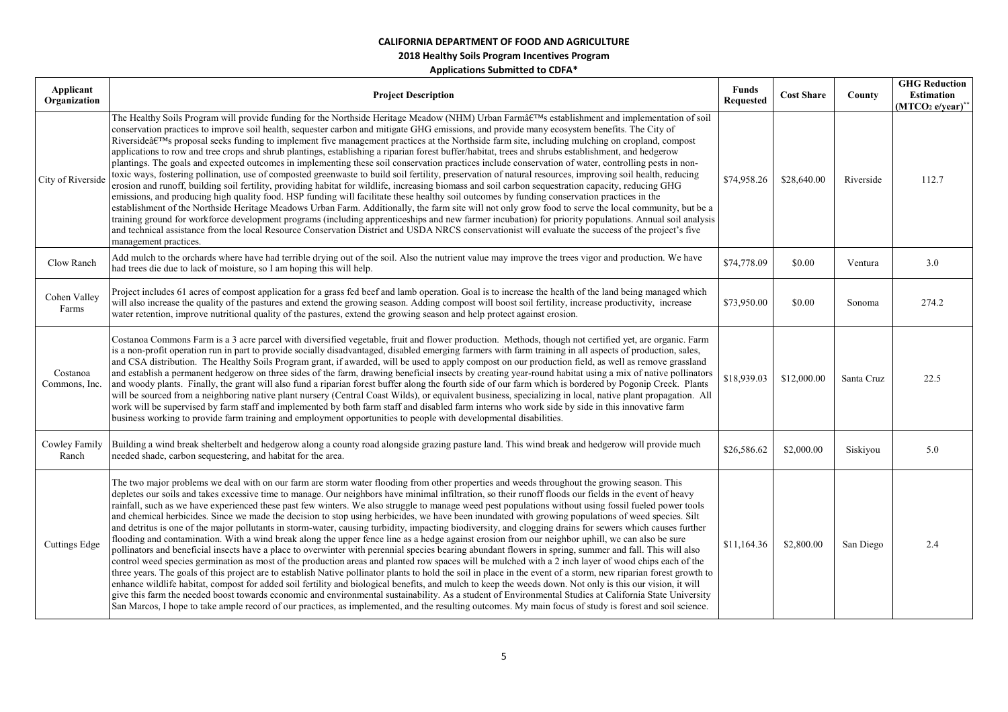| Applicant<br>Organization | <b>Project Description</b>                                                                                                                                                                                                                                                                                                                                                                                                                                                                                                                                                                                                                                                                                                                                                                                                                                                                                                                                                                                                                                                                                                                                                                                                                                                                                                                                                                                                                                                                                                                                                                                                                                                                                                                                                                                                                                                                                                 | <b>Funds</b><br><b>Requested</b> | <b>Cost Share</b> | County     | <b>GHG Reduction</b><br><b>Estimation</b><br>$(MTCO2 e/year)*$ |
|---------------------------|----------------------------------------------------------------------------------------------------------------------------------------------------------------------------------------------------------------------------------------------------------------------------------------------------------------------------------------------------------------------------------------------------------------------------------------------------------------------------------------------------------------------------------------------------------------------------------------------------------------------------------------------------------------------------------------------------------------------------------------------------------------------------------------------------------------------------------------------------------------------------------------------------------------------------------------------------------------------------------------------------------------------------------------------------------------------------------------------------------------------------------------------------------------------------------------------------------------------------------------------------------------------------------------------------------------------------------------------------------------------------------------------------------------------------------------------------------------------------------------------------------------------------------------------------------------------------------------------------------------------------------------------------------------------------------------------------------------------------------------------------------------------------------------------------------------------------------------------------------------------------------------------------------------------------|----------------------------------|-------------------|------------|----------------------------------------------------------------|
| City of Riverside         | The Healthy Soils Program will provide funding for the Northside Heritage Meadow (NHM) Urban Farm's establishment and implementation of soil<br>conservation practices to improve soil health, sequester carbon and mitigate GHG emissions, and provide many ecosystem benefits. The City of<br>Riverside's proposal seeks funding to implement five management practices at the Northside farm site, including mulching on cropland, compost<br>applications to row and tree crops and shrub plantings, establishing a riparian forest buffer/habitat, trees and shrubs establishment, and hedgerow<br>plantings. The goals and expected outcomes in implementing these soil conservation practices include conservation of water, controlling pests in non-<br>toxic ways, fostering pollination, use of composted greenwaste to build soil fertility, preservation of natural resources, improving soil health, reducing<br>erosion and runoff, building soil fertility, providing habitat for wildlife, increasing biomass and soil carbon sequestration capacity, reducing GHG<br>emissions, and producing high quality food. HSP funding will facilitate these healthy soil outcomes by funding conservation practices in the<br>establishment of the Northside Heritage Meadows Urban Farm. Additionally, the farm site will not only grow food to serve the local community, but be a<br>training ground for workforce development programs (including apprenticeships and new farmer incubation) for priority populations. Annual soil analysis<br>and technical assistance from the local Resource Conservation District and USDA NRCS conservationist will evaluate the success of the project's five<br>management practices.                                                                                                                                                                                  | \$74,958.26                      | \$28,640.00       | Riverside  | 112.7                                                          |
| Clow Ranch                | Add mulch to the orchards where have had terrible drying out of the soil. Also the nutrient value may improve the trees vigor and production. We have<br>had trees die due to lack of moisture, so I am hoping this will help.                                                                                                                                                                                                                                                                                                                                                                                                                                                                                                                                                                                                                                                                                                                                                                                                                                                                                                                                                                                                                                                                                                                                                                                                                                                                                                                                                                                                                                                                                                                                                                                                                                                                                             | \$74,778.09                      | \$0.00            | Ventura    | 3.0                                                            |
| Cohen Valley<br>Farms     | Project includes 61 acres of compost application for a grass fed beef and lamb operation. Goal is to increase the health of the land being managed which<br>will also increase the quality of the pastures and extend the growing season. Adding compost will boost soil fertility, increase productivity, increase<br>water retention, improve nutritional quality of the pastures, extend the growing season and help protect against erosion.                                                                                                                                                                                                                                                                                                                                                                                                                                                                                                                                                                                                                                                                                                                                                                                                                                                                                                                                                                                                                                                                                                                                                                                                                                                                                                                                                                                                                                                                           | \$73,950.00                      | \$0.00            | Sonoma     | 274.2                                                          |
| Costanoa<br>Commons, Inc. | Costanoa Commons Farm is a 3 acre parcel with diversified vegetable, fruit and flower production. Methods, though not certified yet, are organic. Farm<br>is a non-profit operation run in part to provide socially disadvantaged, disabled emerging farmers with farm training in all aspects of production, sales,<br>and CSA distribution. The Healthy Soils Program grant, if awarded, will be used to apply compost on our production field, as well as remove grassland<br>and establish a permanent hedgerow on three sides of the farm, drawing beneficial insects by creating year-round habitat using a mix of native pollinators<br>and woody plants. Finally, the grant will also fund a riparian forest buffer along the fourth side of our farm which is bordered by Pogonip Creek. Plants<br>will be sourced from a neighboring native plant nursery (Central Coast Wilds), or equivalent business, specializing in local, native plant propagation. All<br>work will be supervised by farm staff and implemented by both farm staff and disabled farm interns who work side by side in this innovative farm<br>business working to provide farm training and employment opportunities to people with developmental disabilities.                                                                                                                                                                                                                                                                                                                                                                                                                                                                                                                                                                                                                                                                           | \$18,939.03                      | \$12,000.00       | Santa Cruz | 22.5                                                           |
| Cowley Family<br>Ranch    | Building a wind break shelterbelt and hedgerow along a county road alongside grazing pasture land. This wind break and hedgerow will provide much<br>needed shade, carbon sequestering, and habitat for the area.                                                                                                                                                                                                                                                                                                                                                                                                                                                                                                                                                                                                                                                                                                                                                                                                                                                                                                                                                                                                                                                                                                                                                                                                                                                                                                                                                                                                                                                                                                                                                                                                                                                                                                          | \$26,586.62                      | \$2,000.00        | Siskiyou   | 5.0                                                            |
| <b>Cuttings Edge</b>      | The two major problems we deal with on our farm are storm water flooding from other properties and weeds throughout the growing season. This<br>depletes our soils and takes excessive time to manage. Our neighbors have minimal infiltration, so their runoff floods our fields in the event of heavy<br>rainfall, such as we have experienced these past few winters. We also struggle to manage weed pest populations without using fossil fueled power tools<br>and chemical herbicides. Since we made the decision to stop using herbicides, we have been inundated with growing populations of weed species. Silt<br>and detritus is one of the major pollutants in storm-water, causing turbidity, impacting biodiversity, and clogging drains for sewers which causes further<br>flooding and contamination. With a wind break along the upper fence line as a hedge against erosion from our neighbor uphill, we can also be sure<br>pollinators and beneficial insects have a place to overwinter with perennial species bearing abundant flowers in spring, summer and fall. This will also<br>control weed species germination as most of the production areas and planted row spaces will be mulched with a 2 inch layer of wood chips each of the<br>three years. The goals of this project are to establish Native pollinator plants to hold the soil in place in the event of a storm, new riparian forest growth to<br>enhance wildlife habitat, compost for added soil fertility and biological benefits, and mulch to keep the weeds down. Not only is this our vision, it will<br>give this farm the needed boost towards economic and environmental sustainability. As a student of Environmental Studies at California State University<br>San Marcos, I hope to take ample record of our practices, as implemented, and the resulting outcomes. My main focus of study is forest and soil science. | \$11,164.36                      | \$2,800.00        | San Diego  | 2.4                                                            |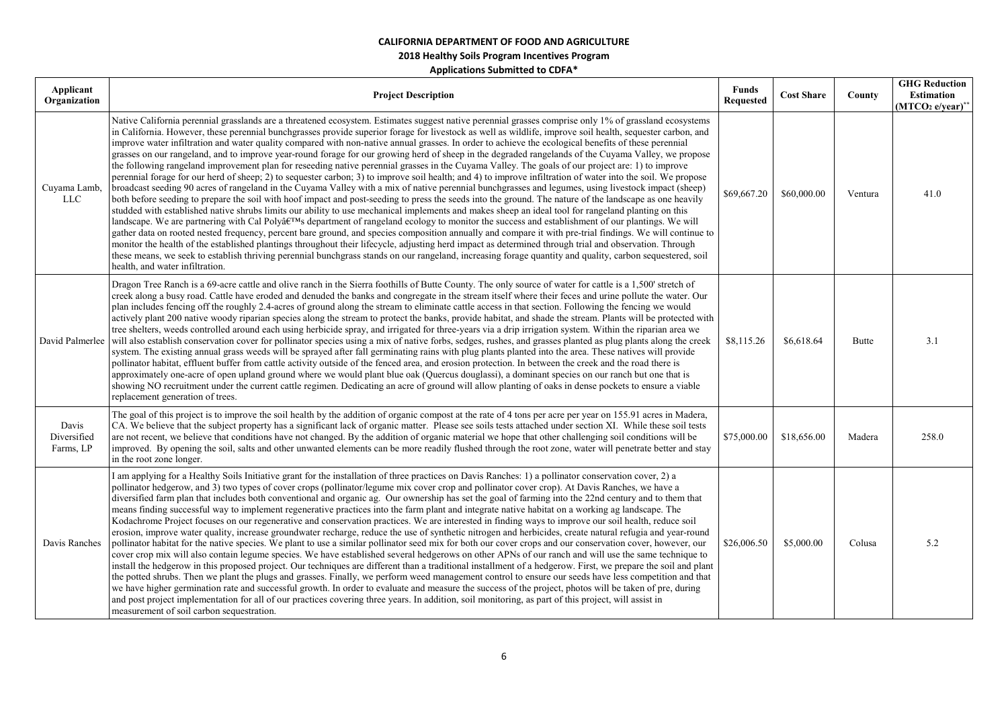| Applicant<br>Organization         | <b>Project Description</b>                                                                                                                                                                                                                                                                                                                                                                                                                                                                                                                                                                                                                                                                                                                                                                                                                                                                                                                                                                                                                                                                                                                                                                                                                                                                                                                                                                                                                                                                                                                                                                                                                                                                                                                                                                                                                                                                                                                                                                                                                                                                                     | <b>Funds</b><br><b>Requested</b> | <b>Cost Share</b> | County       | <b>GHG Reduction</b><br>Estimation<br>$(MTCO2 e/year)**$ |
|-----------------------------------|----------------------------------------------------------------------------------------------------------------------------------------------------------------------------------------------------------------------------------------------------------------------------------------------------------------------------------------------------------------------------------------------------------------------------------------------------------------------------------------------------------------------------------------------------------------------------------------------------------------------------------------------------------------------------------------------------------------------------------------------------------------------------------------------------------------------------------------------------------------------------------------------------------------------------------------------------------------------------------------------------------------------------------------------------------------------------------------------------------------------------------------------------------------------------------------------------------------------------------------------------------------------------------------------------------------------------------------------------------------------------------------------------------------------------------------------------------------------------------------------------------------------------------------------------------------------------------------------------------------------------------------------------------------------------------------------------------------------------------------------------------------------------------------------------------------------------------------------------------------------------------------------------------------------------------------------------------------------------------------------------------------------------------------------------------------------------------------------------------------|----------------------------------|-------------------|--------------|----------------------------------------------------------|
| Cuyama Lamb,<br><b>LLC</b>        | Native California perennial grasslands are a threatened ecosystem. Estimates suggest native perennial grasses comprise only 1% of grassland ecosystems<br>in California. However, these perennial bunchgrasses provide superior forage for livestock as well as wildlife, improve soil health, sequester carbon, and<br>improve water infiltration and water quality compared with non-native annual grasses. In order to achieve the ecological benefits of these perennial<br>grasses on our rangeland, and to improve year-round forage for our growing herd of sheep in the degraded rangelands of the Cuyama Valley, we propose<br>the following rangeland improvement plan for reseeding native perennial grasses in the Cuyama Valley. The goals of our project are: 1) to improve<br>perennial forage for our herd of sheep; 2) to sequester carbon; 3) to improve soil health; and 4) to improve infiltration of water into the soil. We propose<br>broadcast seeding 90 acres of rangeland in the Cuyama Valley with a mix of native perennial bunchgrasses and legumes, using livestock impact (sheep)<br>both before seeding to prepare the soil with hoof impact and post-seeding to press the seeds into the ground. The nature of the landscape as one heavily<br>studded with established native shrubs limits our ability to use mechanical implements and makes sheep an ideal tool for rangeland planting on this<br>landscape. We are partnering with Cal Poly's department of rangeland ecology to monitor the success and establishment of our plantings. We will<br>gather data on rooted nested frequency, percent bare ground, and species composition annually and compare it with pre-trial findings. We will continue to<br>monitor the health of the established plantings throughout their lifecycle, adjusting herd impact as determined through trial and observation. Through<br>these means, we seek to establish thriving perennial bunchgrass stands on our rangeland, increasing forage quantity and quality, carbon sequestered, soil<br>health, and water infiltration. | \$69,667.20                      | \$60,000.00       | Ventura      | 41.0                                                     |
|                                   | Dragon Tree Ranch is a 69-acre cattle and olive ranch in the Sierra foothills of Butte County. The only source of water for cattle is a 1,500' stretch of<br>creek along a busy road. Cattle have eroded and denuded the banks and congregate in the stream itself where their feces and urine pollute the water. Our<br>plan includes fencing off the roughly 2.4-acres of ground along the stream to eliminate cattle access in that section. Following the fencing we would<br>actively plant 200 native woody riparian species along the stream to protect the banks, provide habitat, and shade the stream. Plants will be protected with<br>tree shelters, weeds controlled around each using herbicide spray, and irrigated for three-years via a drip irrigation system. Within the riparian area we<br>David Palmerlee will also establish conservation cover for pollinator species using a mix of native forbs, sedges, rushes, and grasses planted as plug plants along the creek<br>system. The existing annual grass weeds will be sprayed after fall germinating rains with plug plants planted into the area. These natives will provide<br>pollinator habitat, effluent buffer from cattle activity outside of the fenced area, and erosion protection. In between the creek and the road there is<br>approximately one-acre of open upland ground where we would plant blue oak (Quercus douglassi), a dominant species on our ranch but one that is<br>showing NO recruitment under the current cattle regimen. Dedicating an acre of ground will allow planting of oaks in dense pockets to ensure a viable<br>replacement generation of trees.                                                                                                                                                                                                                                                                                                                                                                                                                                            | \$8,115.26                       | \$6,618.64        | <b>Butte</b> | 3.1                                                      |
| Davis<br>Diversified<br>Farms, LP | The goal of this project is to improve the soil health by the addition of organic compost at the rate of 4 tons per acre per year on 155.91 acres in Madera,<br>CA. We believe that the subject property has a significant lack of organic matter. Please see soils tests attached under section XI. While these soil tests<br>are not recent, we believe that conditions have not changed. By the addition of organic material we hope that other challenging soil conditions will be<br>improved. By opening the soil, salts and other unwanted elements can be more readily flushed through the root zone, water will penetrate better and stay<br>in the root zone longer.                                                                                                                                                                                                                                                                                                                                                                                                                                                                                                                                                                                                                                                                                                                                                                                                                                                                                                                                                                                                                                                                                                                                                                                                                                                                                                                                                                                                                                 | \$75,000.00                      | \$18,656.00       | Madera       | 258.0                                                    |
| Davis Ranches                     | I am applying for a Healthy Soils Initiative grant for the installation of three practices on Davis Ranches: 1) a pollinator conservation cover, 2) a<br>pollinator hedgerow, and 3) two types of cover crops (pollinator/legume mix cover crop and pollinator cover crop). At Davis Ranches, we have a<br>diversified farm plan that includes both conventional and organic ag. Our ownership has set the goal of farming into the 22nd century and to them that<br>means finding successful way to implement regenerative practices into the farm plant and integrate native habitat on a working ag landscape. The<br>Kodachrome Project focuses on our regenerative and conservation practices. We are interested in finding ways to improve our soil health, reduce soil<br>erosion, improve water quality, increase groundwater recharge, reduce the use of synthetic nitrogen and herbicides, create natural refugia and year-round<br>pollinator habitat for the native species. We plant to use a similar pollinator seed mix for both our cover crops and our conservation cover, however, our<br>cover crop mix will also contain legume species. We have established several hedgerows on other APNs of our ranch and will use the same technique to<br>install the hedgerow in this proposed project. Our techniques are different than a traditional installment of a hedgerow. First, we prepare the soil and plant<br>the potted shrubs. Then we plant the plugs and grasses. Finally, we perform weed management control to ensure our seeds have less competition and that<br>we have higher germination rate and successful growth. In order to evaluate and measure the success of the project, photos will be taken of pre, during<br>and post project implementation for all of our practices covering three years. In addition, soil monitoring, as part of this project, will assist in<br>measurement of soil carbon sequestration.                                                                                                                                                   | \$26,006.50                      | \$5,000.00        | Colusa       | 5.2                                                      |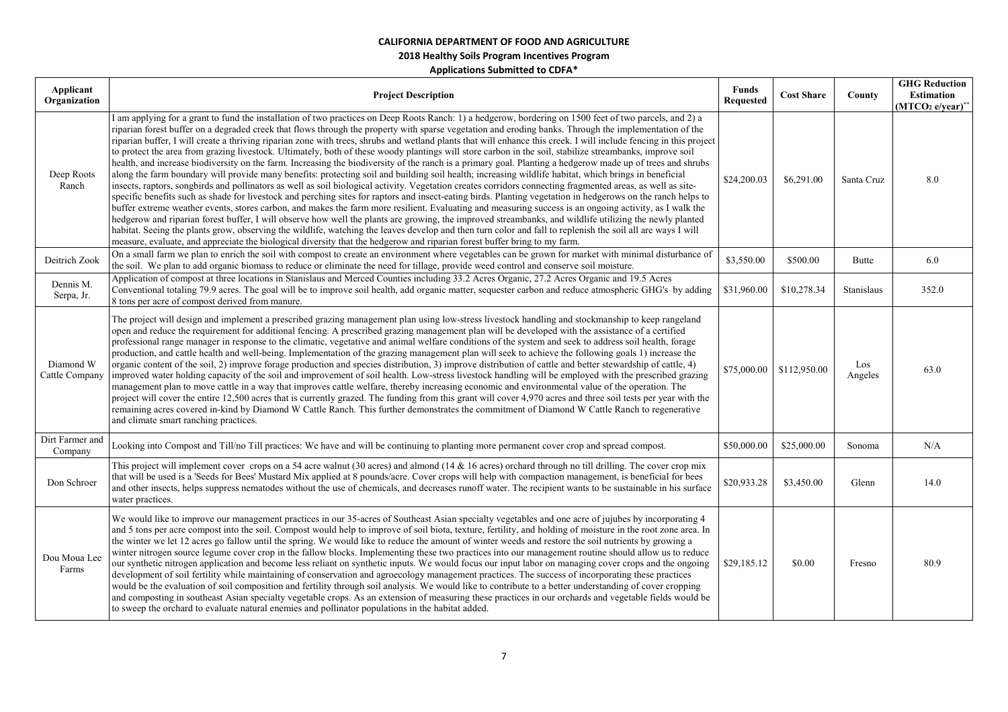| Applicant<br>Organization   | <b>Project Description</b>                                                                                                                                                                                                                                                                                                                                                                                                                                                                                                                                                                                                                                                                                                                                                                                                                                                                                                                                                                                                                                                                                                                                                                                                                                                                                                                                                                                                                                                                                                                                                                                                                                                                                                                                                                                                                                                                                                  | <b>Funds</b><br><b>Requested</b> | <b>Cost Share</b> | County         | <b>GHG Reduction</b><br><b>Estimation</b><br>$(MTCO2 e/year)*$ |
|-----------------------------|-----------------------------------------------------------------------------------------------------------------------------------------------------------------------------------------------------------------------------------------------------------------------------------------------------------------------------------------------------------------------------------------------------------------------------------------------------------------------------------------------------------------------------------------------------------------------------------------------------------------------------------------------------------------------------------------------------------------------------------------------------------------------------------------------------------------------------------------------------------------------------------------------------------------------------------------------------------------------------------------------------------------------------------------------------------------------------------------------------------------------------------------------------------------------------------------------------------------------------------------------------------------------------------------------------------------------------------------------------------------------------------------------------------------------------------------------------------------------------------------------------------------------------------------------------------------------------------------------------------------------------------------------------------------------------------------------------------------------------------------------------------------------------------------------------------------------------------------------------------------------------------------------------------------------------|----------------------------------|-------------------|----------------|----------------------------------------------------------------|
| Deep Roots<br>Ranch         | I am applying for a grant to fund the installation of two practices on Deep Roots Ranch: 1) a hedgerow, bordering on 1500 feet of two parcels, and 2) a<br>riparian forest buffer on a degraded creek that flows through the property with sparse vegetation and eroding banks. Through the implementation of the<br>riparian buffer, I will create a thriving riparian zone with trees, shrubs and wetland plants that will enhance this creek. I will include fencing in this project<br>to protect the area from grazing livestock. Ultimately, both of these woody plantings will store carbon in the soil, stabilize streambanks, improve soil<br>health, and increase biodiversity on the farm. Increasing the biodiversity of the ranch is a primary goal. Planting a hedgerow made up of trees and shrubs<br>along the farm boundary will provide many benefits: protecting soil and building soil health; increasing wildlife habitat, which brings in beneficial<br>insects, raptors, songbirds and pollinators as well as soil biological activity. Vegetation creates corridors connecting fragmented areas, as well as site-<br>specific benefits such as shade for livestock and perching sites for raptors and insect-eating birds. Planting vegetation in hedgerows on the ranch helps to<br>buffer extreme weather events, stores carbon, and makes the farm more resilient. Evaluating and measuring success is an ongoing activity, as I walk the<br>hedgerow and riparian forest buffer, I will observe how well the plants are growing, the improved streambanks, and wildlife utilizing the newly planted<br>habitat. Seeing the plants grow, observing the wildlife, watching the leaves develop and then turn color and fall to replenish the soil all are ways I will<br>measure, evaluate, and appreciate the biological diversity that the hedgerow and riparian forest buffer bring to my farm. | \$24,200.03                      | \$6,291.00        | Santa Cruz     | 8.0                                                            |
| Deitrich Zook               | On a small farm we plan to enrich the soil with compost to create an environment where vegetables can be grown for market with minimal disturbance of<br>the soil. We plan to add organic biomass to reduce or eliminate the need for tillage, provide weed control and conserve soil moisture.                                                                                                                                                                                                                                                                                                                                                                                                                                                                                                                                                                                                                                                                                                                                                                                                                                                                                                                                                                                                                                                                                                                                                                                                                                                                                                                                                                                                                                                                                                                                                                                                                             | \$3,550.00                       | \$500.00          | Butte          | 6.0                                                            |
| Dennis M.<br>Serpa, Jr.     | Application of compost at three locations in Stanislaus and Merced Counties including 33.2 Acres Organic, 27.2 Acres Organic and 19.5 Acres<br>Conventional totaling 79.9 acres. The goal will be to improve soil health, add organic matter, sequester carbon and reduce atmospheric GHG's by adding<br>8 tons per acre of compost derived from manure.                                                                                                                                                                                                                                                                                                                                                                                                                                                                                                                                                                                                                                                                                                                                                                                                                                                                                                                                                                                                                                                                                                                                                                                                                                                                                                                                                                                                                                                                                                                                                                    | \$31,960.00                      | \$10,278.34       | Stanislaus     | 352.0                                                          |
| Diamond W<br>Cattle Company | The project will design and implement a prescribed grazing management plan using low-stress livestock handling and stockmanship to keep rangeland<br>open and reduce the requirement for additional fencing. A prescribed grazing management plan will be developed with the assistance of a certified<br>professional range manager in response to the climatic, vegetative and animal welfare conditions of the system and seek to address soil health, forage<br>production, and cattle health and well-being. Implementation of the grazing management plan will seek to achieve the following goals 1) increase the<br>organic content of the soil, 2) improve forage production and species distribution, 3) improve distribution of cattle and better stewardship of cattle, 4)<br>improved water holding capacity of the soil and improvement of soil health. Low-stress livestock handling will be employed with the prescribed grazing<br>management plan to move cattle in a way that improves cattle welfare, thereby increasing economic and environmental value of the operation. The<br>project will cover the entire 12,500 acres that is currently grazed. The funding from this grant will cover 4,970 acres and three soil tests per year with the<br>remaining acres covered in-kind by Diamond W Cattle Ranch. This further demonstrates the commitment of Diamond W Cattle Ranch to regenerative<br>and climate smart ranching practices.                                                                                                                                                                                                                                                                                                                                                                                                                                                             | \$75,000.00                      | \$112,950.00      | Los<br>Angeles | 63.0                                                           |
| Dirt Farmer and<br>Company  | Looking into Compost and Till/no Till practices: We have and will be continuing to planting more permanent cover crop and spread compost.                                                                                                                                                                                                                                                                                                                                                                                                                                                                                                                                                                                                                                                                                                                                                                                                                                                                                                                                                                                                                                                                                                                                                                                                                                                                                                                                                                                                                                                                                                                                                                                                                                                                                                                                                                                   | \$50,000.00                      | \$25,000.00       | Sonoma         | N/A                                                            |
| Don Schroer                 | This project will implement cover crops on a 54 acre walnut (30 acres) and almond (14 $\&$ 16 acres) orchard through no till drilling. The cover crop mix<br>that will be used is a 'Seeds for Bees' Mustard Mix applied at 8 pounds/acre. Cover crops will help with compaction management, is beneficial for bees<br>and other insects, helps suppress nematodes without the use of chemicals, and decreases runoff water. The recipient wants to be sustainable in his surface<br>water practices.                                                                                                                                                                                                                                                                                                                                                                                                                                                                                                                                                                                                                                                                                                                                                                                                                                                                                                                                                                                                                                                                                                                                                                                                                                                                                                                                                                                                                       | \$20,933.28                      | \$3,450.00        | Glenn          | 14.0                                                           |
| Dou Moua Lee<br>Farms       | We would like to improve our management practices in our 35-acres of Southeast Asian specialty vegetables and one acre of jujubes by incorporating 4<br>and 5 tons per acre compost into the soil. Compost would help to improve of soil biota, texture, fertility, and holding of moisture in the root zone area. In<br>the winter we let 12 acres go fallow until the spring. We would like to reduce the amount of winter weeds and restore the soil nutrients by growing a<br>winter nitrogen source legume cover crop in the fallow blocks. Implementing these two practices into our management routine should allow us to reduce<br>our synthetic nitrogen application and become less reliant on synthetic inputs. We would focus our input labor on managing cover crops and the ongoing<br>development of soil fertility while maintaining of conservation and agroecology management practices. The success of incorporating these practices<br>would be the evaluation of soil composition and fertility through soil analysis. We would like to contribute to a better understanding of cover cropping<br>and composting in southeast Asian specialty vegetable crops. As an extension of measuring these practices in our orchards and vegetable fields would be<br>to sweep the orchard to evaluate natural enemies and pollinator populations in the habitat added.                                                                                                                                                                                                                                                                                                                                                                                                                                                                                                                                         | \$29,185.12                      | \$0.00            | Fresno         | 80.9                                                           |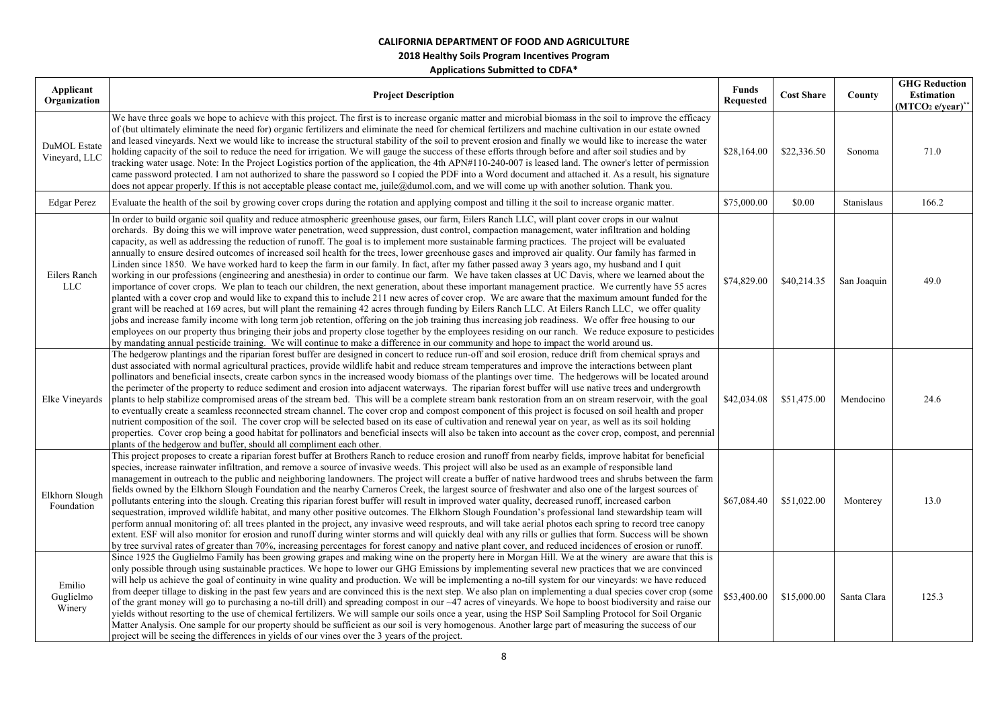| Applicant                            |                                                                                                                                                                                                                                                                                                                                                                                                                                                                                                                                                                                                                                                                                                                                                                                                                                                                                                                                                                                                                                                                                                                                                                                                                                                                                                                                                                                                                                                                                                                                                                                                                                                                                                                                                                                                                                                                      | <b>Funds</b>     |                   |             | <b>GHG Reduction</b>      |
|--------------------------------------|----------------------------------------------------------------------------------------------------------------------------------------------------------------------------------------------------------------------------------------------------------------------------------------------------------------------------------------------------------------------------------------------------------------------------------------------------------------------------------------------------------------------------------------------------------------------------------------------------------------------------------------------------------------------------------------------------------------------------------------------------------------------------------------------------------------------------------------------------------------------------------------------------------------------------------------------------------------------------------------------------------------------------------------------------------------------------------------------------------------------------------------------------------------------------------------------------------------------------------------------------------------------------------------------------------------------------------------------------------------------------------------------------------------------------------------------------------------------------------------------------------------------------------------------------------------------------------------------------------------------------------------------------------------------------------------------------------------------------------------------------------------------------------------------------------------------------------------------------------------------|------------------|-------------------|-------------|---------------------------|
| Organization                         | <b>Project Description</b>                                                                                                                                                                                                                                                                                                                                                                                                                                                                                                                                                                                                                                                                                                                                                                                                                                                                                                                                                                                                                                                                                                                                                                                                                                                                                                                                                                                                                                                                                                                                                                                                                                                                                                                                                                                                                                           | <b>Requested</b> | <b>Cost Share</b> | County      | Estimation                |
| <b>DuMOL</b> Estate<br>Vineyard, LLC | We have three goals we hope to achieve with this project. The first is to increase organic matter and microbial biomass in the soil to improve the efficacy<br>of (but ultimately eliminate the need for) organic fertilizers and eliminate the need for chemical fertilizers and machine cultivation in our estate owned<br>and leased vineyards. Next we would like to increase the structural stability of the soil to prevent erosion and finally we would like to increase the water<br>holding capacity of the soil to reduce the need for irrigation. We will gauge the success of these efforts through before and after soil studies and by<br>tracking water usage. Note: In the Project Logistics portion of the application, the 4th APN#110-240-007 is leased land. The owner's letter of permission<br>came password protected. I am not authorized to share the password so I copied the PDF into a Word document and attached it. As a result, his signature<br>does not appear properly. If this is not acceptable please contact me, juile@dumol.com, and we will come up with another solution. Thank you.                                                                                                                                                                                                                                                                                                                                                                                                                                                                                                                                                                                                                                                                                                                                        | \$28,164.00      | \$22,336.50       | Sonoma      | $(MTCO2 e/year)*$<br>71.0 |
| <b>Edgar Perez</b>                   | Evaluate the health of the soil by growing cover crops during the rotation and applying compost and tilling it the soil to increase organic matter.                                                                                                                                                                                                                                                                                                                                                                                                                                                                                                                                                                                                                                                                                                                                                                                                                                                                                                                                                                                                                                                                                                                                                                                                                                                                                                                                                                                                                                                                                                                                                                                                                                                                                                                  | \$75,000.00      | \$0.00            | Stanislaus  | 166.2                     |
| Eilers Ranch<br><b>LLC</b>           | In order to build organic soil quality and reduce atmospheric greenhouse gases, our farm, Eilers Ranch LLC, will plant cover crops in our walnut<br>orchards. By doing this we will improve water penetration, weed suppression, dust control, compaction management, water infiltration and holding<br>capacity, as well as addressing the reduction of runoff. The goal is to implement more sustainable farming practices. The project will be evaluated<br>annually to ensure desired outcomes of increased soil health for the trees, lower greenhouse gases and improved air quality. Our family has farmed in<br>Linden since 1850. We have worked hard to keep the farm in our family. In fact, after my father passed away 3 years ago, my husband and I quit<br>working in our professions (engineering and anesthesia) in order to continue our farm. We have taken classes at UC Davis, where we learned about the<br>importance of cover crops. We plan to teach our children, the next generation, about these important management practice. We currently have 55 acres<br>planted with a cover crop and would like to expand this to include 211 new acres of cover crop. We are aware that the maximum amount funded for the<br>grant will be reached at 169 acres, but will plant the remaining 42 acres through funding by Eilers Ranch LLC. At Eilers Ranch LLC, we offer quality<br>jobs and increase family income with long term job retention, offering on the job training thus increasing job readiness. We offer free housing to our<br>employees on our property thus bringing their jobs and property close together by the employees residing on our ranch. We reduce exposure to pesticides<br>by mandating annual pesticide training. We will continue to make a difference in our community and hope to impact the world around us. | \$74,829.00      | \$40,214.35       | San Joaquin | 49.0                      |
| Elke Vineyards                       | The hedgerow plantings and the riparian forest buffer are designed in concert to reduce run-off and soil erosion, reduce drift from chemical sprays and<br>dust associated with normal agricultural practices, provide wildlife habit and reduce stream temperatures and improve the interactions between plant<br>pollinators and beneficial insects, create carbon syncs in the increased woody biomass of the plantings over time. The hedgerows will be located around<br>the perimeter of the property to reduce sediment and erosion into adjacent waterways. The riparian forest buffer will use native trees and undergrowth<br>plants to help stabilize compromised areas of the stream bed. This will be a complete stream bank restoration from an on stream reservoir, with the goal<br>to eventually create a seamless reconnected stream channel. The cover crop and compost component of this project is focused on soil health and proper<br>nutrient composition of the soil. The cover crop will be selected based on its ease of cultivation and renewal year on year, as well as its soil holding<br>properties. Cover crop being a good habitat for pollinators and beneficial insects will also be taken into account as the cover crop, compost, and perennial<br>plants of the hedgerow and buffer, should all compliment each other.                                                                                                                                                                                                                                                                                                                                                                                                                                                                                                        | \$42,034.08      | \$51,475.00       | Mendocino   | 24.6                      |
| Elkhorn Slough<br>Foundation         | This project proposes to create a riparian forest buffer at Brothers Ranch to reduce erosion and runoff from nearby fields, improve habitat for beneficial<br>species, increase rainwater infiltration, and remove a source of invasive weeds. This project will also be used as an example of responsible land<br>management in outreach to the public and neighboring landowners. The project will create a buffer of native hardwood trees and shrubs between the farm<br>fields owned by the Elkhorn Slough Foundation and the nearby Carneros Creek, the largest source of freshwater and also one of the largest sources of<br>pollutants entering into the slough. Creating this riparian forest buffer will result in improved water quality, decreased runoff, increased carbon<br>sequestration, improved wildlife habitat, and many other positive outcomes. The Elkhorn Slough Foundation's professional land stewardship team will<br>perform annual monitoring of: all trees planted in the project, any invasive weed resprouts, and will take aerial photos each spring to record tree canopy<br>extent. ESF will also monitor for erosion and runoff during winter storms and will quickly deal with any rills or gullies that form. Success will be shown<br>by tree survival rates of greater than 70%, increasing percentages for forest canopy and native plant cover, and reduced incidences of erosion or runoff.                                                                                                                                                                                                                                                                                                                                                                                                                             | \$67,084.40      | \$51,022.00       | Monterey    | 13.0                      |
| Emilio<br>Guglielmo<br>Winery        | Since 1925 the Guglielmo Family has been growing grapes and making wine on the property here in Morgan Hill. We at the winery are aware that this is<br>only possible through using sustainable practices. We hope to lower our GHG Emissions by implementing several new practices that we are convinced<br>will help us achieve the goal of continuity in wine quality and production. We will be implementing a no-till system for our vineyards: we have reduced<br>from deeper tillage to disking in the past few years and are convinced this is the next step. We also plan on implementing a dual species cover crop (some<br>of the grant money will go to purchasing a no-till drill) and spreading compost in our ~47 acres of vineyards. We hope to boost biodiversity and raise our<br>yields without resorting to the use of chemical fertilizers. We will sample our soils once a year, using the HSP Soil Sampling Protocol for Soil Organic<br>Matter Analysis. One sample for our property should be sufficient as our soil is very homogenous. Another large part of measuring the success of our<br>project will be seeing the differences in yields of our vines over the 3 years of the project.                                                                                                                                                                                                                                                                                                                                                                                                                                                                                                                                                                                                                                               | \$53,400.00      | \$15,000.00       | Santa Clara | 125.3                     |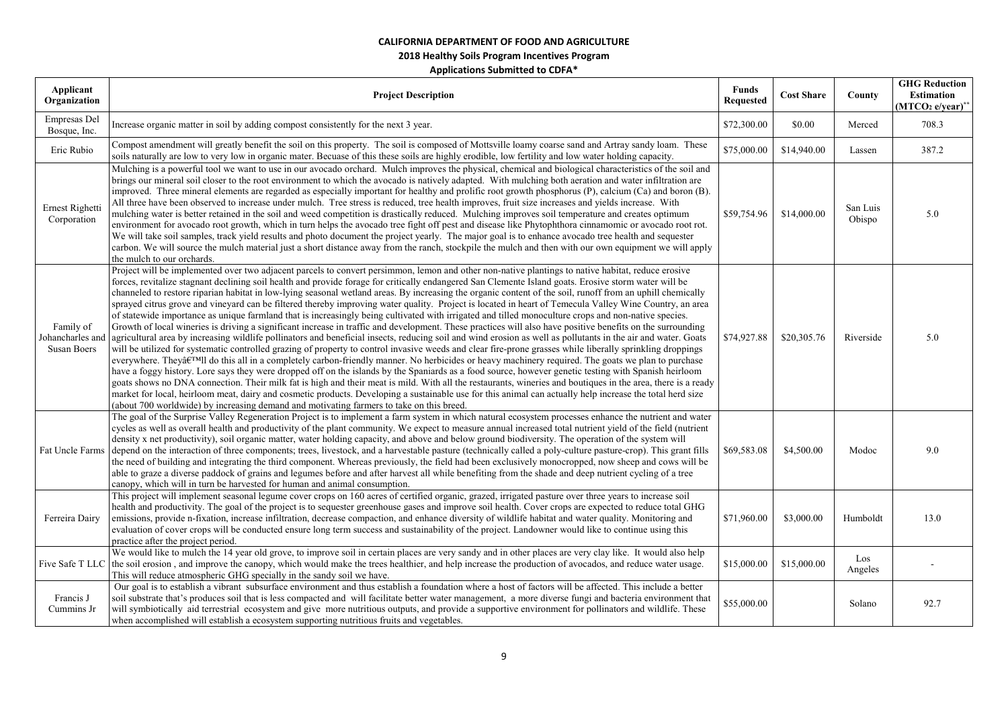**2018 Healthy Soils Program Incentives Program** 

| Applicant<br>Organization                           | <b>Project Description</b>                                                                                                                                                                                                                                                                                                                                                                                                                                                                                                                                                                                                                                                                                                                                                                                                                                                                                                                                                                                                                                                                                                                                                                                                                                                                                                                                                                                                                                                                                                                                                                                                                                                                                                                                                                                                                                                                                                                                                                                                      | <b>Funds</b><br><b>Requested</b> | <b>Cost Share</b> | County             | <b>GHG Reduction</b><br><b>Estimation</b><br>$(MTCO2 e/year)^*$ |
|-----------------------------------------------------|---------------------------------------------------------------------------------------------------------------------------------------------------------------------------------------------------------------------------------------------------------------------------------------------------------------------------------------------------------------------------------------------------------------------------------------------------------------------------------------------------------------------------------------------------------------------------------------------------------------------------------------------------------------------------------------------------------------------------------------------------------------------------------------------------------------------------------------------------------------------------------------------------------------------------------------------------------------------------------------------------------------------------------------------------------------------------------------------------------------------------------------------------------------------------------------------------------------------------------------------------------------------------------------------------------------------------------------------------------------------------------------------------------------------------------------------------------------------------------------------------------------------------------------------------------------------------------------------------------------------------------------------------------------------------------------------------------------------------------------------------------------------------------------------------------------------------------------------------------------------------------------------------------------------------------------------------------------------------------------------------------------------------------|----------------------------------|-------------------|--------------------|-----------------------------------------------------------------|
| Empresas Del<br>Bosque, Inc.                        | Increase organic matter in soil by adding compost consistently for the next 3 year.                                                                                                                                                                                                                                                                                                                                                                                                                                                                                                                                                                                                                                                                                                                                                                                                                                                                                                                                                                                                                                                                                                                                                                                                                                                                                                                                                                                                                                                                                                                                                                                                                                                                                                                                                                                                                                                                                                                                             | \$72,300.00                      | \$0.00            | Merced             | 708.3                                                           |
| Eric Rubio                                          | Compost amendment will greatly benefit the soil on this property. The soil is composed of Mottsville loamy coarse sand and Artray sandy loam. These<br>soils naturally are low to very low in organic mater. Becuase of this these soils are highly erodible, low fertility and low water holding capacity.                                                                                                                                                                                                                                                                                                                                                                                                                                                                                                                                                                                                                                                                                                                                                                                                                                                                                                                                                                                                                                                                                                                                                                                                                                                                                                                                                                                                                                                                                                                                                                                                                                                                                                                     | \$75,000.00                      | \$14,940.00       | Lassen             | 387.2                                                           |
| Ernest Righetti<br>Corporation                      | Mulching is a powerful tool we want to use in our avocado orchard. Mulch improves the physical, chemical and biological characteristics of the soil and<br>brings our mineral soil closer to the root environment to which the avocado is natively adapted. With mulching both aeration and water infiltration are<br>improved. Three mineral elements are regarded as especially important for healthy and prolific root growth phosphorus (P), calcium (Ca) and boron (B).<br>All three have been observed to increase under mulch. Tree stress is reduced, tree health improves, fruit size increases and yields increase. With<br>mulching water is better retained in the soil and weed competition is drastically reduced. Mulching improves soil temperature and creates optimum<br>environment for avocado root growth, which in turn helps the avocado tree fight off pest and disease like Phytophthora cinnamomic or avocado root rot.<br>We will take soil samples, track yield results and photo document the project yearly. The major goal is to enhance avocado tree health and sequester<br>carbon. We will source the mulch material just a short distance away from the ranch, stockpile the mulch and then with our own equipment we will apply<br>the mulch to our orchards.                                                                                                                                                                                                                                                                                                                                                                                                                                                                                                                                                                                                                                                                                                                               | \$59,754.96                      | \$14,000.00       | San Luis<br>Obispo | 5.0                                                             |
| Family of<br>Johancharles and<br><b>Susan Boers</b> | Project will be implemented over two adjacent parcels to convert persimmon, lemon and other non-native plantings to native habitat, reduce erosive<br>forces, revitalize stagnant declining soil health and provide forage for critically endangered San Clemente Island goats. Erosive storm water will be<br>channeled to restore riparian habitat in low-lying seasonal wetland areas. By increasing the organic content of the soil, runoff from an uphill chemically<br>sprayed citrus grove and vineyard can be filtered thereby improving water quality. Project is located in heart of Temecula Valley Wine Country, an area<br>of statewide importance as unique farmland that is increasingly being cultivated with irrigated and tilled monoculture crops and non-native species.<br>Growth of local wineries is driving a significant increase in traffic and development. These practices will also have positive benefits on the surrounding<br>agricultural area by increasing wildlife pollinators and beneficial insects, reducing soil and wind erosion as well as pollutants in the air and water. Goats<br>will be utilized for systematic controlled grazing of property to control invasive weeds and clear fire-prone grasses while liberally sprinkling droppings<br>everywhere. They'll do this all in a completely carbon-friendly manner. No herbicides or heavy machinery required. The goats we plan to purchase<br>have a foggy history. Lore says they were dropped off on the islands by the Spaniards as a food source, however genetic testing with Spanish heirloom<br>goats shows no DNA connection. Their milk fat is high and their meat is mild. With all the restaurants, wineries and boutiques in the area, there is a ready<br>market for local, heirloom meat, dairy and cosmetic products. Developing a sustainable use for this animal can actually help increase the total herd size<br>(about 700 worldwide) by increasing demand and motivating farmers to take on this breed. | \$74,927.88                      | \$20,305.76       | Riverside          | 5.0                                                             |
|                                                     | The goal of the Surprise Valley Regeneration Project is to implement a farm system in which natural ecosystem processes enhance the nutrient and water<br>cycles as well as overall health and productivity of the plant community. We expect to measure annual increased total nutrient yield of the field (nutrient<br>density x net productivity), soil organic matter, water holding capacity, and above and below ground biodiversity. The operation of the system will<br>Fat Uncle Farms depend on the interaction of three components; trees, livestock, and a harvestable pasture (technically called a poly-culture pasture-crop). This grant fills<br>the need of building and integrating the third component. Whereas previously, the field had been exclusively monocropped, now sheep and cows will be<br>able to graze a diverse paddock of grains and legumes before and after harvest all while benefiting from the shade and deep nutrient cycling of a tree<br>canopy, which will in turn be harvested for human and animal consumption.                                                                                                                                                                                                                                                                                                                                                                                                                                                                                                                                                                                                                                                                                                                                                                                                                                                                                                                                                                    | \$69,583.08                      | \$4,500.00        | Modoc              | 9.0                                                             |
| Ferreira Dairy                                      | This project will implement seasonal legume cover crops on 160 acres of certified organic, grazed, irrigated pasture over three years to increase soil<br>health and productivity. The goal of the project is to sequester greenhouse gases and improve soil health. Cover crops are expected to reduce total GHG<br>emissions, provide n-fixation, increase infiltration, decrease compaction, and enhance diversity of wildlife habitat and water quality. Monitoring and<br>evaluation of cover crops will be conducted ensure long term success and sustainability of the project. Landowner would like to continue using this<br>practice after the project period.                                                                                                                                                                                                                                                                                                                                                                                                                                                                                                                                                                                                                                                                                                                                                                                                                                                                                                                                                                                                                                                                                                                                                                                                                                                                                                                                                        | \$71,960.00                      | \$3,000.00        | Humboldt           | 13.0                                                            |
|                                                     | We would like to mulch the 14 year old grove, to improve soil in certain places are very sandy and in other places are very clay like. It would also help<br>Five Safe T LLC the soil erosion, and improve the canopy, which would make the trees healthier, and help increase the production of avocados, and reduce water usage.<br>This will reduce atmospheric GHG specially in the sandy soil we have.                                                                                                                                                                                                                                                                                                                                                                                                                                                                                                                                                                                                                                                                                                                                                                                                                                                                                                                                                                                                                                                                                                                                                                                                                                                                                                                                                                                                                                                                                                                                                                                                                     | \$15,000.00                      | \$15,000.00       | Los<br>Angeles     |                                                                 |
| Francis J<br>Cummins Jr                             | Our goal is to establish a vibrant subsurface environment and thus establish a foundation where a host of factors will be affected. This include a better<br>soil substrate that's produces soil that is less compacted and will facilitate better water management, a more diverse fungi and bacteria environment that<br>will symbiotically aid terrestrial ecosystem and give more nutritious outputs, and provide a supportive environment for pollinators and wildlife. These<br>when accomplished will establish a ecosystem supporting nutritious fruits and vegetables.                                                                                                                                                                                                                                                                                                                                                                                                                                                                                                                                                                                                                                                                                                                                                                                                                                                                                                                                                                                                                                                                                                                                                                                                                                                                                                                                                                                                                                                 | \$55,000.00                      |                   | Solano             | 92.7                                                            |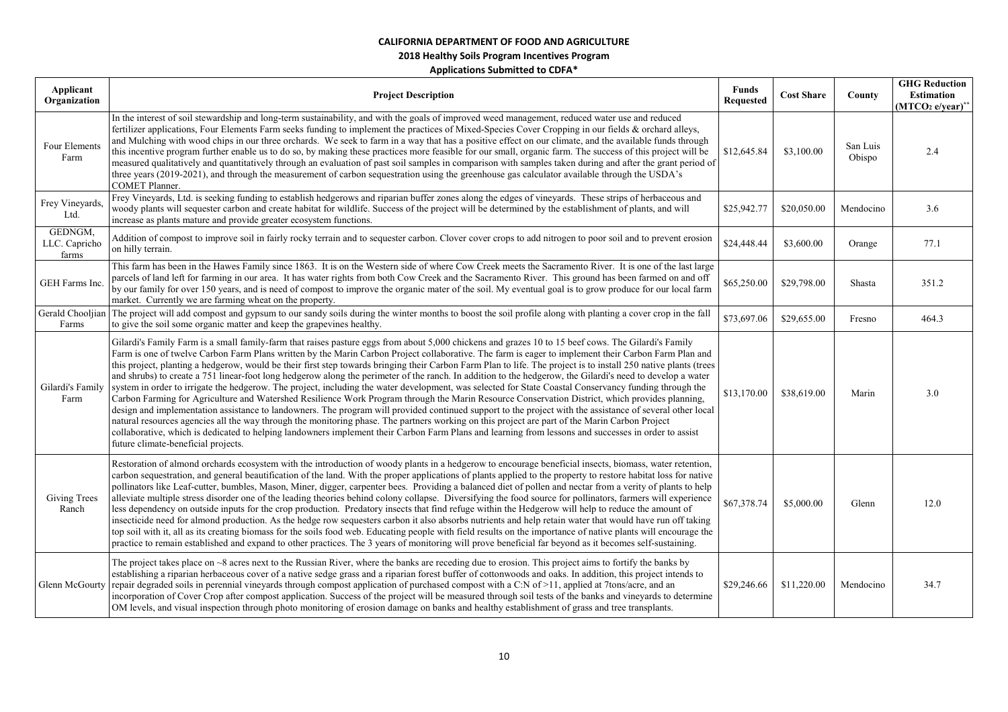### **2018 Healthy Soils Program Incentives Program**

| Applicant<br>Organization         | <b>Project Description</b>                                                                                                                                                                                                                                                                                                                                                                                                                                                                                                                                                                                                                                                                                                                                                                                                                                                                                                                                                                                                                                                                                                                                                                                                                                                                                                                                                                                                                                               | <b>Funds</b><br><b>Requested</b> | <b>Cost Share</b> | County             | <b>GHG Reduction</b><br><b>Estimation</b><br>$(MTCO2 e/year)*$ |
|-----------------------------------|--------------------------------------------------------------------------------------------------------------------------------------------------------------------------------------------------------------------------------------------------------------------------------------------------------------------------------------------------------------------------------------------------------------------------------------------------------------------------------------------------------------------------------------------------------------------------------------------------------------------------------------------------------------------------------------------------------------------------------------------------------------------------------------------------------------------------------------------------------------------------------------------------------------------------------------------------------------------------------------------------------------------------------------------------------------------------------------------------------------------------------------------------------------------------------------------------------------------------------------------------------------------------------------------------------------------------------------------------------------------------------------------------------------------------------------------------------------------------|----------------------------------|-------------------|--------------------|----------------------------------------------------------------|
| Four Elements<br>Farm             | In the interest of soil stewardship and long-term sustainability, and with the goals of improved weed management, reduced water use and reduced<br>fertilizer applications, Four Elements Farm seeks funding to implement the practices of Mixed-Species Cover Cropping in our fields & orchard alleys,<br>and Mulching with wood chips in our three orchards. We seek to farm in a way that has a positive effect on our climate, and the available funds through<br>this incentive program further enable us to do so, by making these practices more feasible for our small, organic farm. The success of this project will be<br>measured qualitatively and quantitatively through an evaluation of past soil samples in comparison with samples taken during and after the grant period of<br>three years (2019-2021), and through the measurement of carbon sequestration using the greenhouse gas calculator available through the USDA's<br>COMET Planner.                                                                                                                                                                                                                                                                                                                                                                                                                                                                                                       | \$12,645.84                      | \$3,100.00        | San Luis<br>Obispo | 2.4                                                            |
| Frey Vineyards,<br>Ltd.           | Frey Vineyards, Ltd. is seeking funding to establish hedgerows and riparian buffer zones along the edges of vineyards. These strips of herbaceous and<br>woody plants will sequester carbon and create habitat for wildlife. Success of the project will be determined by the establishment of plants, and will<br>increase as plants mature and provide greater ecosystem functions.                                                                                                                                                                                                                                                                                                                                                                                                                                                                                                                                                                                                                                                                                                                                                                                                                                                                                                                                                                                                                                                                                    | \$25,942.77                      | \$20,050.00       | Mendocino          | 3.6                                                            |
| GEDNGM,<br>LLC. Capricho<br>farms | Addition of compost to improve soil in fairly rocky terrain and to sequester carbon. Clover cover crops to add nitrogen to poor soil and to prevent erosion<br>on hilly terrain.                                                                                                                                                                                                                                                                                                                                                                                                                                                                                                                                                                                                                                                                                                                                                                                                                                                                                                                                                                                                                                                                                                                                                                                                                                                                                         | \$24,448.44                      | \$3,600.00        | Orange             | 77.1                                                           |
| GEH Farms Inc.                    | This farm has been in the Hawes Family since 1863. It is on the Western side of where Cow Creek meets the Sacramento River. It is one of the last large<br>parcels of land left for farming in our area. It has water rights from both Cow Creek and the Sacramento River. This ground has been farmed on and off<br>by our family for over 150 years, and is need of compost to improve the organic mater of the soil. My eventual goal is to grow produce for our local farm<br>market. Currently we are farming wheat on the property.                                                                                                                                                                                                                                                                                                                                                                                                                                                                                                                                                                                                                                                                                                                                                                                                                                                                                                                                | \$65,250.00                      | \$29,798.00       | Shasta             | 351.2                                                          |
| Gerald Chooljian<br>Farms         | The project will add compost and gypsum to our sandy soils during the winter months to boost the soil profile along with planting a cover crop in the fall<br>to give the soil some organic matter and keep the grapevines healthy.                                                                                                                                                                                                                                                                                                                                                                                                                                                                                                                                                                                                                                                                                                                                                                                                                                                                                                                                                                                                                                                                                                                                                                                                                                      | \$73,697.06                      | \$29,655.00       | Fresno             | 464.3                                                          |
| Gilardi's Family<br>Farm          | Gilardi's Family Farm is a small family-farm that raises pasture eggs from about 5,000 chickens and grazes 10 to 15 beef cows. The Gilardi's Family<br>Farm is one of twelve Carbon Farm Plans written by the Marin Carbon Project collaborative. The farm is eager to implement their Carbon Farm Plan and<br>this project, planting a hedgerow, would be their first step towards bringing their Carbon Farm Plan to life. The project is to install 250 native plants (trees<br>and shrubs) to create a 751 linear-foot long hedgerow along the perimeter of the ranch. In addition to the hedgerow, the Gilardi's need to develop a water<br>system in order to irrigate the hedgerow. The project, including the water development, was selected for State Coastal Conservancy funding through the<br>Carbon Farming for Agriculture and Watershed Resilience Work Program through the Marin Resource Conservation District, which provides planning,<br>design and implementation assistance to landowners. The program will provided continued support to the project with the assistance of several other local<br>natural resources agencies all the way through the monitoring phase. The partners working on this project are part of the Marin Carbon Project<br>collaborative, which is dedicated to helping landowners implement their Carbon Farm Plans and learning from lessons and successes in order to assist<br>future climate-beneficial projects. | \$13,170.00                      | \$38,619.00       | Marin              | 3.0                                                            |
| Giving Trees<br>Ranch             | Restoration of almond orchards ecosystem with the introduction of woody plants in a hedgerow to encourage beneficial insects, biomass, water retention,<br>carbon sequestration, and general beautification of the land. With the proper applications of plants applied to the property to restore habitat loss for native<br>pollinators like Leaf-cutter, bumbles, Mason, Miner, digger, carpenter bees. Providing a balanced diet of pollen and nectar from a verity of plants to help<br>alleviate multiple stress disorder one of the leading theories behind colony collapse. Diversifying the food source for pollinators, farmers will experience<br>less dependency on outside inputs for the crop production. Predatory insects that find refuge within the Hedgerow will help to reduce the amount of<br>insecticide need for almond production. As the hedge row sequesters carbon it also absorbs nutrients and help retain water that would have run off taking<br>top soil with it, all as its creating biomass for the soils food web. Educating people with field results on the importance of native plants will encourage the<br>practice to remain established and expand to other practices. The 3 years of monitoring will prove beneficial far beyond as it becomes self-sustaining.                                                                                                                                                              | \$67,378.74                      | \$5,000.00        | Glenn              | 12.0                                                           |
| Glenn McGourty                    | The project takes place on $\sim 8$ acres next to the Russian River, where the banks are receding due to erosion. This project aims to fortify the banks by<br>establishing a riparian herbaceous cover of a native sedge grass and a riparian forest buffer of cottonwoods and oaks. In addition, this project intends to<br>repair degraded soils in perennial vineyards through compost application of purchased compost with a C:N of >11, applied at 7tons/acre, and an<br>incorporation of Cover Crop after compost application. Success of the project will be measured through soil tests of the banks and vineyards to determine<br>OM levels, and visual inspection through photo monitoring of erosion damage on banks and healthy establishment of grass and tree transplants.                                                                                                                                                                                                                                                                                                                                                                                                                                                                                                                                                                                                                                                                               | \$29,246.66                      | \$11,220.00       | Mendocino          | 34.7                                                           |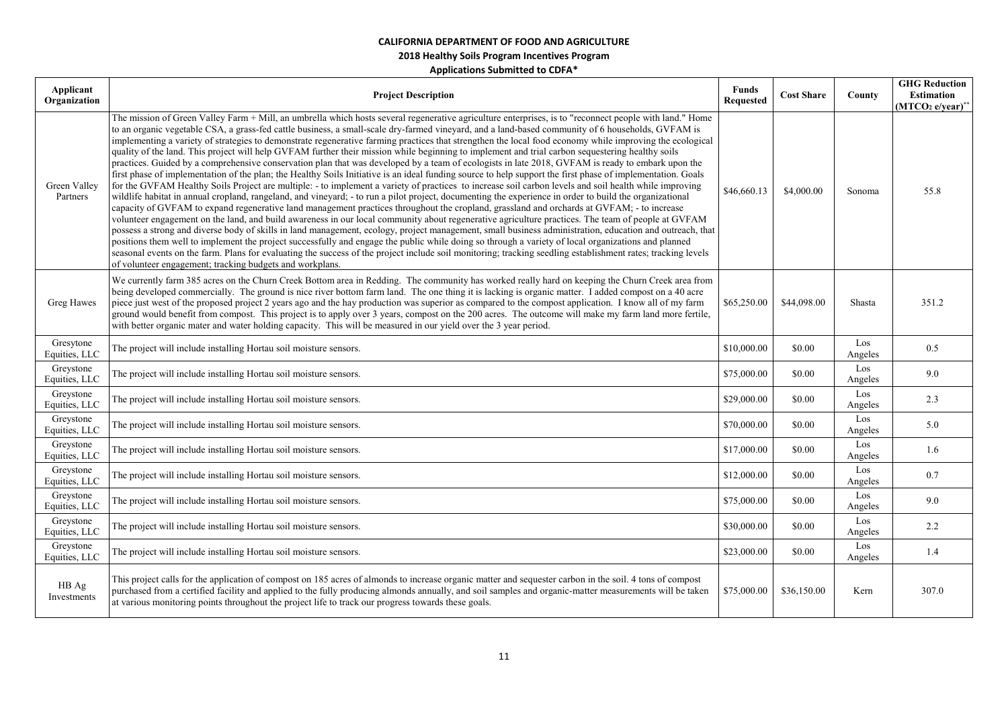| Applicant<br>Organization  | <b>Project Description</b>                                                                                                                                                                                                                                                                                                                                                                                                                                                                                                                                                                                                                                                                                                                                                                                                                                                                                                                                                                                                                                                                                                                                                                                                                                                                                                                                                                                                                                                                                                                                                                                                                                                                                                                                                                                                                                                                                                                                                                                                                                                                                               | <b>Funds</b><br><b>Requested</b> | <b>Cost Share</b> | County         | <b>GHG Reduction</b><br><b>Estimation</b><br>$(MTCO2 e/year)**$ |
|----------------------------|--------------------------------------------------------------------------------------------------------------------------------------------------------------------------------------------------------------------------------------------------------------------------------------------------------------------------------------------------------------------------------------------------------------------------------------------------------------------------------------------------------------------------------------------------------------------------------------------------------------------------------------------------------------------------------------------------------------------------------------------------------------------------------------------------------------------------------------------------------------------------------------------------------------------------------------------------------------------------------------------------------------------------------------------------------------------------------------------------------------------------------------------------------------------------------------------------------------------------------------------------------------------------------------------------------------------------------------------------------------------------------------------------------------------------------------------------------------------------------------------------------------------------------------------------------------------------------------------------------------------------------------------------------------------------------------------------------------------------------------------------------------------------------------------------------------------------------------------------------------------------------------------------------------------------------------------------------------------------------------------------------------------------------------------------------------------------------------------------------------------------|----------------------------------|-------------------|----------------|-----------------------------------------------------------------|
| Green Valley<br>Partners   | The mission of Green Valley Farm + Mill, an umbrella which hosts several regenerative agriculture enterprises, is to "reconnect people with land." Home<br>to an organic vegetable CSA, a grass-fed cattle business, a small-scale dry-farmed vineyard, and a land-based community of 6 households, GVFAM is<br>implementing a variety of strategies to demonstrate regenerative farming practices that strengthen the local food economy while improving the ecological<br>quality of the land. This project will help GVFAM further their mission while beginning to implement and trial carbon sequestering healthy soils<br>practices. Guided by a comprehensive conservation plan that was developed by a team of ecologists in late 2018, GVFAM is ready to embark upon the<br>first phase of implementation of the plan; the Healthy Soils Initiative is an ideal funding source to help support the first phase of implementation. Goals<br>for the GVFAM Healthy Soils Project are multiple: - to implement a variety of practices to increase soil carbon levels and soil health while improving<br>wildlife habitat in annual cropland, rangeland, and vineyard; - to run a pilot project, documenting the experience in order to build the organizational<br>capacity of GVFAM to expand regenerative land management practices throughout the cropland, grassland and orchards at GVFAM; - to increase<br>volunteer engagement on the land, and build awareness in our local community about regenerative agriculture practices. The team of people at GVFAM<br>possess a strong and diverse body of skills in land management, ecology, project management, small business administration, education and outreach, that<br>positions them well to implement the project successfully and engage the public while doing so through a variety of local organizations and planned<br>seasonal events on the farm. Plans for evaluating the success of the project include soil monitoring; tracking seedling establishment rates; tracking levels<br>of volunteer engagement; tracking budgets and workplans. | \$46,660.13                      | \$4,000.00        | Sonoma         | 55.8                                                            |
| Greg Hawes                 | We currently farm 385 acres on the Churn Creek Bottom area in Redding. The community has worked really hard on keeping the Churn Creek area from<br>being developed commercially. The ground is nice river bottom farm land. The one thing it is lacking is organic matter. I added compost on a 40 acre<br>piece just west of the proposed project 2 years ago and the hay production was superior as compared to the compost application. I know all of my farm<br>ground would benefit from compost. This project is to apply over 3 years, compost on the 200 acres. The outcome will make my farm land more fertile,<br>with better organic mater and water holding capacity. This will be measured in our yield over the 3 year period.                                                                                                                                                                                                                                                                                                                                                                                                                                                                                                                                                                                                                                                                                                                                                                                                                                                                                                                                                                                                                                                                                                                                                                                                                                                                                                                                                                            | \$65,250.00                      | \$44,098.00       | Shasta         | 351.2                                                           |
| Gresytone<br>Equities, LLC | The project will include installing Hortau soil moisture sensors.                                                                                                                                                                                                                                                                                                                                                                                                                                                                                                                                                                                                                                                                                                                                                                                                                                                                                                                                                                                                                                                                                                                                                                                                                                                                                                                                                                                                                                                                                                                                                                                                                                                                                                                                                                                                                                                                                                                                                                                                                                                        | \$10,000.00                      | \$0.00            | Los<br>Angeles | 0.5                                                             |
| Greystone<br>Equities, LLC | The project will include installing Hortau soil moisture sensors.                                                                                                                                                                                                                                                                                                                                                                                                                                                                                                                                                                                                                                                                                                                                                                                                                                                                                                                                                                                                                                                                                                                                                                                                                                                                                                                                                                                                                                                                                                                                                                                                                                                                                                                                                                                                                                                                                                                                                                                                                                                        | \$75,000.00                      | \$0.00            | Los<br>Angeles | 9.0                                                             |
| Greystone<br>Equities, LLC | The project will include installing Hortau soil moisture sensors.                                                                                                                                                                                                                                                                                                                                                                                                                                                                                                                                                                                                                                                                                                                                                                                                                                                                                                                                                                                                                                                                                                                                                                                                                                                                                                                                                                                                                                                                                                                                                                                                                                                                                                                                                                                                                                                                                                                                                                                                                                                        | \$29,000.00                      | \$0.00            | Los<br>Angeles | 2.3                                                             |
| Greystone<br>Equities, LLC | The project will include installing Hortau soil moisture sensors.                                                                                                                                                                                                                                                                                                                                                                                                                                                                                                                                                                                                                                                                                                                                                                                                                                                                                                                                                                                                                                                                                                                                                                                                                                                                                                                                                                                                                                                                                                                                                                                                                                                                                                                                                                                                                                                                                                                                                                                                                                                        | \$70,000.00                      | \$0.00            | Los<br>Angeles | 5.0                                                             |
| Greystone<br>Equities, LLC | The project will include installing Hortau soil moisture sensors.                                                                                                                                                                                                                                                                                                                                                                                                                                                                                                                                                                                                                                                                                                                                                                                                                                                                                                                                                                                                                                                                                                                                                                                                                                                                                                                                                                                                                                                                                                                                                                                                                                                                                                                                                                                                                                                                                                                                                                                                                                                        | \$17,000.00                      | \$0.00            | Los<br>Angeles | 1.6                                                             |
| Greystone<br>Equities, LLC | The project will include installing Hortau soil moisture sensors.                                                                                                                                                                                                                                                                                                                                                                                                                                                                                                                                                                                                                                                                                                                                                                                                                                                                                                                                                                                                                                                                                                                                                                                                                                                                                                                                                                                                                                                                                                                                                                                                                                                                                                                                                                                                                                                                                                                                                                                                                                                        | \$12,000.00                      | \$0.00            | Los<br>Angeles | 0.7                                                             |
| Greystone<br>Equities, LLC | The project will include installing Hortau soil moisture sensors.                                                                                                                                                                                                                                                                                                                                                                                                                                                                                                                                                                                                                                                                                                                                                                                                                                                                                                                                                                                                                                                                                                                                                                                                                                                                                                                                                                                                                                                                                                                                                                                                                                                                                                                                                                                                                                                                                                                                                                                                                                                        | \$75,000.00                      | \$0.00            | Los<br>Angeles | 9.0                                                             |
| Greystone<br>Equities, LLC | The project will include installing Hortau soil moisture sensors.                                                                                                                                                                                                                                                                                                                                                                                                                                                                                                                                                                                                                                                                                                                                                                                                                                                                                                                                                                                                                                                                                                                                                                                                                                                                                                                                                                                                                                                                                                                                                                                                                                                                                                                                                                                                                                                                                                                                                                                                                                                        | \$30,000.00                      | \$0.00            | Los<br>Angeles | 2.2                                                             |
| Greystone<br>Equities, LLC | The project will include installing Hortau soil moisture sensors.                                                                                                                                                                                                                                                                                                                                                                                                                                                                                                                                                                                                                                                                                                                                                                                                                                                                                                                                                                                                                                                                                                                                                                                                                                                                                                                                                                                                                                                                                                                                                                                                                                                                                                                                                                                                                                                                                                                                                                                                                                                        | \$23,000.00                      | \$0.00            | Los<br>Angeles | 1.4                                                             |
| HB Ag<br>Investments       | This project calls for the application of compost on 185 acres of almonds to increase organic matter and sequester carbon in the soil. 4 tons of compost<br>purchased from a certified facility and applied to the fully producing almonds annually, and soil samples and organic-matter measurements will be taken<br>at various monitoring points throughout the project life to track our progress towards these goals.                                                                                                                                                                                                                                                                                                                                                                                                                                                                                                                                                                                                                                                                                                                                                                                                                                                                                                                                                                                                                                                                                                                                                                                                                                                                                                                                                                                                                                                                                                                                                                                                                                                                                               | \$75,000.00                      | \$36,150.00       | Kern           | 307.0                                                           |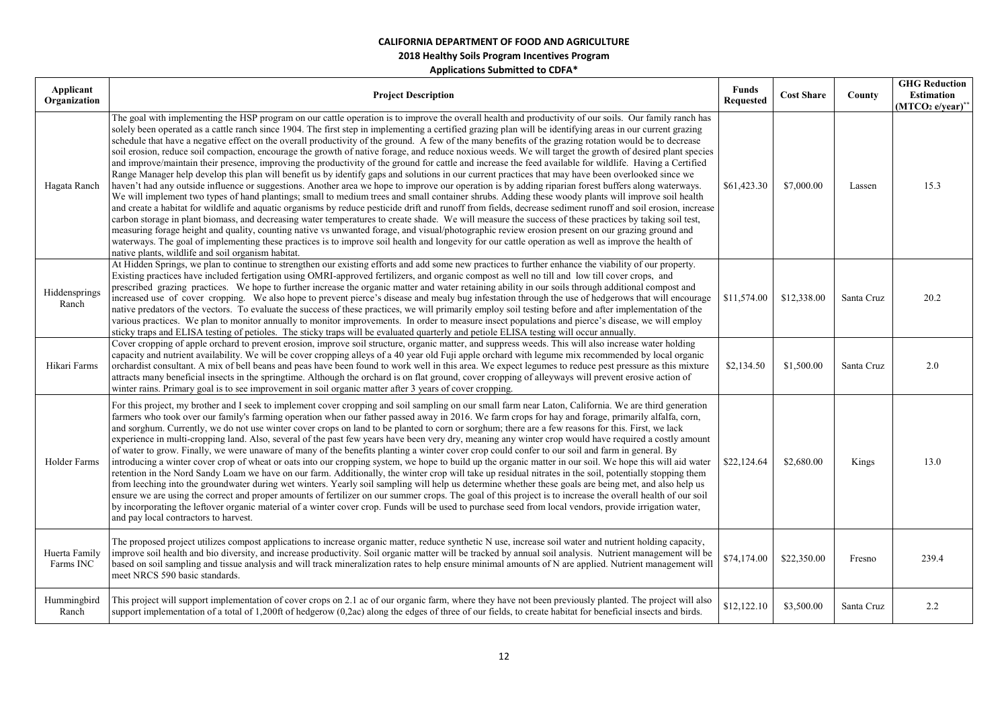| Applicant<br>Organization  | <b>Project Description</b>                                                                                                                                                                                                                                                                                                                                                                                                                                                                                                                                                                                                                                                                                                                                                                                                                                                                                                                                                                                                                                                                                                                                                                                                                                                                                                                                                                                                                                                                                                                                                                                                                                                                                                                                                                                                                                                                                                                                                         | <b>Funds</b><br><b>Requested</b> | <b>Cost Share</b> | County     | <b>GHG Reduction</b><br><b>Estimation</b><br>$(MTCO2 e/year)^*$ |
|----------------------------|------------------------------------------------------------------------------------------------------------------------------------------------------------------------------------------------------------------------------------------------------------------------------------------------------------------------------------------------------------------------------------------------------------------------------------------------------------------------------------------------------------------------------------------------------------------------------------------------------------------------------------------------------------------------------------------------------------------------------------------------------------------------------------------------------------------------------------------------------------------------------------------------------------------------------------------------------------------------------------------------------------------------------------------------------------------------------------------------------------------------------------------------------------------------------------------------------------------------------------------------------------------------------------------------------------------------------------------------------------------------------------------------------------------------------------------------------------------------------------------------------------------------------------------------------------------------------------------------------------------------------------------------------------------------------------------------------------------------------------------------------------------------------------------------------------------------------------------------------------------------------------------------------------------------------------------------------------------------------------|----------------------------------|-------------------|------------|-----------------------------------------------------------------|
| Hagata Ranch               | The goal with implementing the HSP program on our cattle operation is to improve the overall health and productivity of our soils. Our family ranch has<br>solely been operated as a cattle ranch since 1904. The first step in implementing a certified grazing plan will be identifying areas in our current grazing<br>schedule that have a negative effect on the overall productivity of the ground. A few of the many benefits of the grazing rotation would be to decrease<br>soil erosion, reduce soil compaction, encourage the growth of native forage, and reduce noxious weeds. We will target the growth of desired plant species<br>and improve/maintain their presence, improving the productivity of the ground for cattle and increase the feed available for wildlife. Having a Certified<br>Range Manager help develop this plan will benefit us by identify gaps and solutions in our current practices that may have been overlooked since we<br>haven't had any outside influence or suggestions. Another area we hope to improve our operation is by adding riparian forest buffers along waterways.<br>We will implement two types of hand plantings; small to medium trees and small container shrubs. Adding these woody plants will improve soil health<br>and create a habitat for wildlife and aquatic organisms by reduce pesticide drift and runoff from fields, decrease sediment runoff and soil erosion, increase<br>carbon storage in plant biomass, and decreasing water temperatures to create shade. We will measure the success of these practices by taking soil test,<br>measuring forage height and quality, counting native vs unwanted forage, and visual/photographic review erosion present on our grazing ground and<br>waterways. The goal of implementing these practices is to improve soil health and longevity for our cattle operation as well as improve the health of<br>native plants, wildlife and soil organism habitat. | \$61,423.30                      | \$7,000.00        | Lassen     | 15.3                                                            |
| Hiddensprings<br>Ranch     | At Hidden Springs, we plan to continue to strengthen our existing efforts and add some new practices to further enhance the viability of our property.<br>Existing practices have included fertigation using OMRI-approved fertilizers, and organic compost as well no till and low till cover crops, and<br>prescribed grazing practices. We hope to further increase the organic matter and water retaining ability in our soils through additional compost and<br>increased use of cover cropping. We also hope to prevent pierce's disease and mealy bug infestation through the use of hedgerows that will encourage<br>native predators of the vectors. To evaluate the success of these practices, we will primarily employ soil testing before and after implementation of the<br>various practices. We plan to monitor annually to monitor improvements. In order to measure insect populations and pierce's disease, we will employ<br>sticky traps and ELISA testing of petioles. The sticky traps will be evaluated quarterly and petiole ELISA testing will occur annually.                                                                                                                                                                                                                                                                                                                                                                                                                                                                                                                                                                                                                                                                                                                                                                                                                                                                                           | \$11,574.00                      | \$12,338.00       | Santa Cruz | 20.2                                                            |
| Hikari Farms               | Cover cropping of apple orchard to prevent erosion, improve soil structure, organic matter, and suppress weeds. This will also increase water holding<br>capacity and nutrient availability. We will be cover cropping alleys of a 40 year old Fuji apple orchard with legume mix recommended by local organic<br>orchardist consultant. A mix of bell beans and peas have been found to work well in this area. We expect legumes to reduce pest pressure as this mixture<br>attracts many beneficial insects in the springtime. Although the orchard is on flat ground, cover cropping of alleyways will prevent erosive action of<br>winter rains. Primary goal is to see improvement in soil organic matter after 3 years of cover cropping.                                                                                                                                                                                                                                                                                                                                                                                                                                                                                                                                                                                                                                                                                                                                                                                                                                                                                                                                                                                                                                                                                                                                                                                                                                   | \$2,134.50                       | \$1,500.00        | Santa Cruz | 2.0                                                             |
| Holder Farms               | For this project, my brother and I seek to implement cover cropping and soil sampling on our small farm near Laton, California. We are third generation<br>farmers who took over our family's farming operation when our father passed away in 2016. We farm crops for hay and forage, primarily alfalfa, corn,<br>and sorghum. Currently, we do not use winter cover crops on land to be planted to corn or sorghum; there are a few reasons for this. First, we lack<br>experience in multi-cropping land. Also, several of the past few years have been very dry, meaning any winter crop would have required a costly amount<br>of water to grow. Finally, we were unaware of many of the benefits planting a winter cover crop could confer to our soil and farm in general. By<br>introducing a winter cover crop of wheat or oats into our cropping system, we hope to build up the organic matter in our soil. We hope this will aid water<br>retention in the Nord Sandy Loam we have on our farm. Additionally, the winter crop will take up residual nitrates in the soil, potentially stopping them<br>from leeching into the groundwater during wet winters. Yearly soil sampling will help us determine whether these goals are being met, and also help us<br>ensure we are using the correct and proper amounts of fertilizer on our summer crops. The goal of this project is to increase the overall health of our soil<br>by incorporating the leftover organic material of a winter cover crop. Funds will be used to purchase seed from local vendors, provide irrigation water,<br>and pay local contractors to harvest.                                                                                                                                                                                                                                                                                                                                     | \$22,124.64                      | \$2,680.00        | Kings      | 13.0                                                            |
| Huerta Family<br>Farms INC | The proposed project utilizes compost applications to increase organic matter, reduce synthetic N use, increase soil water and nutrient holding capacity,<br>improve soil health and bio diversity, and increase productivity. Soil organic matter will be tracked by annual soil analysis. Nutrient management will be<br>based on soil sampling and tissue analysis and will track mineralization rates to help ensure minimal amounts of N are applied. Nutrient management will<br>meet NRCS 590 basic standards.                                                                                                                                                                                                                                                                                                                                                                                                                                                                                                                                                                                                                                                                                                                                                                                                                                                                                                                                                                                                                                                                                                                                                                                                                                                                                                                                                                                                                                                              | \$74,174.00                      | \$22,350.00       | Fresno     | 239.4                                                           |
| Hummingbird<br>Ranch       | This project will support implementation of cover crops on 2.1 ac of our organic farm, where they have not been previously planted. The project will also<br>support implementation of a total of 1,200ft of hedgerow (0,2ac) along the edges of three of our fields, to create habitat for beneficial insects and birds.                                                                                                                                                                                                                                                                                                                                                                                                                                                                                                                                                                                                                                                                                                                                                                                                                                                                                                                                                                                                                                                                                                                                                                                                                                                                                                                                                                                                                                                                                                                                                                                                                                                          | \$12,122.10                      | \$3,500.00        | Santa Cruz | 2.2                                                             |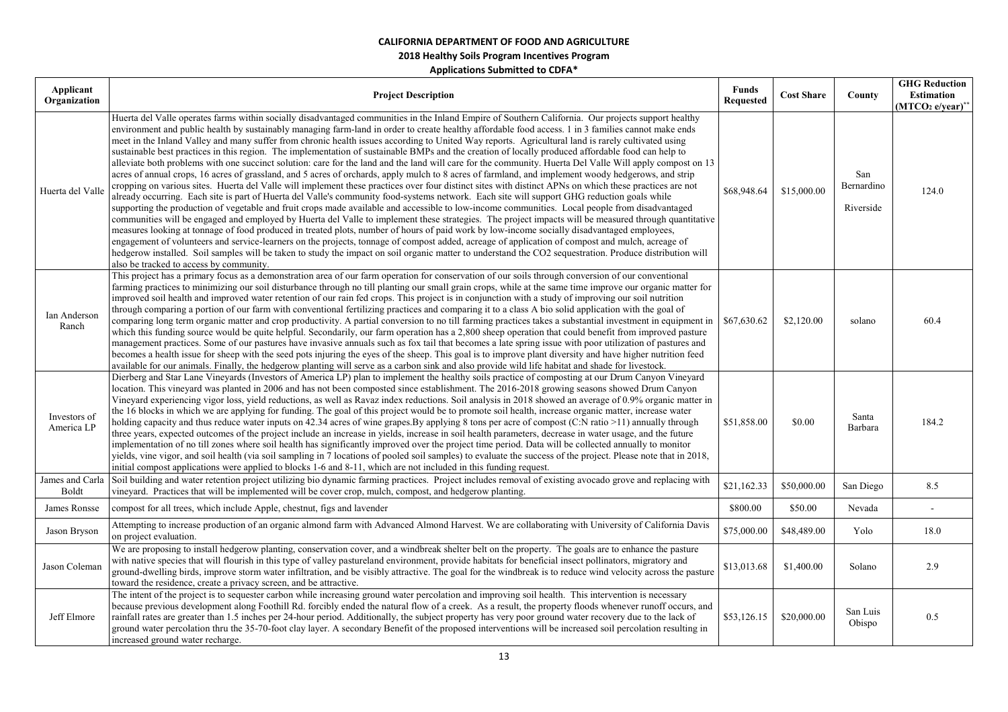| Applicant<br>Organization  | <b>Project Description</b>                                                                                                                                                                                                                                                                                                                                                                                                                                                                                                                                                                                                                                                                                                                                                                                                                                                                                                                                                                                                                                                                                                                                                                                                                                                                                                                                                                                                                                                                                                                                                                                                                                                                                                                                                                                                                                                                                                                                                                                                                                                 | <b>Funds</b><br><b>Requested</b> | <b>Cost Share</b> | County                         | <b>GHG Reduction</b><br><b>Estimation</b><br>(MTCO <sub>2</sub> e/year)** |
|----------------------------|----------------------------------------------------------------------------------------------------------------------------------------------------------------------------------------------------------------------------------------------------------------------------------------------------------------------------------------------------------------------------------------------------------------------------------------------------------------------------------------------------------------------------------------------------------------------------------------------------------------------------------------------------------------------------------------------------------------------------------------------------------------------------------------------------------------------------------------------------------------------------------------------------------------------------------------------------------------------------------------------------------------------------------------------------------------------------------------------------------------------------------------------------------------------------------------------------------------------------------------------------------------------------------------------------------------------------------------------------------------------------------------------------------------------------------------------------------------------------------------------------------------------------------------------------------------------------------------------------------------------------------------------------------------------------------------------------------------------------------------------------------------------------------------------------------------------------------------------------------------------------------------------------------------------------------------------------------------------------------------------------------------------------------------------------------------------------|----------------------------------|-------------------|--------------------------------|---------------------------------------------------------------------------|
| Huerta del Valle           | Huerta del Valle operates farms within socially disadvantaged communities in the Inland Empire of Southern California. Our projects support healthy<br>environment and public health by sustainably managing farm-land in order to create healthy affordable food access. 1 in 3 families cannot make ends<br>meet in the Inland Valley and many suffer from chronic health issues according to United Way reports. Agricultural land is rarely cultivated using<br>sustainable best practices in this region. The implementation of sustainable BMPs and the creation of locally produced affordable food can help to<br>alleviate both problems with one succinct solution: care for the land and the land will care for the community. Huerta Del Valle Will apply compost on 13<br>acres of annual crops, 16 acres of grassland, and 5 acres of orchards, apply mulch to 8 acres of farmland, and implement woody hedgerows, and strip<br>cropping on various sites. Huerta del Valle will implement these practices over four distinct sites with distinct APNs on which these practices are not<br>already occurring. Each site is part of Huerta del Valle's community food-systems network. Each site will support GHG reduction goals while<br>supporting the production of vegetable and fruit crops made available and accessible to low-income communities. Local people from disadvantaged<br>communities will be engaged and employed by Huerta del Valle to implement these strategies. The project impacts will be measured through quantitative<br>measures looking at tonnage of food produced in treated plots, number of hours of paid work by low-income socially disadvantaged employees,<br>engagement of volunteers and service-learners on the projects, tonnage of compost added, acreage of application of compost and mulch, acreage of<br>hedgerow installed. Soil samples will be taken to study the impact on soil organic matter to understand the CO2 sequestration. Produce distribution will<br>also be tracked to access by community. | \$68,948.64                      | \$15,000.00       | San<br>Bernardino<br>Riverside | 124.0                                                                     |
| Ian Anderson<br>Ranch      | This project has a primary focus as a demonstration area of our farm operation for conservation of our soils through conversion of our conventional<br>farming practices to minimizing our soil disturbance through no till planting our small grain crops, while at the same time improve our organic matter for<br>improved soil health and improved water retention of our rain fed crops. This project is in conjunction with a study of improving our soil nutrition<br>through comparing a portion of our farm with conventional fertilizing practices and comparing it to a class A bio solid application with the goal of<br>comparing long term organic matter and crop productivity. A partial conversion to no till farming practices takes a substantial investment in equipment in<br>which this funding source would be quite helpful. Secondarily, our farm operation has a 2,800 sheep operation that could benefit from improved pasture<br>management practices. Some of our pastures have invasive annuals such as fox tail that becomes a late spring issue with poor utilization of pastures and<br>becomes a health issue for sheep with the seed pots injuring the eyes of the sheep. This goal is to improve plant diversity and have higher nutrition feed<br>available for our animals. Finally, the hedgerow planting will serve as a carbon sink and also provide wild life habitat and shade for livestock.                                                                                                                                                                                                                                                                                                                                                                                                                                                                                                                                                                                                                                   | \$67,630.62                      | \$2,120.00        | solano                         | 60.4                                                                      |
| Investors of<br>America LP | Dierberg and Star Lane Vineyards (Investors of America LP) plan to implement the healthy soils practice of composting at our Drum Canyon Vineyard<br>location. This vineyard was planted in 2006 and has not been composted since establishment. The 2016-2018 growing seasons showed Drum Canyon<br>Vineyard experiencing vigor loss, yield reductions, as well as Ravaz index reductions. Soil analysis in 2018 showed an average of 0.9% organic matter in<br>the 16 blocks in which we are applying for funding. The goal of this project would be to promote soil health, increase organic matter, increase water<br>holding capacity and thus reduce water inputs on 42.34 acres of wine grapes. By applying 8 tons per acre of compost (C:N ratio >11) annually through<br>three years, expected outcomes of the project include an increase in yields, increase in soil health parameters, decrease in water usage, and the future<br>implementation of no till zones where soil health has significantly improved over the project time period. Data will be collected annually to monitor<br>yields, vine vigor, and soil health (via soil sampling in 7 locations of pooled soil samples) to evaluate the success of the project. Please note that in 2018,<br>initial compost applications were applied to blocks 1-6 and 8-11, which are not included in this funding request.                                                                                                                                                                                                                                                                                                                                                                                                                                                                                                                                                                                                                                                                                | \$51,858.00                      | \$0.00            | Santa<br>Barbara               | 184.2                                                                     |
| <b>Boldt</b>               | James and Carla Soil building and water retention project utilizing bio dynamic farming practices. Project includes removal of existing avocado grove and replacing with<br>vineyard. Practices that will be implemented will be cover crop, mulch, compost, and hedgerow planting.                                                                                                                                                                                                                                                                                                                                                                                                                                                                                                                                                                                                                                                                                                                                                                                                                                                                                                                                                                                                                                                                                                                                                                                                                                                                                                                                                                                                                                                                                                                                                                                                                                                                                                                                                                                        | \$21,162.33                      | \$50,000.00       | San Diego                      | 8.5                                                                       |
| James Ronsse               | compost for all trees, which include Apple, chestnut, figs and lavender                                                                                                                                                                                                                                                                                                                                                                                                                                                                                                                                                                                                                                                                                                                                                                                                                                                                                                                                                                                                                                                                                                                                                                                                                                                                                                                                                                                                                                                                                                                                                                                                                                                                                                                                                                                                                                                                                                                                                                                                    | \$800.00                         | \$50.00           | Nevada                         |                                                                           |
| Jason Bryson               | Attempting to increase production of an organic almond farm with Advanced Almond Harvest. We are collaborating with University of California Davis<br>on project evaluation.                                                                                                                                                                                                                                                                                                                                                                                                                                                                                                                                                                                                                                                                                                                                                                                                                                                                                                                                                                                                                                                                                                                                                                                                                                                                                                                                                                                                                                                                                                                                                                                                                                                                                                                                                                                                                                                                                               | \$75,000.00                      | \$48,489.00       | Yolo                           | 18.0                                                                      |
| Jason Coleman              | We are proposing to install hedgerow planting, conservation cover, and a windbreak shelter belt on the property. The goals are to enhance the pasture<br>with native species that will flourish in this type of valley pastureland environment, provide habitats for beneficial insect pollinators, migratory and<br>ground-dwelling birds, improve storm water infiltration, and be visibly attractive. The goal for the windbreak is to reduce wind velocity across the pasture<br>toward the residence, create a privacy screen, and be attractive.                                                                                                                                                                                                                                                                                                                                                                                                                                                                                                                                                                                                                                                                                                                                                                                                                                                                                                                                                                                                                                                                                                                                                                                                                                                                                                                                                                                                                                                                                                                     | \$13,013.68                      | \$1,400.00        | Solano                         | 2.9                                                                       |
| Jeff Elmore                | The intent of the project is to sequester carbon while increasing ground water percolation and improving soil health. This intervention is necessary<br>because previous development along Foothill Rd. forcibly ended the natural flow of a creek. As a result, the property floods whenever runoff occurs, and<br>rainfall rates are greater than 1.5 inches per 24-hour period. Additionally, the subject property has very poor ground water recovery due to the lack of<br>ground water percolation thru the 35-70-foot clay layer. A secondary Benefit of the proposed interventions will be increased soil percolation resulting in<br>increased ground water recharge.                                                                                                                                                                                                                                                                                                                                                                                                                                                                                                                                                                                                                                                                                                                                                                                                                                                                                                                                                                                                                                                                                                                                                                                                                                                                                                                                                                                             | \$53,126.15                      | \$20,000.00       | San Luis<br>Obispo             | 0.5                                                                       |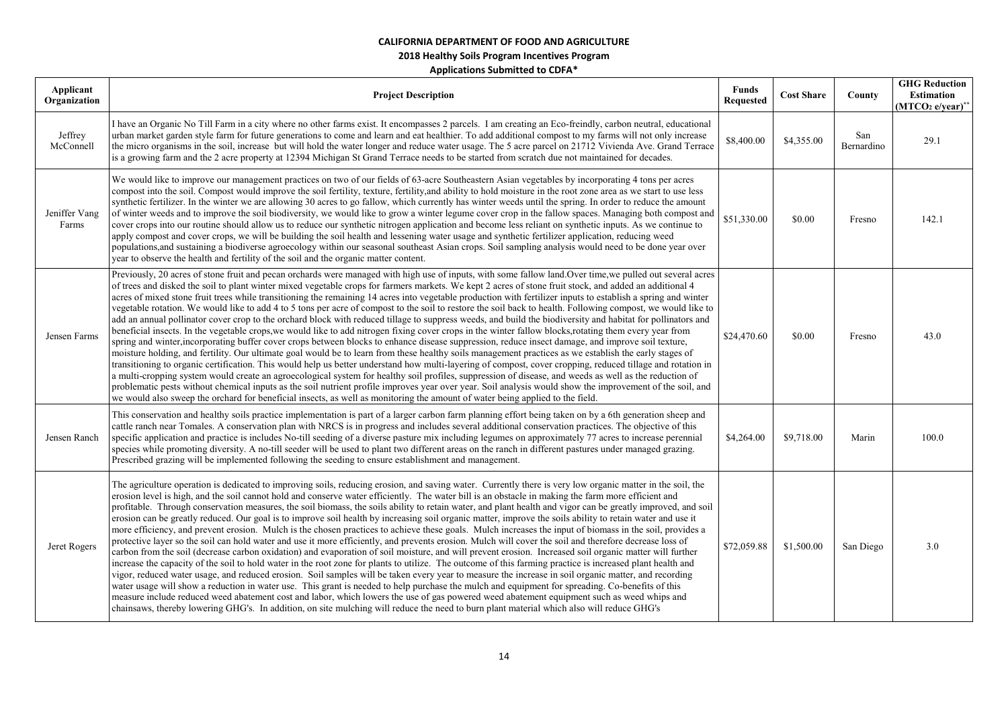| Applicant<br>Organization | <b>Project Description</b>                                                                                                                                                                                                                                                                                                                                                                                                                                                                                                                                                                                                                                                                                                                                                                                                                                                                                                                                                                                                                                                                                                                                                                                                                                                                                                                                                                                                                                                                                                                                                                                                                                                                                                                                                                                                                                                                                              | <b>Funds</b><br><b>Requested</b> | <b>Cost Share</b> | County            | <b>GHG Reduction</b><br>Estimation<br>$(MTCO2 e/year)**$ |
|---------------------------|-------------------------------------------------------------------------------------------------------------------------------------------------------------------------------------------------------------------------------------------------------------------------------------------------------------------------------------------------------------------------------------------------------------------------------------------------------------------------------------------------------------------------------------------------------------------------------------------------------------------------------------------------------------------------------------------------------------------------------------------------------------------------------------------------------------------------------------------------------------------------------------------------------------------------------------------------------------------------------------------------------------------------------------------------------------------------------------------------------------------------------------------------------------------------------------------------------------------------------------------------------------------------------------------------------------------------------------------------------------------------------------------------------------------------------------------------------------------------------------------------------------------------------------------------------------------------------------------------------------------------------------------------------------------------------------------------------------------------------------------------------------------------------------------------------------------------------------------------------------------------------------------------------------------------|----------------------------------|-------------------|-------------------|----------------------------------------------------------|
| Jeffrey<br>McConnell      | I have an Organic No Till Farm in a city where no other farms exist. It encompasses 2 parcels. I am creating an Eco-freindly, carbon neutral, educational<br>urban market garden style farm for future generations to come and learn and eat healthier. To add additional compost to my farms will not only increase<br>the micro organisms in the soil, increase but will hold the water longer and reduce water usage. The 5 acre parcel on 21712 Vivienda Ave. Grand Terrace<br>is a growing farm and the 2 acre property at 12394 Michigan St Grand Terrace needs to be started from scratch due not maintained for decades.                                                                                                                                                                                                                                                                                                                                                                                                                                                                                                                                                                                                                                                                                                                                                                                                                                                                                                                                                                                                                                                                                                                                                                                                                                                                                        | \$8,400.00                       | \$4,355.00        | San<br>Bernardino | 29.1                                                     |
| Jeniffer Vang<br>Farms    | We would like to improve our management practices on two of our fields of 63-acre Southeastern Asian vegetables by incorporating 4 tons per acres<br>compost into the soil. Compost would improve the soil fertility, texture, fertility, and ability to hold moisture in the root zone area as we start to use less<br>synthetic fertilizer. In the winter we are allowing 30 acres to go fallow, which currently has winter weeds until the spring. In order to reduce the amount<br>of winter weeds and to improve the soil biodiversity, we would like to grow a winter legume cover crop in the fallow spaces. Managing both compost and<br>cover crops into our routine should allow us to reduce our synthetic nitrogen application and become less reliant on synthetic inputs. As we continue to<br>apply compost and cover crops, we will be building the soil health and lessening water usage and synthetic fertilizer application, reducing weed<br>populations,and sustaining a biodiverse agroecology within our seasonal southeast Asian crops. Soil sampling analysis would need to be done year over<br>year to observe the health and fertility of the soil and the organic matter content.                                                                                                                                                                                                                                                                                                                                                                                                                                                                                                                                                                                                                                                                                                          | \$51,330.00                      | \$0.00            | Fresno            | 142.1                                                    |
| Jensen Farms              | Previously, 20 acres of stone fruit and pecan orchards were managed with high use of inputs, with some fallow land. Over time, we pulled out several acres<br>of trees and disked the soil to plant winter mixed vegetable crops for farmers markets. We kept 2 acres of stone fruit stock, and added an additional 4<br>acres of mixed stone fruit trees while transitioning the remaining 14 acres into vegetable production with fertilizer inputs to establish a spring and winter<br>vegetable rotation. We would like to add 4 to 5 tons per acre of compost to the soil to restore the soil back to health. Following compost, we would like to<br>add an annual pollinator cover crop to the orchard block with reduced tillage to suppress weeds, and build the biodiversity and habitat for pollinators and<br>beneficial insects. In the vegetable crops, we would like to add nitrogen fixing cover crops in the winter fallow blocks, rotating them every year from<br>spring and winter, incorporating buffer cover crops between blocks to enhance disease suppression, reduce insect damage, and improve soil texture,<br>moisture holding, and fertility. Our ultimate goal would be to learn from these healthy soils management practices as we establish the early stages of<br>transitioning to organic certification. This would help us better understand how multi-layering of compost, cover cropping, reduced tillage and rotation in<br>a multi-cropping system would create an agroecological system for healthy soil profiles, suppression of disease, and weeds as well as the reduction of<br>problematic pests without chemical inputs as the soil nutrient profile improves year over year. Soil analysis would show the improvement of the soil, and<br>we would also sweep the orchard for beneficial insects, as well as monitoring the amount of water being applied to the field. | \$24,470.60                      | \$0.00            | Fresno            | 43.0                                                     |
| Jensen Ranch              | This conservation and healthy soils practice implementation is part of a larger carbon farm planning effort being taken on by a 6th generation sheep and<br>cattle ranch near Tomales. A conservation plan with NRCS is in progress and includes several additional conservation practices. The objective of this<br>specific application and practice is includes No-till seeding of a diverse pasture mix including legumes on approximately 77 acres to increase perennial<br>species while promoting diversity. A no-till seeder will be used to plant two different areas on the ranch in different pastures under managed grazing.<br>Prescribed grazing will be implemented following the seeding to ensure establishment and management.                                                                                                                                                                                                                                                                                                                                                                                                                                                                                                                                                                                                                                                                                                                                                                                                                                                                                                                                                                                                                                                                                                                                                                        | \$4,264.00                       | \$9,718.00        | Marin             | 100.0                                                    |
| Jeret Rogers              | The agriculture operation is dedicated to improving soils, reducing erosion, and saving water. Currently there is very low organic matter in the soil, the<br>erosion level is high, and the soil cannot hold and conserve water efficiently. The water bill is an obstacle in making the farm more efficient and<br>profitable. Through conservation measures, the soil biomass, the soils ability to retain water, and plant health and vigor can be greatly improved, and soil<br>erosion can be greatly reduced. Our goal is to improve soil health by increasing soil organic matter, improve the soils ability to retain water and use it<br>more efficiency, and prevent erosion. Mulch is the chosen practices to achieve these goals. Mulch increases the input of biomass in the soil, provides a<br>protective layer so the soil can hold water and use it more efficiently, and prevents erosion. Mulch will cover the soil and therefore decrease loss of<br>carbon from the soil (decrease carbon oxidation) and evaporation of soil moisture, and will prevent erosion. Increased soil organic matter will further<br>increase the capacity of the soil to hold water in the root zone for plants to utilize. The outcome of this farming practice is increased plant health and<br>vigor, reduced water usage, and reduced erosion. Soil samples will be taken every year to measure the increase in soil organic matter, and recording<br>water usage will show a reduction in water use. This grant is needed to help purchase the mulch and equipment for spreading. Co-benefits of this<br>measure include reduced weed abatement cost and labor, which lowers the use of gas powered weed abatement equipment such as weed whips and<br>chainsaws, thereby lowering GHG's. In addition, on site mulching will reduce the need to burn plant material which also will reduce GHG's                  | \$72,059.88                      | \$1,500.00        | San Diego         | 3.0                                                      |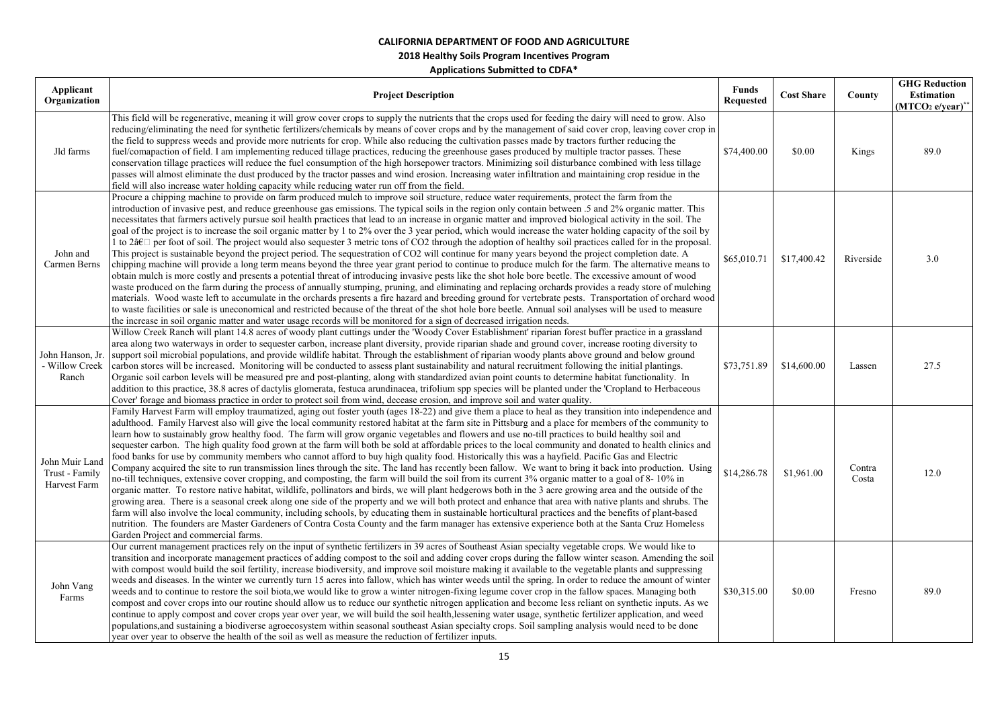| Applicant<br>Organization                        | <b>Project Description</b>                                                                                                                                                                                                                                                                                                                                                                                                                                                                                                                                                                                                                                                                                                                                                                                                                                                                                                                                                                                                                                                                                                                                                                                                                                                                                                                                                                                                                                                                                                                                                                                                                                                                                                                                                                                                                                                                              | <b>Funds</b><br><b>Requested</b> | <b>Cost Share</b> | County          | <b>GHG Reduction</b><br><b>Estimation</b><br>(MTCO <sub>2</sub> e/year) |
|--------------------------------------------------|---------------------------------------------------------------------------------------------------------------------------------------------------------------------------------------------------------------------------------------------------------------------------------------------------------------------------------------------------------------------------------------------------------------------------------------------------------------------------------------------------------------------------------------------------------------------------------------------------------------------------------------------------------------------------------------------------------------------------------------------------------------------------------------------------------------------------------------------------------------------------------------------------------------------------------------------------------------------------------------------------------------------------------------------------------------------------------------------------------------------------------------------------------------------------------------------------------------------------------------------------------------------------------------------------------------------------------------------------------------------------------------------------------------------------------------------------------------------------------------------------------------------------------------------------------------------------------------------------------------------------------------------------------------------------------------------------------------------------------------------------------------------------------------------------------------------------------------------------------------------------------------------------------|----------------------------------|-------------------|-----------------|-------------------------------------------------------------------------|
| Jld farms                                        | This field will be regenerative, meaning it will grow cover crops to supply the nutrients that the crops used for feeding the dairy will need to grow. Also<br>reducing/eliminating the need for synthetic fertilizers/chemicals by means of cover crops and by the management of said cover crop, leaving cover crop in<br>the field to suppress weeds and provide more nutrients for crop. While also reducing the cultivation passes made by tractors further reducing the<br>fuel/comapaction of field. I am implementing reduced tillage practices, reducing the greenhouse gases produced by multiple tractor passes. These<br>conservation tillage practices will reduce the fuel consumption of the high horsepower tractors. Minimizing soil disturbance combined with less tillage<br>passes will almost eliminate the dust produced by the tractor passes and wind erosion. Increasing water infiltration and maintaining crop residue in the<br>field will also increase water holding capacity while reducing water run off from the field.                                                                                                                                                                                                                                                                                                                                                                                                                                                                                                                                                                                                                                                                                                                                                                                                                                                | \$74,400.00                      | \$0.00            | Kings           | 89.0                                                                    |
| John and<br>Carmen Berns                         | Procure a chipping machine to provide on farm produced mulch to improve soil structure, reduce water requirements, protect the farm from the<br>introduction of invasive pest, and reduce greenhouse gas emissions. The typical soils in the region only contain between .5 and 2% organic matter. This<br>necessitates that farmers actively pursue soil health practices that lead to an increase in organic matter and improved biological activity in the soil. The<br>goal of the project is to increase the soil organic matter by 1 to 2% over the 3 year period, which would increase the water holding capacity of the soil by<br>1 to 2â€ $\Box$ per foot of soil. The project would also sequester 3 metric tons of CO2 through the adoption of healthy soil practices called for in the proposal.<br>This project is sustainable beyond the project period. The sequestration of CO2 will continue for many years beyond the project completion date. A<br>chipping machine will provide a long term means beyond the three year grant period to continue to produce mulch for the farm. The alternative means to<br>obtain mulch is more costly and presents a potential threat of introducing invasive pests like the shot hole bore beetle. The excessive amount of wood<br>waste produced on the farm during the process of annually stumping, pruning, and eliminating and replacing orchards provides a ready store of mulching<br>materials. Wood waste left to accumulate in the orchards presents a fire hazard and breeding ground for vertebrate pests. Transportation of orchard wood<br>to waste facilities or sale is uneconomical and restricted because of the threat of the shot hole bore beetle. Annual soil analyses will be used to measure<br>the increase in soil organic matter and water usage records will be monitored for a sign of decreased irrigation needs. | \$65,010.71                      | \$17,400.42       | Riverside       | 3.0                                                                     |
| John Hanson, Jr.<br>- Willow Creek<br>Ranch      | Willow Creek Ranch will plant 14.8 acres of woody plant cuttings under the 'Woody Cover Establishment' riparian forest buffer practice in a grassland<br>area along two waterways in order to sequester carbon, increase plant diversity, provide riparian shade and ground cover, increase rooting diversity to<br>support soil microbial populations, and provide wildlife habitat. Through the establishment of riparian woody plants above ground and below ground<br>carbon stores will be increased. Monitoring will be conducted to assess plant sustainability and natural recruitment following the initial plantings.<br>Organic soil carbon levels will be measured pre and post-planting, along with standardized avian point counts to determine habitat functionality. In<br>addition to this practice, 38.8 acres of dactylis glomerata, festuca arundinacea, trifolium spp species will be planted under the 'Cropland to Herbaceous<br>Cover' forage and biomass practice in order to protect soil from wind, decease erosion, and improve soil and water quality.                                                                                                                                                                                                                                                                                                                                                                                                                                                                                                                                                                                                                                                                                                                                                                                                                     | \$73,751.89                      | \$14,600.00       | Lassen          | 27.5                                                                    |
| John Muir Land<br>Trust - Family<br>Harvest Farm | Family Harvest Farm will employ traumatized, aging out foster youth (ages 18-22) and give them a place to heal as they transition into independence and<br>adulthood. Family Harvest also will give the local community restored habitat at the farm site in Pittsburg and a place for members of the community to<br>learn how to sustainably grow healthy food. The farm will grow organic vegetables and flowers and use no-till practices to build healthy soil and<br>sequester carbon. The high quality food grown at the farm will both be sold at affordable prices to the local community and donated to health clinics and<br>food banks for use by community members who cannot afford to buy high quality food. Historically this was a hayfield. Pacific Gas and Electric<br>Company acquired the site to run transmission lines through the site. The land has recently been fallow. We want to bring it back into production. Using<br>no-till techniques, extensive cover cropping, and composting, the farm will build the soil from its current 3% organic matter to a goal of 8-10% in<br>organic matter. To restore native habitat, wildlife, pollinators and birds, we will plant hedgerows both in the 3 acre growing area and the outside of the<br>growing area. There is a seasonal creek along one side of the property and we will both protect and enhance that area with native plants and shrubs. The<br>farm will also involve the local community, including schools, by educating them in sustainable horticultural practices and the benefits of plant-based<br>nutrition. The founders are Master Gardeners of Contra Costa County and the farm manager has extensive experience both at the Santa Cruz Homeless<br>Garden Project and commercial farms.                                                                                                             | \$14,286.78                      | \$1,961.00        | Contra<br>Costa | 12.0                                                                    |
| John Vang<br>Farms                               | Our current management practices rely on the input of synthetic fertilizers in 39 acres of Southeast Asian specialty vegetable crops. We would like to<br>transition and incorporate management practices of adding compost to the soil and adding cover crops during the fallow winter season. Amending the soil<br>with compost would build the soil fertility, increase biodiversity, and improve soil moisture making it available to the vegetable plants and suppressing<br>weeds and diseases. In the winter we currently turn 15 acres into fallow, which has winter weeds until the spring. In order to reduce the amount of winter<br>weeds and to continue to restore the soil biota, we would like to grow a winter nitrogen-fixing legume cover crop in the fallow spaces. Managing both<br>compost and cover crops into our routine should allow us to reduce our synthetic nitrogen application and become less reliant on synthetic inputs. As we<br>continue to apply compost and cover crops year over year, we will build the soil health, lessening water usage, synthetic fertilizer application, and weed<br>populations, and sustaining a biodiverse agroecosystem within seasonal southeast Asian specialty crops. Soil sampling analysis would need to be done<br>year over year to observe the health of the soil as well as measure the reduction of fertilizer inputs.                                                                                                                                                                                                                                                                                                                                                                                                                                                                                                      | \$30,315.00                      | \$0.00            | Fresno          | 89.0                                                                    |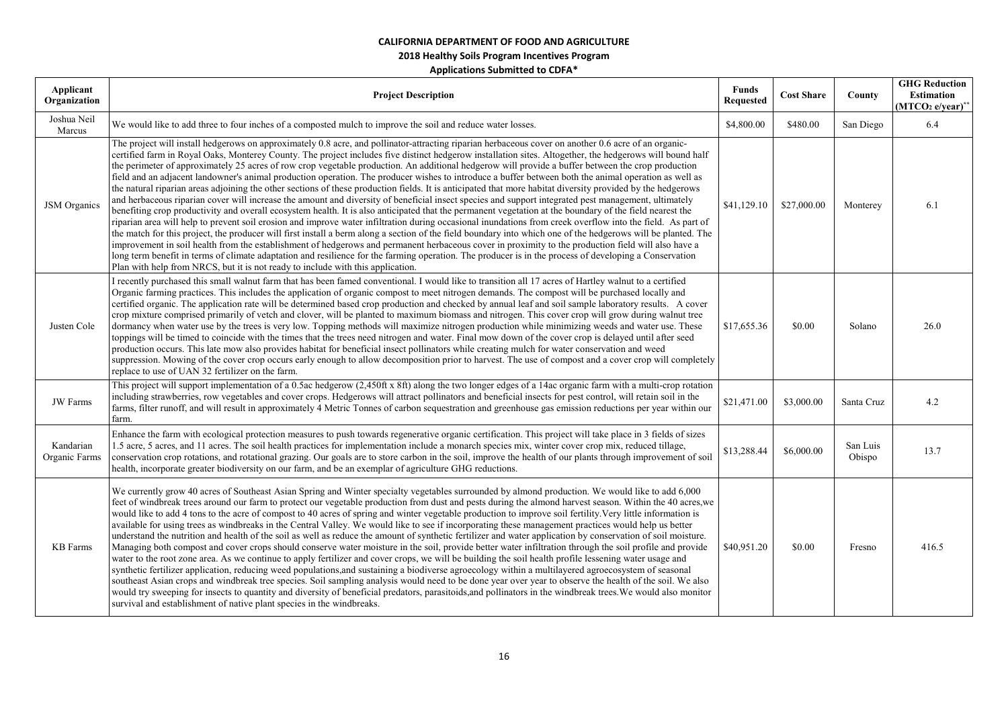### **2018 Healthy Soils Program Incentives Program**

| Applicant<br>Organization  | <b>Project Description</b>                                                                                                                                                                                                                                                                                                                                                                                                                                                                                                                                                                                                                                                                                                                                                                                                                                                                                                                                                                                                                                                                                                                                                                                                                                                                                                                                                                                                                                                                                                                                                                                                                                                                                                                                                                                                                             | <b>Funds</b><br><b>Requested</b> | <b>Cost Share</b> | County             | <b>GHG Reduction</b><br><b>Estimation</b><br>$(MTCO2 e/year)*$ |
|----------------------------|--------------------------------------------------------------------------------------------------------------------------------------------------------------------------------------------------------------------------------------------------------------------------------------------------------------------------------------------------------------------------------------------------------------------------------------------------------------------------------------------------------------------------------------------------------------------------------------------------------------------------------------------------------------------------------------------------------------------------------------------------------------------------------------------------------------------------------------------------------------------------------------------------------------------------------------------------------------------------------------------------------------------------------------------------------------------------------------------------------------------------------------------------------------------------------------------------------------------------------------------------------------------------------------------------------------------------------------------------------------------------------------------------------------------------------------------------------------------------------------------------------------------------------------------------------------------------------------------------------------------------------------------------------------------------------------------------------------------------------------------------------------------------------------------------------------------------------------------------------|----------------------------------|-------------------|--------------------|----------------------------------------------------------------|
| Joshua Neil<br>Marcus      | We would like to add three to four inches of a composted mulch to improve the soil and reduce water losses.                                                                                                                                                                                                                                                                                                                                                                                                                                                                                                                                                                                                                                                                                                                                                                                                                                                                                                                                                                                                                                                                                                                                                                                                                                                                                                                                                                                                                                                                                                                                                                                                                                                                                                                                            | \$4,800.00                       | \$480.00          | San Diego          | 6.4                                                            |
| <b>JSM</b> Organics        | The project will install hedgerows on approximately 0.8 acre, and pollinator-attracting riparian herbaceous cover on another 0.6 acre of an organic-<br>certified farm in Royal Oaks, Monterey County. The project includes five distinct hedgerow installation sites. Altogether, the hedgerows will bound half<br>the perimeter of approximately 25 acres of row crop vegetable production. An additional hedgerow will provide a buffer between the crop production<br>field and an adjacent landowner's animal production operation. The producer wishes to introduce a buffer between both the animal operation as well as<br>the natural riparian areas adjoining the other sections of these production fields. It is anticipated that more habitat diversity provided by the hedgerows<br>and herbaceous riparian cover will increase the amount and diversity of beneficial insect species and support integrated pest management, ultimately<br>benefiting crop productivity and overall ecosystem health. It is also anticipated that the permanent vegetation at the boundary of the field nearest the<br>riparian area will help to prevent soil erosion and improve water infiltration during occasional inundations from creek overflow into the field. As part of<br>the match for this project, the producer will first install a berm along a section of the field boundary into which one of the hedgerows will be planted. The<br>improvement in soil health from the establishment of hedgerows and permanent herbaceous cover in proximity to the production field will also have a<br>long term benefit in terms of climate adaptation and resilience for the farming operation. The producer is in the process of developing a Conservation<br>Plan with help from NRCS, but it is not ready to include with this application. | \$41,129.10                      | \$27,000.00       | Monterey           | 6.1                                                            |
| Justen Cole                | I recently purchased this small walnut farm that has been famed conventional. I would like to transition all 17 acres of Hartley walnut to a certified<br>Organic farming practices. This includes the application of organic compost to meet nitrogen demands. The compost will be purchased locally and<br>certified organic. The application rate will be determined based crop production and checked by annual leaf and soil sample laboratory results. A cover<br>crop mixture comprised primarily of vetch and clover, will be planted to maximum biomass and nitrogen. This cover crop will grow during walnut tree<br>dormancy when water use by the trees is very low. Topping methods will maximize nitrogen production while minimizing weeds and water use. These<br>toppings will be timed to coincide with the times that the trees need nitrogen and water. Final mow down of the cover crop is delayed until after seed<br>production occurs. This late mow also provides habitat for beneficial insect pollinators while creating mulch for water conservation and weed<br>suppression. Mowing of the cover crop occurs early enough to allow decomposition prior to harvest. The use of compost and a cover crop will completely<br>replace to use of UAN 32 fertilizer on the farm.                                                                                                                                                                                                                                                                                                                                                                                                                                                                                                                                                | \$17,655.36                      | \$0.00            | Solano             | 26.0                                                           |
| <b>JW</b> Farms            | This project will support implementation of a 0.5ac hedgerow (2,450ft x 8ft) along the two longer edges of a 14ac organic farm with a multi-crop rotation<br>including strawberries, row vegetables and cover crops. Hedgerows will attract pollinators and beneficial insects for pest control, will retain soil in the<br>farms, filter runoff, and will result in approximately 4 Metric Tonnes of carbon sequestration and greenhouse gas emission reductions per year within our<br>farm.                                                                                                                                                                                                                                                                                                                                                                                                                                                                                                                                                                                                                                                                                                                                                                                                                                                                                                                                                                                                                                                                                                                                                                                                                                                                                                                                                         | \$21,471.00                      | \$3,000.00        | Santa Cruz         | 4.2                                                            |
| Kandarian<br>Organic Farms | Enhance the farm with ecological protection measures to push towards regenerative organic certification. This project will take place in 3 fields of sizes<br>1.5 acre, 5 acres, and 11 acres. The soil health practices for implementation include a monarch species mix, winter cover crop mix, reduced tillage,<br>conservation crop rotations, and rotational grazing. Our goals are to store carbon in the soil, improve the health of our plants through improvement of soil<br>health, incorporate greater biodiversity on our farm, and be an exemplar of agriculture GHG reductions.                                                                                                                                                                                                                                                                                                                                                                                                                                                                                                                                                                                                                                                                                                                                                                                                                                                                                                                                                                                                                                                                                                                                                                                                                                                          | \$13,288.44                      | \$6,000.00        | San Luis<br>Obispo | 13.7                                                           |
| <b>KB</b> Farms            | We currently grow 40 acres of Southeast Asian Spring and Winter specialty vegetables surrounded by almond production. We would like to add 6,000<br>feet of windbreak trees around our farm to protect our vegetable production from dust and pests during the almond harvest season. Within the 40 acres, we<br>would like to add 4 tons to the acre of compost to 40 acres of spring and winter vegetable production to improve soil fertility. Very little information is<br>available for using trees as windbreaks in the Central Valley. We would like to see if incorporating these management practices would help us better<br>understand the nutrition and health of the soil as well as reduce the amount of synthetic fertilizer and water application by conservation of soil moisture.<br>Managing both compost and cover crops should conserve water moisture in the soil, provide better water infiltration through the soil profile and provide<br>water to the root zone area. As we continue to apply fertilizer and cover crops, we will be building the soil health profile lessening water usage and<br>synthetic fertilizer application, reducing weed populations, and sustaining a biodiverse agroecology within a multilayered agroecosystem of seasonal<br>southeast Asian crops and windbreak tree species. Soil sampling analysis would need to be done year over year to observe the health of the soil. We also<br>would try sweeping for insects to quantity and diversity of beneficial predators, parasitoids, and pollinators in the windbreak trees. We would also monitor<br>survival and establishment of native plant species in the windbreaks.                                                                                                                                                                | \$40,951.20                      | \$0.00            | Fresno             | 416.5                                                          |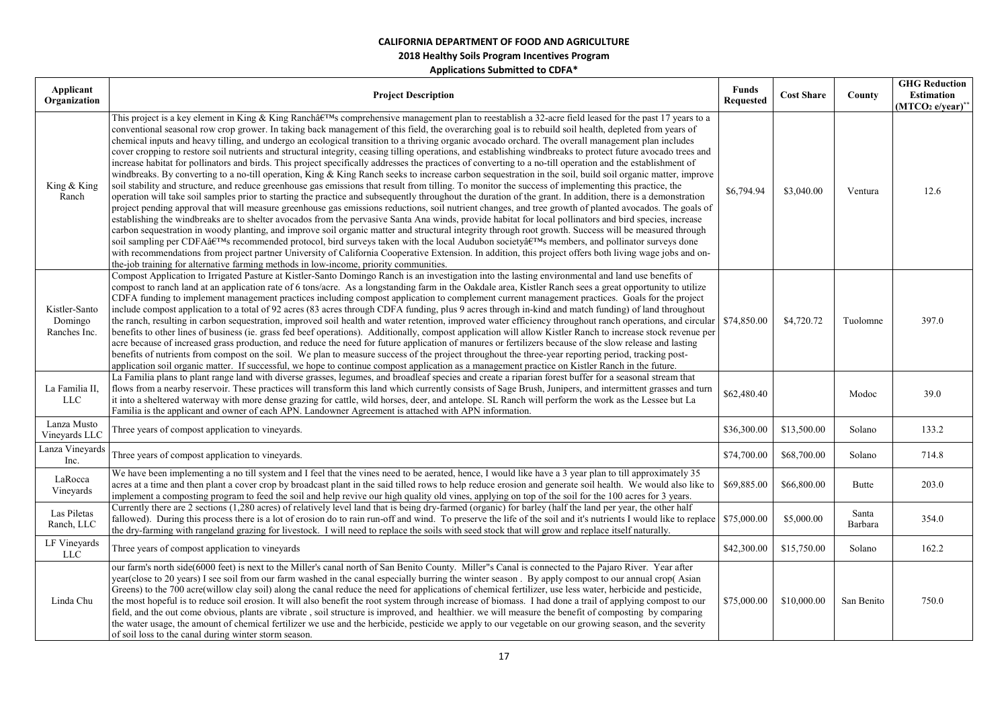| Applicant<br>Organization                | <b>Project Description</b>                                                                                                                                                                                                                                                                                                                                                                                                                                                                                                                                                                                                                                                                                                                                                                                                                                                                                                                                                                                                                                                                                                                                                                                                                                                                                                                                                                                                                                                                                                                                                                                                                                                                                                                                                                                                                                                                                                                                                                                                                                                                                                                                                     | <b>Funds</b><br><b>Requested</b> | <b>Cost Share</b> | County           | <b>GHG Reduction</b><br><b>Estimation</b><br>$(MTCO2 e/year)**$ |
|------------------------------------------|--------------------------------------------------------------------------------------------------------------------------------------------------------------------------------------------------------------------------------------------------------------------------------------------------------------------------------------------------------------------------------------------------------------------------------------------------------------------------------------------------------------------------------------------------------------------------------------------------------------------------------------------------------------------------------------------------------------------------------------------------------------------------------------------------------------------------------------------------------------------------------------------------------------------------------------------------------------------------------------------------------------------------------------------------------------------------------------------------------------------------------------------------------------------------------------------------------------------------------------------------------------------------------------------------------------------------------------------------------------------------------------------------------------------------------------------------------------------------------------------------------------------------------------------------------------------------------------------------------------------------------------------------------------------------------------------------------------------------------------------------------------------------------------------------------------------------------------------------------------------------------------------------------------------------------------------------------------------------------------------------------------------------------------------------------------------------------------------------------------------------------------------------------------------------------|----------------------------------|-------------------|------------------|-----------------------------------------------------------------|
| King & King<br>Ranch                     | This project is a key element in King & King Ranch's comprehensive management plan to reestablish a 32-acre field leased for the past 17 years to a<br>conventional seasonal row crop grower. In taking back management of this field, the overarching goal is to rebuild soil health, depleted from years of<br>chemical inputs and heavy tilling, and undergo an ecological transition to a thriving organic avocado orchard. The overall management plan includes<br>cover cropping to restore soil nutrients and structural integrity, ceasing tilling operations, and establishing windbreaks to protect future avocado trees and<br>increase habitat for pollinators and birds. This project specifically addresses the practices of converting to a no-till operation and the establishment of<br>windbreaks. By converting to a no-till operation, King & King Ranch seeks to increase carbon sequestration in the soil, build soil organic matter, improve<br>soil stability and structure, and reduce greenhouse gas emissions that result from tilling. To monitor the success of implementing this practice, the<br>operation will take soil samples prior to starting the practice and subsequently throughout the duration of the grant. In addition, there is a demonstration<br>project pending approval that will measure greenhouse gas emissions reductions, soil nutrient changes, and tree growth of planted avocados. The goals of<br>establishing the windbreaks are to shelter avocados from the pervasive Santa Ana winds, provide habitat for local pollinators and bird species, increase<br>carbon sequestration in woody planting, and improve soil organic matter and structural integrity through root growth. Success will be measured through<br>soil sampling per CDFA's recommended protocol, bird surveys taken with the local Audubon society's members, and pollinator surveys done<br>with recommendations from project partner University of California Cooperative Extension. In addition, this project offers both living wage jobs and on-<br>the-job training for alternative farming methods in low-income, priority communities. | \$6,794.94                       | \$3,040.00        | Ventura          | 12.6                                                            |
| Kistler-Santo<br>Domingo<br>Ranches Inc. | Compost Application to Irrigated Pasture at Kistler-Santo Domingo Ranch is an investigation into the lasting environmental and land use benefits of<br>compost to ranch land at an application rate of 6 tons/acre. As a longstanding farm in the Oakdale area, Kistler Ranch sees a great opportunity to utilize<br>CDFA funding to implement management practices including compost application to complement current management practices. Goals for the project<br>include compost application to a total of 92 acres (83 acres through CDFA funding, plus 9 acres through in-kind and match funding) of land throughout<br>the ranch, resulting in carbon sequestration, improved soil health and water retention, improved water efficiency throughout ranch operations, and circular \$74,850.00<br>benefits to other lines of business (ie. grass fed beef operations). Additionally, compost application will allow Kistler Ranch to increase stock revenue per<br>acre because of increased grass production, and reduce the need for future application of manures or fertilizers because of the slow release and lasting<br>benefits of nutrients from compost on the soil. We plan to measure success of the project throughout the three-year reporting period, tracking post-<br>application soil organic matter. If successful, we hope to continue compost application as a management practice on Kistler Ranch in the future.                                                                                                                                                                                                                                                                                                                                                                                                                                                                                                                                                                                                                                                                                                                               |                                  | \$4,720.72        | Tuolomne         | 397.0                                                           |
| La Familia II,<br><b>LLC</b>             | La Familia plans to plant range land with diverse grasses, legumes, and broadleaf species and create a riparian forest buffer for a seasonal stream that<br>flows from a nearby reservoir. These practices will transform this land which currently consists of Sage Brush, Junipers, and intermittent grasses and turn<br>it into a sheltered waterway with more dense grazing for cattle, wild horses, deer, and antelope. SL Ranch will perform the work as the Lessee but La<br>Familia is the applicant and owner of each APN. Landowner Agreement is attached with APN information.                                                                                                                                                                                                                                                                                                                                                                                                                                                                                                                                                                                                                                                                                                                                                                                                                                                                                                                                                                                                                                                                                                                                                                                                                                                                                                                                                                                                                                                                                                                                                                                      | \$62,480.40                      |                   | Modoc            | 39.0                                                            |
| Lanza Musto<br>Vineyards LLC             | Three years of compost application to vineyards.                                                                                                                                                                                                                                                                                                                                                                                                                                                                                                                                                                                                                                                                                                                                                                                                                                                                                                                                                                                                                                                                                                                                                                                                                                                                                                                                                                                                                                                                                                                                                                                                                                                                                                                                                                                                                                                                                                                                                                                                                                                                                                                               | \$36,300.00                      | \$13,500.00       | Solano           | 133.2                                                           |
| Lanza Vineyards<br>Inc.                  | Three years of compost application to vineyards.                                                                                                                                                                                                                                                                                                                                                                                                                                                                                                                                                                                                                                                                                                                                                                                                                                                                                                                                                                                                                                                                                                                                                                                                                                                                                                                                                                                                                                                                                                                                                                                                                                                                                                                                                                                                                                                                                                                                                                                                                                                                                                                               | \$74,700.00                      | \$68,700.00       | Solano           | 714.8                                                           |
| LaRocca<br>Vineyards                     | We have been implementing a no till system and I feel that the vines need to be aerated, hence, I would like have a 3 year plan to till approximately 35<br>acres at a time and then plant a cover crop by broadcast plant in the said tilled rows to help reduce erosion and generate soil health. We would also like to<br>implement a composting program to feed the soil and help revive our high quality old vines, applying on top of the soil for the 100 acres for 3 years.                                                                                                                                                                                                                                                                                                                                                                                                                                                                                                                                                                                                                                                                                                                                                                                                                                                                                                                                                                                                                                                                                                                                                                                                                                                                                                                                                                                                                                                                                                                                                                                                                                                                                            | \$69,885.00                      | \$66,800.00       | Butte            | 203.0                                                           |
| Las Piletas<br>Ranch, LLC                | Currently there are 2 sections (1,280 acres) of relatively level land that is being dry-farmed (organic) for barley (half the land per year, the other half<br>fallowed). During this process there is a lot of erosion do to rain run-off and wind. To preserve the life of the soil and it's nutrients I would like to replace \$75,000.00 \,<br>the dry-farming with rangeland grazing for livestock. I will need to replace the soils with seed stock that will grow and replace itself naturally.                                                                                                                                                                                                                                                                                                                                                                                                                                                                                                                                                                                                                                                                                                                                                                                                                                                                                                                                                                                                                                                                                                                                                                                                                                                                                                                                                                                                                                                                                                                                                                                                                                                                         |                                  | \$5,000.00        | Santa<br>Barbara | 354.0                                                           |
| LF Vineyards<br>LLC                      | Three years of compost application to vineyards                                                                                                                                                                                                                                                                                                                                                                                                                                                                                                                                                                                                                                                                                                                                                                                                                                                                                                                                                                                                                                                                                                                                                                                                                                                                                                                                                                                                                                                                                                                                                                                                                                                                                                                                                                                                                                                                                                                                                                                                                                                                                                                                | \$42,300.00                      | \$15,750.00       | Solano           | 162.2                                                           |
| Linda Chu                                | our farm's north side(6000 feet) is next to the Miller's canal north of San Benito County. Miller"s Canal is connected to the Pajaro River. Year after<br>year(close to 20 years) I see soil from our farm washed in the canal especially burring the winter season. By apply compost to our annual crop(Asian<br>Greens) to the 700 acre(willow clay soil) along the canal reduce the need for applications of chemical fertilizer, use less water, herbicide and pesticide,<br>the most hopeful is to reduce soil erosion. It will also benefit the root system through increase of biomass. I had done a trail of applying compost to our<br>field, and the out come obvious, plants are vibrate, soil structure is improved, and healthier. we will measure the benefit of composting by comparing<br>the water usage, the amount of chemical fertilizer we use and the herbicide, pesticide we apply to our vegetable on our growing season, and the severity<br>of soil loss to the canal during winter storm season.                                                                                                                                                                                                                                                                                                                                                                                                                                                                                                                                                                                                                                                                                                                                                                                                                                                                                                                                                                                                                                                                                                                                                    | \$75,000.00                      | \$10,000.00       | San Benito       | 750.0                                                           |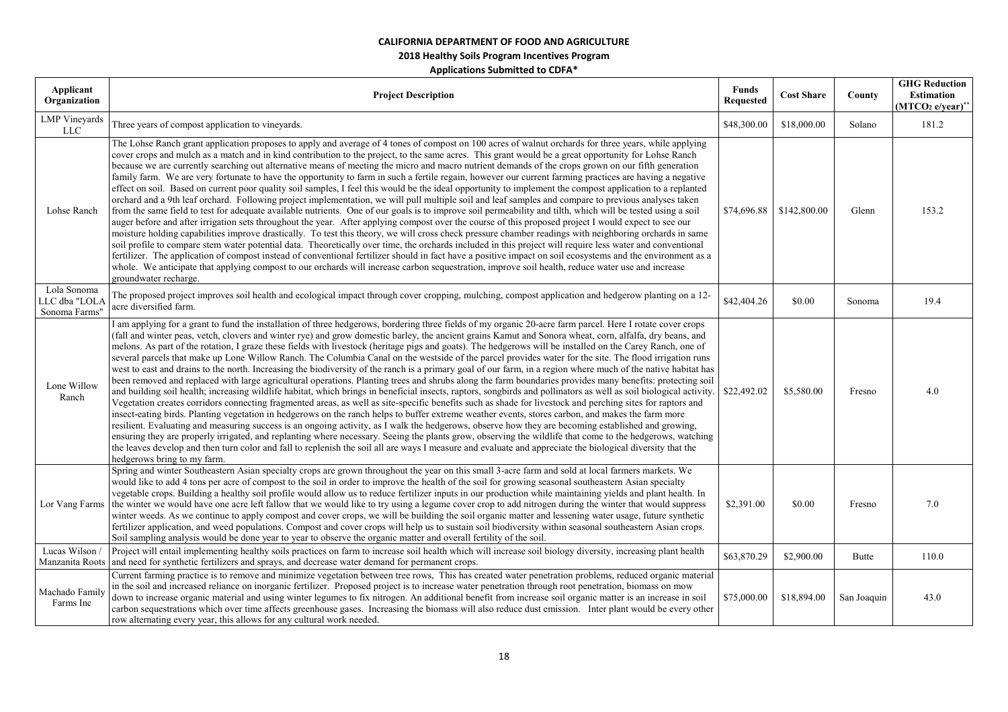## **2018 Healthy Soils Program Incentives Program**

| Applicant<br>Organization                    | <b>Project Description</b>                                                                                                                                                                                                                                                                                                                                                                                                                                                                                                                                                                                                                                                                                                                                                                                                                                                                                                                                                                                                                                                                                                                                                                                                                                                                                                                                                                                                                                                                                                                                                                                                                                                                                                                                                                                                                                                                                                                                                                           | <b>Funds</b><br><b>Requested</b> | <b>Cost Share</b> | County      | <b>GHG Reduction</b><br><b>Estimation</b><br>$(MTCO2 e/year)$ * |
|----------------------------------------------|------------------------------------------------------------------------------------------------------------------------------------------------------------------------------------------------------------------------------------------------------------------------------------------------------------------------------------------------------------------------------------------------------------------------------------------------------------------------------------------------------------------------------------------------------------------------------------------------------------------------------------------------------------------------------------------------------------------------------------------------------------------------------------------------------------------------------------------------------------------------------------------------------------------------------------------------------------------------------------------------------------------------------------------------------------------------------------------------------------------------------------------------------------------------------------------------------------------------------------------------------------------------------------------------------------------------------------------------------------------------------------------------------------------------------------------------------------------------------------------------------------------------------------------------------------------------------------------------------------------------------------------------------------------------------------------------------------------------------------------------------------------------------------------------------------------------------------------------------------------------------------------------------------------------------------------------------------------------------------------------------|----------------------------------|-------------------|-------------|-----------------------------------------------------------------|
| <b>LMP</b> Vineyards<br><b>LLC</b>           | Three years of compost application to vineyards.                                                                                                                                                                                                                                                                                                                                                                                                                                                                                                                                                                                                                                                                                                                                                                                                                                                                                                                                                                                                                                                                                                                                                                                                                                                                                                                                                                                                                                                                                                                                                                                                                                                                                                                                                                                                                                                                                                                                                     | \$48,300.00                      | \$18,000.00       | Solano      | 181.2                                                           |
| Lohse Ranch                                  | The Lohse Ranch grant application proposes to apply and average of 4 tones of compost on 100 acres of walnut orchards for three years, while applying<br>cover crops and mulch as a match and in kind contribution to the project, to the same acres. This grant would be a great opportunity for Lohse Ranch<br>because we are currently searching out alternative means of meeting the micro and macro nutrient demands of the crops grown on our fifth generation<br>family farm. We are very fortunate to have the opportunity to farm in such a fertile regain, however our current farming practices are having a negative<br>effect on soil. Based on current poor quality soil samples, I feel this would be the ideal opportunity to implement the compost application to a replanted<br>orchard and a 9th leaf orchard. Following project implementation, we will pull multiple soil and leaf samples and compare to previous analyses taken<br>from the same field to test for adequate available nutrients. One of our goals is to improve soil permeability and tilth, which will be tested using a soil<br>auger before and after irrigation sets throughout the year. After applying compost over the course of this proposed project I would expect to see our<br>moisture holding capabilities improve drastically. To test this theory, we will cross check pressure chamber readings with neighboring orchards in same<br>soil profile to compare stem water potential data. Theoretically over time, the orchards included in this project will require less water and conventional<br>fertilizer. The application of compost instead of conventional fertilizer should in fact have a positive impact on soil ecosystems and the environment as a<br>whole. We anticipate that applying compost to our orchards will increase carbon sequestration, improve soil health, reduce water use and increase<br>groundwater recharge.                                                 | \$74,696.88                      | \$142,800.00      | Glenn       | 153.2                                                           |
| Lola Sonoma<br>LC dba "LOLA<br>Sonoma Farms' | The proposed project improves soil health and ecological impact through cover cropping, mulching, compost application and hedgerow planting on a 12-<br>acre diversified farm.                                                                                                                                                                                                                                                                                                                                                                                                                                                                                                                                                                                                                                                                                                                                                                                                                                                                                                                                                                                                                                                                                                                                                                                                                                                                                                                                                                                                                                                                                                                                                                                                                                                                                                                                                                                                                       | \$42,404.26                      | \$0.00            | Sonoma      | 19.4                                                            |
| Lone Willow<br>Ranch                         | I am applying for a grant to fund the installation of three hedgerows, bordering three fields of my organic 20-acre farm parcel. Here I rotate cover crops<br>(fall and winter peas, vetch, clovers and winter rye) and grow domestic barley, the ancient grains Kamut and Sonora wheat, corn, alfalfa, dry beans, and<br>melons. As part of the rotation, I graze these fields with livestock (heritage pigs and goats). The hedgerows will be installed on the Carey Ranch, one of<br>several parcels that make up Lone Willow Ranch. The Columbia Canal on the westside of the parcel provides water for the site. The flood irrigation runs<br>west to east and drains to the north. Increasing the biodiversity of the ranch is a primary goal of our farm, in a region where much of the native habitat has<br>been removed and replaced with large agricultural operations. Planting trees and shrubs along the farm boundaries provides many benefits: protecting soil<br>and building soil health; increasing wildlife habitat, which brings in beneficial insects, raptors, songbirds and pollinators as well as soil biological activity. \$22,492.02<br>Vegetation creates corridors connecting fragmented areas, as well as site-specific benefits such as shade for livestock and perching sites for raptors and<br>insect-eating birds. Planting vegetation in hedgerows on the ranch helps to buffer extreme weather events, stores carbon, and makes the farm more<br>resilient. Evaluating and measuring success is an ongoing activity, as I walk the hedgerows, observe how they are becoming established and growing,<br>ensuring they are properly irrigated, and replanting where necessary. Seeing the plants grow, observing the wildlife that come to the hedgerows, watching<br>the leaves develop and then turn color and fall to replenish the soil all are ways I measure and evaluate and appreciate the biological diversity that the<br>hedgerows bring to my farm. |                                  | \$5,580.00        | Fresno      | 4.0                                                             |
|                                              | Spring and winter Southeastern Asian specialty crops are grown throughout the year on this small 3-acre farm and sold at local farmers markets. We<br>would like to add 4 tons per acre of compost to the soil in order to improve the health of the soil for growing seasonal southeastern Asian specialty<br>vegetable crops. Building a healthy soil profile would allow us to reduce fertilizer inputs in our production while maintaining yields and plant health. In<br>Lor Vang Farms the winter we would have one acre left fallow that we would like to try using a legume cover crop to add nitrogen during the winter that would suppress<br>winter weeds. As we continue to apply compost and cover crops, we will be building the soil organic matter and lessening water usage, future synthetic<br>fertilizer application, and weed populations. Compost and cover crops will help us to sustain soil biodiversity within seasonal southeastern Asian crops.<br>Soil sampling analysis would be done year to year to observe the organic matter and overall fertility of the soil.                                                                                                                                                                                                                                                                                                                                                                                                                                                                                                                                                                                                                                                                                                                                                                                                                                                                                                    | \$2,391.00                       | \$0.00            | Fresno      | 7.0                                                             |
| Lucas Wilson                                 | Project will entail implementing healthy soils practices on farm to increase soil health which will increase soil biology diversity, increasing plant health<br>Manzanita Roots and need for synthetic fertilizers and sprays, and decrease water demand for permanent crops.                                                                                                                                                                                                                                                                                                                                                                                                                                                                                                                                                                                                                                                                                                                                                                                                                                                                                                                                                                                                                                                                                                                                                                                                                                                                                                                                                                                                                                                                                                                                                                                                                                                                                                                        | \$63,870.29                      | \$2,900.00        | Butte       | 110.0                                                           |
| Machado Family<br>Farms Inc                  | Current farming practice is to remove and minimize vegetation between tree rows, This has created water penetration problems, reduced organic material<br>in the soil and increased reliance on inorganic fertilizer. Proposed project is to increase water penetration through root penetration, biomass on mow<br>down to increase organic material and using winter legumes to fix nitrogen. An additional benefit from increase soil organic matter is an increase in soil<br>carbon sequestrations which over time affects greenhouse gases. Increasing the biomass will also reduce dust emission. Inter plant would be every other<br>row alternating every year, this allows for any cultural work needed.                                                                                                                                                                                                                                                                                                                                                                                                                                                                                                                                                                                                                                                                                                                                                                                                                                                                                                                                                                                                                                                                                                                                                                                                                                                                                   | \$75,000.00                      | \$18,894.00       | San Joaquin | 43.0                                                            |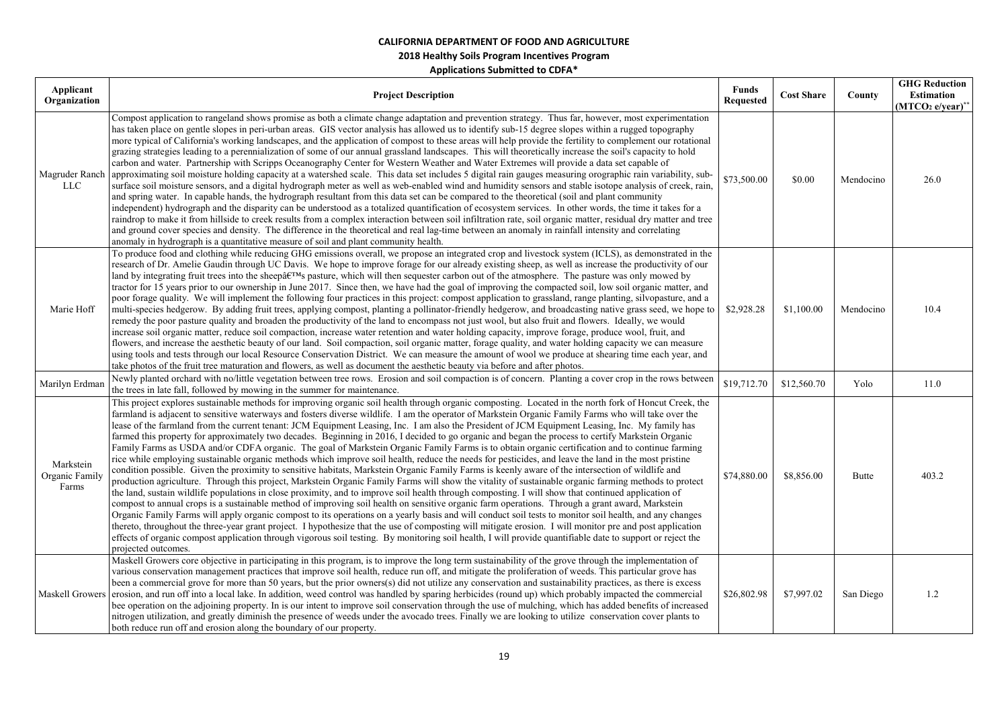| Applicant<br>Organization            | <b>Project Description</b>                                                                                                                                                                                                                                                                                                                                                                                                                                                                                                                                                                                                                                                                                                                                                                                                                                                                                                                                                                                                                                                                                                                                                                                                                                                                                                                                                                                                                                                                                                                                                                                                                                                                                                                                                                                                                                                                                                                                                                                                                                             | <b>Funds</b><br><b>Requested</b> | <b>Cost Share</b> | County    | <b>GHG Reduction</b><br><b>Estimation</b><br>$(MTCO2 e/year)*$ |
|--------------------------------------|------------------------------------------------------------------------------------------------------------------------------------------------------------------------------------------------------------------------------------------------------------------------------------------------------------------------------------------------------------------------------------------------------------------------------------------------------------------------------------------------------------------------------------------------------------------------------------------------------------------------------------------------------------------------------------------------------------------------------------------------------------------------------------------------------------------------------------------------------------------------------------------------------------------------------------------------------------------------------------------------------------------------------------------------------------------------------------------------------------------------------------------------------------------------------------------------------------------------------------------------------------------------------------------------------------------------------------------------------------------------------------------------------------------------------------------------------------------------------------------------------------------------------------------------------------------------------------------------------------------------------------------------------------------------------------------------------------------------------------------------------------------------------------------------------------------------------------------------------------------------------------------------------------------------------------------------------------------------------------------------------------------------------------------------------------------------|----------------------------------|-------------------|-----------|----------------------------------------------------------------|
| Magruder Ranch<br>LLC                | Compost application to rangeland shows promise as both a climate change adaptation and prevention strategy. Thus far, however, most experimentation<br>has taken place on gentle slopes in peri-urban areas. GIS vector analysis has allowed us to identify sub-15 degree slopes within a rugged topography<br>more typical of California's working landscapes, and the application of compost to these areas will help provide the fertility to complement our rotational<br>grazing strategies leading to a perennialization of some of our annual grassland landscapes. This will theoretically increase the soil's capacity to hold<br>carbon and water. Partnership with Scripps Oceanography Center for Western Weather and Water Extremes will provide a data set capable of<br>approximating soil moisture holding capacity at a watershed scale. This data set includes 5 digital rain gauges measuring orographic rain variability, sub-<br>surface soil moisture sensors, and a digital hydrograph meter as well as web-enabled wind and humidity sensors and stable isotope analysis of creek, rain,<br>and spring water. In capable hands, the hydrograph resultant from this data set can be compared to the theoretical (soil and plant community<br>independent) hydrograph and the disparity can be understood as a totalized quantification of ecosystem services. In other words, the time it takes for a<br>raindrop to make it from hillside to creek results from a complex interaction between soil infiltration rate, soil organic matter, residual dry matter and tree<br>and ground cover species and density. The difference in the theoretical and real lag-time between an anomaly in rainfall intensity and correlating<br>anomaly in hydrograph is a quantitative measure of soil and plant community health.                                                                                                                                                                                                                           | \$73,500.00                      | \$0.00            | Mendocino | 26.0                                                           |
| Marie Hoff                           | To produce food and clothing while reducing GHG emissions overall, we propose an integrated crop and livestock system (ICLS), as demonstrated in the<br>research of Dr. Amelie Gaudin through UC Davis. We hope to improve forage for our already existing sheep, as well as increase the productivity of our<br>land by integrating fruit trees into the sheep's pasture, which will then sequester carbon out of the atmosphere. The pasture was only mowed by<br>tractor for 15 years prior to our ownership in June 2017. Since then, we have had the goal of improving the compacted soil, low soil organic matter, and<br>poor forage quality. We will implement the following four practices in this project: compost application to grassland, range planting, silvopasture, and a<br>multi-species hedgerow. By adding fruit trees, applying compost, planting a pollinator-friendly hedgerow, and broadcasting native grass seed, we hope to<br>remedy the poor pasture quality and broaden the productivity of the land to encompass not just wool, but also fruit and flowers. Ideally, we would<br>increase soil organic matter, reduce soil compaction, increase water retention and water holding capacity, improve forage, produce wool, fruit, and<br>flowers, and increase the aesthetic beauty of our land. Soil compaction, soil organic matter, forage quality, and water holding capacity we can measure<br>using tools and tests through our local Resource Conservation District. We can measure the amount of wool we produce at shearing time each year, and<br>take photos of the fruit tree maturation and flowers, as well as document the aesthetic beauty via before and after photos.                                                                                                                                                                                                                                                                                                                                                  | \$2,928.28                       | \$1,100.00        | Mendocino | 10.4                                                           |
| Marilyn Erdman                       | Newly planted orchard with no/little vegetation between tree rows. Erosion and soil compaction is of concern. Planting a cover crop in the rows between<br>the trees in late fall, followed by mowing in the summer for maintenance.                                                                                                                                                                                                                                                                                                                                                                                                                                                                                                                                                                                                                                                                                                                                                                                                                                                                                                                                                                                                                                                                                                                                                                                                                                                                                                                                                                                                                                                                                                                                                                                                                                                                                                                                                                                                                                   | \$19,712.70                      | \$12,560.70       | Yolo      | 11.0                                                           |
| Markstein<br>Organic Family<br>Farms | This project explores sustainable methods for improving organic soil health through organic composting. Located in the north fork of Honcut Creek, the<br>farmland is adjacent to sensitive waterways and fosters diverse wildlife. I am the operator of Markstein Organic Family Farms who will take over the<br>lease of the farmland from the current tenant: JCM Equipment Leasing, Inc. I am also the President of JCM Equipment Leasing, Inc. My family has<br>farmed this property for approximately two decades. Beginning in 2016, I decided to go organic and began the process to certify Markstein Organic<br>Family Farms as USDA and/or CDFA organic. The goal of Markstein Organic Family Farms is to obtain organic certification and to continue farming<br>rice while employing sustainable organic methods which improve soil health, reduce the needs for pesticides, and leave the land in the most pristine<br>condition possible. Given the proximity to sensitive habitats, Markstein Organic Family Farms is keenly aware of the intersection of wildlife and<br>production agriculture. Through this project, Markstein Organic Family Farms will show the vitality of sustainable organic farming methods to protect<br>the land, sustain wildlife populations in close proximity, and to improve soil health through composting. I will show that continued application of<br>compost to annual crops is a sustainable method of improving soil health on sensitive organic farm operations. Through a grant award, Markstein<br>Organic Family Farms will apply organic compost to its operations on a yearly basis and will conduct soil tests to monitor soil health, and any changes<br>thereto, throughout the three-year grant project. I hypothesize that the use of composting will mitigate erosion. I will monitor pre and post application<br>effects of organic compost application through vigorous soil testing. By monitoring soil health, I will provide quantifiable date to support or reject the<br>projected outcomes. | \$74,880.00                      | \$8,856.00        | Butte     | 403.2                                                          |
| Maskell Growers                      | Maskell Growers core objective in participating in this program, is to improve the long term sustainability of the grove through the implementation of<br>various conservation management practices that improve soil health, reduce run off, and mitigate the proliferation of weeds. This particular grove has<br>been a commercial grove for more than 50 years, but the prior owners(s) did not utilize any conservation and sustainability practices, as there is excess<br>erosion, and run off into a local lake. In addition, weed control was handled by sparing herbicides (round up) which probably impacted the commercial<br>bee operation on the adjoining property. In is our intent to improve soil conservation through the use of mulching, which has added benefits of increased<br>nitrogen utilization, and greatly diminish the presence of weeds under the avocado trees. Finally we are looking to utilize conservation cover plants to<br>both reduce run off and erosion along the boundary of our property.                                                                                                                                                                                                                                                                                                                                                                                                                                                                                                                                                                                                                                                                                                                                                                                                                                                                                                                                                                                                                                 | \$26,802.98                      | \$7,997.02        | San Diego | 1.2                                                            |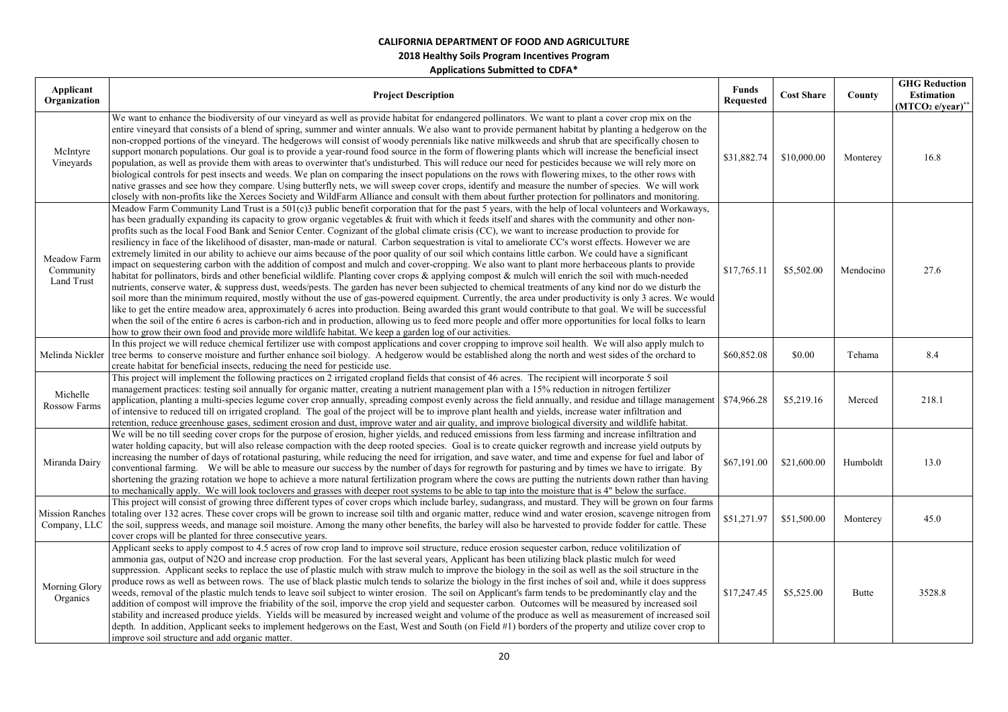| Applicant                              |                                                                                                                                                                                                                                                                                                                                                                                                                                                                                                                                                                                                                                                                                                                                                                                                                                                                                                                                                                                                                                                                                                                                                                                                                                                                                                                                                                                                                                                                                                                                                                                                                                                                                                                                                                                                                                                        | <b>Funds</b>     |                   |           | <b>GHG Reduction</b>         |
|----------------------------------------|--------------------------------------------------------------------------------------------------------------------------------------------------------------------------------------------------------------------------------------------------------------------------------------------------------------------------------------------------------------------------------------------------------------------------------------------------------------------------------------------------------------------------------------------------------------------------------------------------------------------------------------------------------------------------------------------------------------------------------------------------------------------------------------------------------------------------------------------------------------------------------------------------------------------------------------------------------------------------------------------------------------------------------------------------------------------------------------------------------------------------------------------------------------------------------------------------------------------------------------------------------------------------------------------------------------------------------------------------------------------------------------------------------------------------------------------------------------------------------------------------------------------------------------------------------------------------------------------------------------------------------------------------------------------------------------------------------------------------------------------------------------------------------------------------------------------------------------------------------|------------------|-------------------|-----------|------------------------------|
| Organization                           | <b>Project Description</b>                                                                                                                                                                                                                                                                                                                                                                                                                                                                                                                                                                                                                                                                                                                                                                                                                                                                                                                                                                                                                                                                                                                                                                                                                                                                                                                                                                                                                                                                                                                                                                                                                                                                                                                                                                                                                             | <b>Requested</b> | <b>Cost Share</b> | County    | Estimation                   |
|                                        |                                                                                                                                                                                                                                                                                                                                                                                                                                                                                                                                                                                                                                                                                                                                                                                                                                                                                                                                                                                                                                                                                                                                                                                                                                                                                                                                                                                                                                                                                                                                                                                                                                                                                                                                                                                                                                                        |                  |                   |           | (MTCO <sub>2</sub> e/year)** |
| McIntyre<br>Vineyards                  | We want to enhance the biodiversity of our vineyard as well as provide habitat for endangered pollinators. We want to plant a cover crop mix on the<br>entire vineyard that consists of a blend of spring, summer and winter annuals. We also want to provide permanent habitat by planting a hedgerow on the<br>non-cropped portions of the vineyard. The hedgerows will consist of woody perennials like native milkweeds and shrub that are specifically chosen to<br>support monarch populations. Our goal is to provide a year-round food source in the form of flowering plants which will increase the beneficial insect<br>population, as well as provide them with areas to overwinter that's undisturbed. This will reduce our need for pesticides because we will rely more on<br>biological controls for pest insects and weeds. We plan on comparing the insect populations on the rows with flowering mixes, to the other rows with<br>native grasses and see how they compare. Using butterfly nets, we will sweep cover crops, identify and measure the number of species. We will work<br>closely with non-profits like the Xerces Society and WildFarm Alliance and consult with them about further protection for pollinators and monitoring.                                                                                                                                                                                                                                                                                                                                                                                                                                                                                                                                                                                       | \$31,882.74      | \$10,000.00       | Monterey  | 16.8                         |
| Meadow Farm<br>Community<br>Land Trust | Meadow Farm Community Land Trust is a 501(c)3 public benefit corporation that for the past 5 years, with the help of local volunteers and Workaways,<br>has been gradually expanding its capacity to grow organic vegetables & fruit with which it feeds itself and shares with the community and other non-<br>profits such as the local Food Bank and Senior Center. Cognizant of the global climate crisis (CC), we want to increase production to provide for<br>resiliency in face of the likelihood of disaster, man-made or natural. Carbon sequestration is vital to ameliorate CC's worst effects. However we are<br>extremely limited in our ability to achieve our aims because of the poor quality of our soil which contains little carbon. We could have a significant<br>impact on sequestering carbon with the addition of compost and mulch and cover-cropping. We also want to plant more herbaceous plants to provide<br>habitat for pollinators, birds and other beneficial wildlife. Planting cover crops & applying compost & mulch will enrich the soil with much-needed<br>nutrients, conserve water, & suppress dust, weeds/pests. The garden has never been subjected to chemical treatments of any kind nor do we disturb the<br>soil more than the minimum required, mostly without the use of gas-powered equipment. Currently, the area under productivity is only 3 acres. We would<br>like to get the entire meadow area, approximately 6 acres into production. Being awarded this grant would contribute to that goal. We will be successful<br>when the soil of the entire 6 acres is carbon-rich and in production, allowing us to feed more people and offer more opportunities for local folks to learn<br>how to grow their own food and provide more wildlife habitat. We keep a garden log of our activities. | \$17,765.11      | \$5,502.00        | Mendocino | 27.6                         |
| Melinda Nickler                        | In this project we will reduce chemical fertilizer use with compost applications and cover cropping to improve soil health. We will also apply mulch to<br>tree berms to conserve moisture and further enhance soil biology. A hedgerow would be established along the north and west sides of the orchard to<br>create habitat for beneficial insects, reducing the need for pesticide use.                                                                                                                                                                                                                                                                                                                                                                                                                                                                                                                                                                                                                                                                                                                                                                                                                                                                                                                                                                                                                                                                                                                                                                                                                                                                                                                                                                                                                                                           | \$60,852.08      | \$0.00            | Tehama    | 8.4                          |
| Michelle<br>Rossow Farms               | This project will implement the following practices on 2 irrigated cropland fields that consist of 46 acres. The recipient will incorporate 5 soil<br>management practices: testing soil annually for organic matter, creating a nutrient management plan with a 15% reduction in nitrogen fertilizer<br>application, planting a multi-species legume cover crop annually, spreading compost evenly across the field annually, and residue and tillage management<br>of intensive to reduced till on irrigated cropland. The goal of the project will be to improve plant health and yields, increase water infiltration and<br>retention, reduce greenhouse gases, sediment erosion and dust, improve water and air quality, and improve biological diversity and wildlife habitat.                                                                                                                                                                                                                                                                                                                                                                                                                                                                                                                                                                                                                                                                                                                                                                                                                                                                                                                                                                                                                                                                   | \$74,966.28      | \$5,219.16        | Merced    | 218.1                        |
| Miranda Dairy                          | We will be no till seeding cover crops for the purpose of erosion, higher yields, and reduced emissions from less farming and increase infiltration and<br>water holding capacity, but will also release compaction with the deep rooted species. Goal is to create quicker regrowth and increase yield outputs by<br>increasing the number of days of rotational pasturing, while reducing the need for irrigation, and save water, and time and expense for fuel and labor of<br>conventional farming. We will be able to measure our success by the number of days for regrowth for pasturing and by times we have to irrigate. By<br>shortening the grazing rotation we hope to achieve a more natural fertilization program where the cows are putting the nutrients down rather than having<br>to mechanically apply. We will look toclovers and grasses with deeper root systems to be able to tap into the moisture that is 4" below the surface.                                                                                                                                                                                                                                                                                                                                                                                                                                                                                                                                                                                                                                                                                                                                                                                                                                                                                              | \$67,191.00      | \$21,600.00       | Humboldt  | 13.0                         |
|                                        | This project will consist of growing three different types of cover crops which include barley, sudangrass, and mustard. They will be grown on four farms<br>Mission Ranches totaling over 132 acres. These cover crops will be grown to increase soil tilth and organic matter, reduce wind and water erosion, scavenge nitrogen from<br>Company, LLC   the soil, suppress weeds, and manage soil moisture. Among the many other benefits, the barley will also be harvested to provide fodder for cattle. These<br>cover crops will be planted for three consecutive years.                                                                                                                                                                                                                                                                                                                                                                                                                                                                                                                                                                                                                                                                                                                                                                                                                                                                                                                                                                                                                                                                                                                                                                                                                                                                          | \$51,271.97      | \$51,500.00       | Monterey  | 45.0                         |
| Morning Glory<br>Organics              | Applicant seeks to apply compost to 4.5 acres of row crop land to improve soil structure, reduce erosion sequester carbon, reduce volitilization of<br>ammonia gas, output of N2O and increase crop production. For the last several years, Applicant has been utilizing black plastic mulch for weed<br>suppression. Applicant seeks to replace the use of plastic mulch with straw mulch to improve the biology in the soil as well as the soil structure in the<br>produce rows as well as between rows. The use of black plastic mulch tends to solarize the biology in the first inches of soil and, while it does suppress<br>weeds, removal of the plastic mulch tends to leave soil subject to winter erosion. The soil on Applicant's farm tends to be predominantly clay and the<br>addition of compost will improve the friability of the soil, imporve the crop yield and sequester carbon. Outcomes will be measured by increased soil<br>stability and increased produce yields. Yields will be measured by increased weight and volume of the produce as well as measurement of increased soil<br>depth. In addition, Applicant seeks to implement hedgerows on the East, West and South (on Field #1) borders of the property and utilize cover crop to<br>improve soil structure and add organic matter.                                                                                                                                                                                                                                                                                                                                                                                                                                                                                                                              | \$17,247.45      | \$5,525.00        | Butte     | 3528.8                       |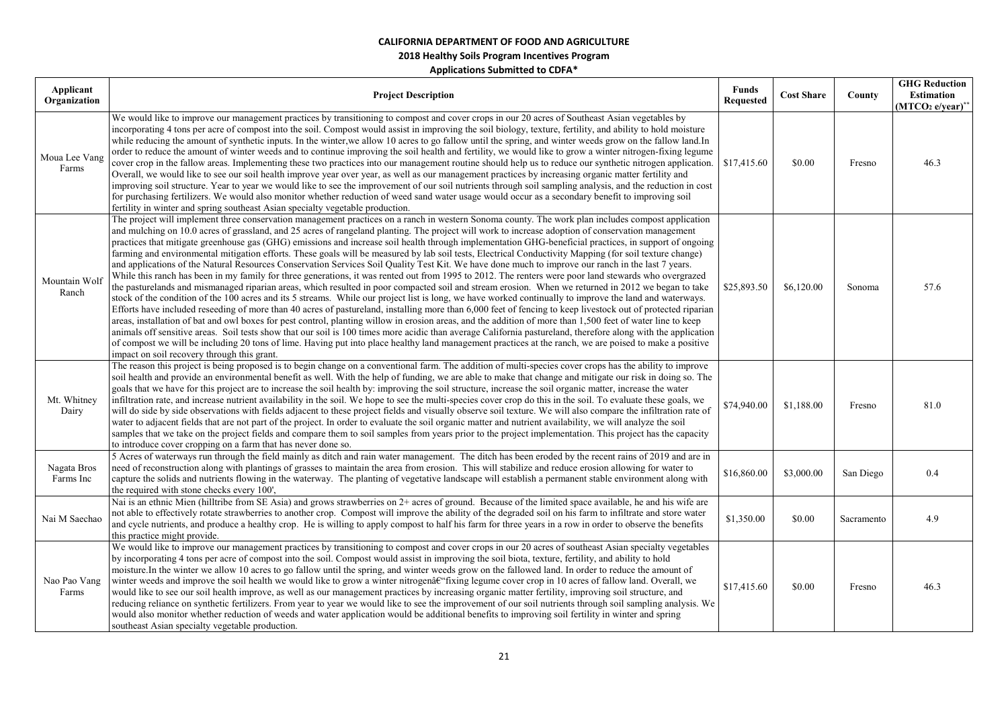| Applicant<br>Organization | <b>Project Description</b>                                                                                                                                                                                                                                                                                                                                                                                                                                                                                                                                                                                                                                                                                                                                                                                                                                                                                                                                                                                                                                                                                                                                                                                                                                                                                                                                                                                                                                                                                                                                                                                                                                                                                                                                                                                                                                                                                                                                                | <b>Funds</b><br><b>Requested</b> | <b>Cost Share</b> | County     | <b>GHG Reduction</b><br><b>Estimation</b><br>$(MTCO2 e/year)**$ |
|---------------------------|---------------------------------------------------------------------------------------------------------------------------------------------------------------------------------------------------------------------------------------------------------------------------------------------------------------------------------------------------------------------------------------------------------------------------------------------------------------------------------------------------------------------------------------------------------------------------------------------------------------------------------------------------------------------------------------------------------------------------------------------------------------------------------------------------------------------------------------------------------------------------------------------------------------------------------------------------------------------------------------------------------------------------------------------------------------------------------------------------------------------------------------------------------------------------------------------------------------------------------------------------------------------------------------------------------------------------------------------------------------------------------------------------------------------------------------------------------------------------------------------------------------------------------------------------------------------------------------------------------------------------------------------------------------------------------------------------------------------------------------------------------------------------------------------------------------------------------------------------------------------------------------------------------------------------------------------------------------------------|----------------------------------|-------------------|------------|-----------------------------------------------------------------|
| Moua Lee Vang<br>Farms    | We would like to improve our management practices by transitioning to compost and cover crops in our 20 acres of Southeast Asian vegetables by<br>incorporating 4 tons per acre of compost into the soil. Compost would assist in improving the soil biology, texture, fertility, and ability to hold moisture<br>while reducing the amount of synthetic inputs. In the winter, we allow 10 acres to go fallow until the spring, and winter weeds grow on the fallow land. In<br>order to reduce the amount of winter weeds and to continue improving the soil health and fertility, we would like to grow a winter nitrogen-fixing legume<br>cover crop in the fallow areas. Implementing these two practices into our management routine should help us to reduce our synthetic nitrogen application.<br>Overall, we would like to see our soil health improve year over year, as well as our management practices by increasing organic matter fertility and<br>improving soil structure. Year to year we would like to see the improvement of our soil nutrients through soil sampling analysis, and the reduction in cost<br>for purchasing fertilizers. We would also monitor whether reduction of weed sand water usage would occur as a secondary benefit to improving soil<br>fertility in winter and spring southeast Asian specialty vegetable production.                                                                                                                                                                                                                                                                                                                                                                                                                                                                                                                                                                                                     | \$17,415.60                      | \$0.00            | Fresno     | 46.3                                                            |
| Mountain Wolf<br>Ranch    | The project will implement three conservation management practices on a ranch in western Sonoma county. The work plan includes compost application<br>and mulching on 10.0 acres of grassland, and 25 acres of rangeland planting. The project will work to increase adoption of conservation management<br>practices that mitigate greenhouse gas (GHG) emissions and increase soil health through implementation GHG-beneficial practices, in support of ongoing<br>farming and environmental mitigation efforts. These goals will be measured by lab soil tests, Electrical Conductivity Mapping (for soil texture change)<br>and applications of the Natural Resources Conservation Services Soil Quality Test Kit. We have done much to improve our ranch in the last 7 years.<br>While this ranch has been in my family for three generations, it was rented out from 1995 to 2012. The renters were poor land stewards who overgrazed<br>the pasturelands and mismanaged riparian areas, which resulted in poor compacted soil and stream erosion. When we returned in 2012 we began to take<br>stock of the condition of the 100 acres and its 5 streams. While our project list is long, we have worked continually to improve the land and waterways.<br>Efforts have included reseeding of more than 40 acres of pastureland, installing more than 6,000 feet of fencing to keep livestock out of protected riparian<br>areas, installation of bat and owl boxes for pest control, planting willow in erosion areas, and the addition of more than 1,500 feet of water line to keep<br>animals off sensitive areas. Soil tests show that our soil is 100 times more acidic than average California pastureland, therefore along with the application<br>of compost we will be including 20 tons of lime. Having put into place healthy land management practices at the ranch, we are poised to make a positive<br>impact on soil recovery through this grant. | \$25,893.50                      | \$6,120.00        | Sonoma     | 57.6                                                            |
| Mt. Whitney<br>Dairy      | The reason this project is being proposed is to begin change on a conventional farm. The addition of multi-species cover crops has the ability to improve<br>soil health and provide an environmental benefit as well. With the help of funding, we are able to make that change and mitigate our risk in doing so. The<br>goals that we have for this project are to increase the soil health by: improving the soil structure, increase the soil organic matter, increase the water<br>infiltration rate, and increase nutrient availability in the soil. We hope to see the multi-species cover crop do this in the soil. To evaluate these goals, we<br>will do side by side observations with fields adjacent to these project fields and visually observe soil texture. We will also compare the infiltration rate of<br>water to adjacent fields that are not part of the project. In order to evaluate the soil organic matter and nutrient availability, we will analyze the soil<br>samples that we take on the project fields and compare them to soil samples from years prior to the project implementation. This project has the capacity<br>to introduce cover cropping on a farm that has never done so.                                                                                                                                                                                                                                                                                                                                                                                                                                                                                                                                                                                                                                                                                                                                                  | \$74,940.00                      | \$1,188.00        | Fresno     | 81.0                                                            |
| Nagata Bros<br>Farms Inc  | 5 Acres of waterways run through the field mainly as ditch and rain water management. The ditch has been eroded by the recent rains of 2019 and are in<br>need of reconstruction along with plantings of grasses to maintain the area from erosion. This will stabilize and reduce erosion allowing for water to<br>capture the solids and nutrients flowing in the waterway. The planting of vegetative landscape will establish a permanent stable environment along with<br>the required with stone checks every 100'.                                                                                                                                                                                                                                                                                                                                                                                                                                                                                                                                                                                                                                                                                                                                                                                                                                                                                                                                                                                                                                                                                                                                                                                                                                                                                                                                                                                                                                                 | \$16,860.00                      | \$3,000.00        | San Diego  | 0.4                                                             |
| Nai M Saechao             | Nai is an ethnic Mien (hilltribe from SE Asia) and grows strawberries on 2+ acres of ground. Because of the limited space available, he and his wife are<br>not able to effectively rotate strawberries to another crop. Compost will improve the ability of the degraded soil on his farm to infiltrate and store water<br>and cycle nutrients, and produce a healthy crop. He is willing to apply compost to half his farm for three years in a row in order to observe the benefits<br>this practice might provide.                                                                                                                                                                                                                                                                                                                                                                                                                                                                                                                                                                                                                                                                                                                                                                                                                                                                                                                                                                                                                                                                                                                                                                                                                                                                                                                                                                                                                                                    | \$1,350.00                       | \$0.00            | Sacramento | 4.9                                                             |
| Nao Pao Vang<br>Farms     | We would like to improve our management practices by transitioning to compost and cover crops in our 20 acres of southeast Asian specialty vegetables<br>by incorporating 4 tons per acre of compost into the soil. Compost would assist in improving the soil biota, texture, fertility, and ability to hold<br>moisture. In the winter we allow 10 acres to go fallow until the spring, and winter weeds grow on the fallowed land. In order to reduce the amount of<br>winter weeds and improve the soil health we would like to grow a winter nitrogen†"fixing legume cover crop in 10 acres of fallow land. Overall, we<br>would like to see our soil health improve, as well as our management practices by increasing organic matter fertility, improving soil structure, and<br>reducing reliance on synthetic fertilizers. From year to year we would like to see the improvement of our soil nutrients through soil sampling analysis. We<br>would also monitor whether reduction of weeds and water application would be additional benefits to improving soil fertility in winter and spring<br>southeast Asian specialty vegetable production.                                                                                                                                                                                                                                                                                                                                                                                                                                                                                                                                                                                                                                                                                                                                                                                                               | \$17,415.60                      | \$0.00            | Fresno     | 46.3                                                            |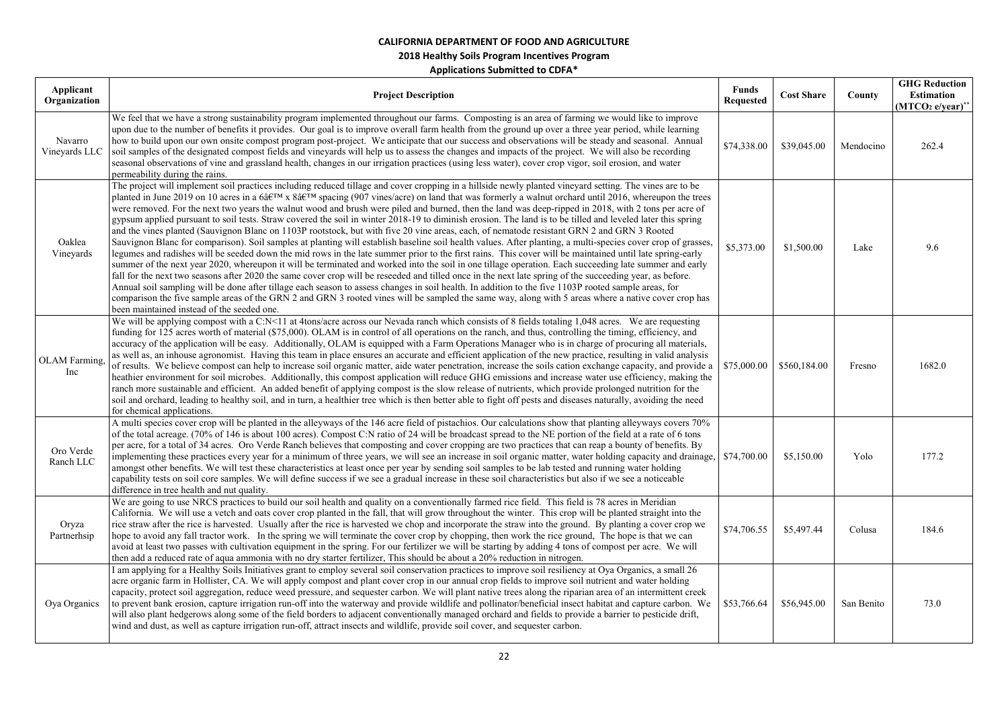| Applicant<br>Organization | <b>Project Description</b>                                                                                                                                                                                                                                                                                                                                                                                                                                                                                                                                                                                                                                                                                                                                                                                                                                                                                                                                                                                                                                                                                                                                                                                                                                                                                                                                                                                                                                                                                                                                                                                                                                                                                                                                                                                                | <b>Funds</b><br><b>Requested</b> | <b>Cost Share</b> | County     | <b>GHG Reduction</b><br><b>Estimation</b><br>$(MTCO2 e/year)$ ** |
|---------------------------|---------------------------------------------------------------------------------------------------------------------------------------------------------------------------------------------------------------------------------------------------------------------------------------------------------------------------------------------------------------------------------------------------------------------------------------------------------------------------------------------------------------------------------------------------------------------------------------------------------------------------------------------------------------------------------------------------------------------------------------------------------------------------------------------------------------------------------------------------------------------------------------------------------------------------------------------------------------------------------------------------------------------------------------------------------------------------------------------------------------------------------------------------------------------------------------------------------------------------------------------------------------------------------------------------------------------------------------------------------------------------------------------------------------------------------------------------------------------------------------------------------------------------------------------------------------------------------------------------------------------------------------------------------------------------------------------------------------------------------------------------------------------------------------------------------------------------|----------------------------------|-------------------|------------|------------------------------------------------------------------|
| Navarro<br>Vineyards LLC  | We feel that we have a strong sustainability program implemented throughout our farms. Composting is an area of farming we would like to improve<br>upon due to the number of benefits it provides. Our goal is to improve overall farm health from the ground up over a three year period, while learning<br>how to build upon our own onsite compost program post-project. We anticipate that our success and observations will be steady and seasonal. Annual<br>soil samples of the designated compost fields and vineyards will help us to assess the changes and impacts of the project. We will also be recording<br>seasonal observations of vine and grassland health, changes in our irrigation practices (using less water), cover crop vigor, soil erosion, and water<br>permeability during the rains.                                                                                                                                                                                                                                                                                                                                                                                                                                                                                                                                                                                                                                                                                                                                                                                                                                                                                                                                                                                                       | \$74,338.00                      | \$39,045.00       | Mendocino  | 262.4                                                            |
| Oaklea<br>Vineyards       | The project will implement soil practices including reduced tillage and cover cropping in a hillside newly planted vineyard setting. The vines are to be<br>planted in June 2019 on 10 acres in a 6 $\hat{a}$ ETM x $\hat{a}$ ETM spacing (907 vines/acre) on land that was formerly a walnut orchard until 2016, whereupon the trees<br>were removed. For the next two years the walnut wood and brush were piled and burned, then the land was deep-ripped in 2018, with 2 tons per acre of<br>gypsum applied pursuant to soil tests. Straw covered the soil in winter 2018-19 to diminish erosion. The land is to be tilled and leveled later this spring<br>and the vines planted (Sauvignon Blanc on 1103P rootstock, but with five 20 vine areas, each, of nematode resistant GRN 2 and GRN 3 Rooted<br>Sauvignon Blanc for comparison). Soil samples at planting will establish baseline soil health values. After planting, a multi-species cover crop of grasses,<br>legumes and radishes will be seeded down the mid rows in the late summer prior to the first rains. This cover will be maintained until late spring-early<br>summer of the next year 2020, whereupon it will be terminated and worked into the soil in one tillage operation. Each succeeding late summer and early<br>fall for the next two seasons after 2020 the same cover crop will be reseeded and tilled once in the next late spring of the succeeding year, as before.<br>Annual soil sampling will be done after tillage each season to assess changes in soil health. In addition to the five 1103P rooted sample areas, for<br>comparison the five sample areas of the GRN 2 and GRN 3 rooted vines will be sampled the same way, along with 5 areas where a native cover crop has<br>been maintained instead of the seeded one. | \$5,373.00                       | \$1,500.00        | Lake       | 9.6                                                              |
| OLAM Farming,<br>Inc      | We will be applying compost with a C:N<11 at 4tons/acre across our Nevada ranch which consists of 8 fields totaling 1,048 acres. We are requesting<br>funding for 125 acres worth of material (\$75,000). OLAM is in control of all operations on the ranch, and thus, controlling the timing, efficiency, and<br>accuracy of the application will be easy. Additionally, OLAM is equipped with a Farm Operations Manager who is in charge of procuring all materials,<br>as well as, an inhouse agronomist. Having this team in place ensures an accurate and efficient application of the new practice, resulting in valid analysis<br>of results. We believe compost can help to increase soil organic matter, aide water penetration, increase the soils cation exchange capacity, and provide a<br>heathier environment for soil microbes. Additionally, this compost application will reduce GHG emissions and increase water use efficiency, making the<br>ranch more sustainable and efficient. An added benefit of applying compost is the slow release of nutrients, which provide prolonged nutrition for the<br>soil and orchard, leading to healthy soil, and in turn, a healthier tree which is then better able to fight off pests and diseases naturally, avoiding the need<br>for chemical applications.                                                                                                                                                                                                                                                                                                                                                                                                                                                                                                 | \$75,000.00                      | \$560,184.00      | Fresno     | 1682.0                                                           |
| Oro Verde<br>Ranch LLC    | A multi species cover crop will be planted in the alleyways of the 146 acre field of pistachios. Our calculations show that planting alleyways covers 70%<br>of the total acreage. (70% of 146 is about 100 acres). Compost C:N ratio of 24 will be broadcast spread to the NE portion of the field at a rate of 6 tons<br>per acre, for a total of 34 acres. Oro Verde Ranch believes that composting and cover cropping are two practices that can reap a bounty of benefits. By<br>implementing these practices every year for a minimum of three years, we will see an increase in soil organic matter, water holding capacity and drainage, \$74,700.00<br>amongst other benefits. We will test these characteristics at least once per year by sending soil samples to be lab tested and running water holding<br>capability tests on soil core samples. We will define success if we see a gradual increase in these soil characteristics but also if we see a noticeable<br>difference in tree health and nut quality.                                                                                                                                                                                                                                                                                                                                                                                                                                                                                                                                                                                                                                                                                                                                                                                            |                                  | \$5,150.00        | Yolo       | 177.2                                                            |
| Oryza<br>Partnerhsip      | We are going to use NRCS practices to build our soil health and quality on a conventionally farmed rice field. This field is 78 acres in Meridian<br>California. We will use a vetch and oats cover crop planted in the fall, that will grow throughout the winter. This crop will be planted straight into the<br>rice straw after the rice is harvested. Usually after the rice is harvested we chop and incorporate the straw into the ground. By planting a cover crop we<br>hope to avoid any fall tractor work. In the spring we will terminate the cover crop by chopping, then work the rice ground, The hope is that we can<br>avoid at least two passes with cultivation equipment in the spring. For our fertilizer we will be starting by adding 4 tons of compost per acre. We will<br>then add a reduced rate of aqua ammonia with no dry starter fertilizer, This should be about a 20% reduction in nitrogen.                                                                                                                                                                                                                                                                                                                                                                                                                                                                                                                                                                                                                                                                                                                                                                                                                                                                                             | \$74,706.55                      | \$5,497.44        | Colusa     | 184.6                                                            |
| Oya Organics              | I am applying for a Healthy Soils Initiatives grant to employ several soil conservation practices to improve soil resiliency at Oya Organics, a small 26<br>acre organic farm in Hollister, CA. We will apply compost and plant cover crop in our annual crop fields to improve soil nutrient and water holding<br>capacity, protect soil aggregation, reduce weed pressure, and sequester carbon. We will plant native trees along the riparian area of an intermittent creek<br>to prevent bank erosion, capture irrigation run-off into the waterway and provide wildlife and pollinator/beneficial insect habitat and capture carbon. We<br>will also plant hedgerows along some of the field borders to adjacent conventionally managed orchard and fields to provide a barrier to pesticide drift,<br>wind and dust, as well as capture irrigation run-off, attract insects and wildlife, provide soil cover, and sequester carbon.                                                                                                                                                                                                                                                                                                                                                                                                                                                                                                                                                                                                                                                                                                                                                                                                                                                                                 | \$53,766.64                      | \$56,945.00       | San Benito | 73.0                                                             |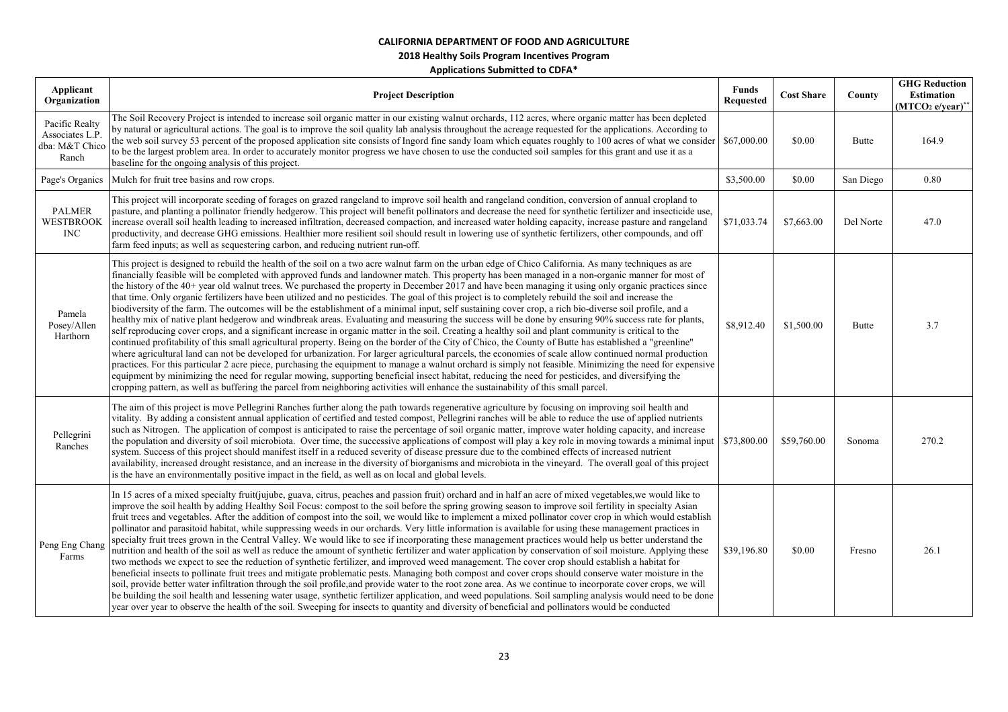**2018 Healthy Soils Program Incentives Program** 

| Applicant<br>Organization                                    | <b>Project Description</b>                                                                                                                                                                                                                                                                                                                                                                                                                                                                                                                                                                                                                                                                                                                                                                                                                                                                                                                                                                                                                                                                                                                                                                                                                                                                                                                                                                                                                                                                                                                                                                                                                                                                                                                                                                                                                                                                   | <b>Funds</b><br><b>Requested</b> | <b>Cost Share</b> | County       | <b>GHG Reduction</b><br><b>Estimation</b><br>$(MTCO2 e/year)^*$ |
|--------------------------------------------------------------|----------------------------------------------------------------------------------------------------------------------------------------------------------------------------------------------------------------------------------------------------------------------------------------------------------------------------------------------------------------------------------------------------------------------------------------------------------------------------------------------------------------------------------------------------------------------------------------------------------------------------------------------------------------------------------------------------------------------------------------------------------------------------------------------------------------------------------------------------------------------------------------------------------------------------------------------------------------------------------------------------------------------------------------------------------------------------------------------------------------------------------------------------------------------------------------------------------------------------------------------------------------------------------------------------------------------------------------------------------------------------------------------------------------------------------------------------------------------------------------------------------------------------------------------------------------------------------------------------------------------------------------------------------------------------------------------------------------------------------------------------------------------------------------------------------------------------------------------------------------------------------------------|----------------------------------|-------------------|--------------|-----------------------------------------------------------------|
| Pacific Realty<br>Associates L.P.<br>dba: M&T Chico<br>Ranch | The Soil Recovery Project is intended to increase soil organic matter in our existing walnut orchards, 112 acres, where organic matter has been depleted<br>by natural or agricultural actions. The goal is to improve the soil quality lab analysis throughout the acreage requested for the applications. According to<br>the web soil survey 53 percent of the proposed application site consists of Ingord fine sandy loam which equates roughly to 100 acres of what we consider \$67,000.00<br>to be the largest problem area. In order to accurately monitor progress we have chosen to use the conducted soil samples for this grant and use it as a<br>baseline for the ongoing analysis of this project.                                                                                                                                                                                                                                                                                                                                                                                                                                                                                                                                                                                                                                                                                                                                                                                                                                                                                                                                                                                                                                                                                                                                                                           |                                  | \$0.00            | <b>Butte</b> | 164.9                                                           |
| Page's Organics                                              | Mulch for fruit tree basins and row crops.                                                                                                                                                                                                                                                                                                                                                                                                                                                                                                                                                                                                                                                                                                                                                                                                                                                                                                                                                                                                                                                                                                                                                                                                                                                                                                                                                                                                                                                                                                                                                                                                                                                                                                                                                                                                                                                   | \$3,500.00                       | \$0.00            | San Diego    | 0.80                                                            |
| <b>PALMER</b><br>WESTBROOK<br><b>INC</b>                     | This project will incorporate seeding of forages on grazed rangeland to improve soil health and rangeland condition, conversion of annual cropland to<br>pasture, and planting a pollinator friendly hedgerow. This project will benefit pollinators and decrease the need for synthetic fertilizer and insecticide use,<br>increase overall soil health leading to increased infiltration, decreased compaction, and increased water holding capacity, increase pasture and rangeland<br>productivity, and decrease GHG emissions. Healthier more resilient soil should result in lowering use of synthetic fertilizers, other compounds, and off<br>farm feed inputs; as well as sequestering carbon, and reducing nutrient run-off.                                                                                                                                                                                                                                                                                                                                                                                                                                                                                                                                                                                                                                                                                                                                                                                                                                                                                                                                                                                                                                                                                                                                                       | \$71,033.74                      | \$7,663.00        | Del Norte    | 47.0                                                            |
| Pamela<br>Posey/Allen<br>Harthorn                            | This project is designed to rebuild the health of the soil on a two acre walnut farm on the urban edge of Chico California. As many techniques as are<br>financially feasible will be completed with approved funds and landowner match. This property has been managed in a non-organic manner for most of<br>the history of the 40+ year old walnut trees. We purchased the property in December 2017 and have been managing it using only organic practices since<br>that time. Only organic fertilizers have been utilized and no pesticides. The goal of this project is to completely rebuild the soil and increase the<br>biodiversity of the farm. The outcomes will be the establishment of a minimal input, self sustaining cover crop, a rich bio-diverse soil profile, and a<br>healthy mix of native plant hedgerow and windbreak areas. Evaluating and measuring the success will be done by ensuring 90% success rate for plants,<br>self reproducing cover crops, and a significant increase in organic matter in the soil. Creating a healthy soil and plant community is critical to the<br>continued profitability of this small agricultural property. Being on the border of the City of Chico, the County of Butte has established a "greenline"<br>where agricultural land can not be developed for urbanization. For larger agricultural parcels, the economies of scale allow continued normal production<br>practices. For this particular 2 acre piece, purchasing the equipment to manage a walnut orchard is simply not feasible. Minimizing the need for expensive<br>equipment by minimizing the need for regular mowing, supporting beneficial insect habitat, reducing the need for pesticides, and diversifying the<br>cropping pattern, as well as buffering the parcel from neighboring activities will enhance the sustainability of this small parcel. | \$8,912.40                       | \$1,500.00        | <b>Butte</b> | 3.7                                                             |
| Pellegrini<br>Ranches                                        | The aim of this project is move Pellegrini Ranches further along the path towards regenerative agriculture by focusing on improving soil health and<br>vitality. By adding a consistent annual application of certified and tested compost, Pellegrini ranches will be able to reduce the use of applied nutrients<br>such as Nitrogen. The application of compost is anticipated to raise the percentage of soil organic matter, improve water holding capacity, and increase<br>the population and diversity of soil microbiota. Over time, the successive applications of compost will play a key role in moving towards a minimal input<br>system. Success of this project should manifest itself in a reduced severity of disease pressure due to the combined effects of increased nutrient<br>availability, increased drought resistance, and an increase in the diversity of biorganisms and microbiota in the vineyard. The overall goal of this project<br>is the have an environmentally positive impact in the field, as well as on local and global levels.                                                                                                                                                                                                                                                                                                                                                                                                                                                                                                                                                                                                                                                                                                                                                                                                                     | \$73,800.00                      | \$59,760.00       | Sonoma       | 270.2                                                           |
| Peng Eng Chang<br>Farms                                      | In 15 acres of a mixed specialty fruit(jujube, guava, citrus, peaches and passion fruit) orchard and in half an acre of mixed vegetables, we would like to<br>improve the soil health by adding Healthy Soil Focus: compost to the soil before the spring growing season to improve soil fertility in specialty Asian<br>fruit trees and vegetables. After the addition of compost into the soil, we would like to implement a mixed pollinator cover crop in which would establish<br>pollinator and parasitoid habitat, while suppressing weeds in our orchards. Very little information is available for using these management practices in<br>specialty fruit trees grown in the Central Valley. We would like to see if incorporating these management practices would help us better understand the<br>nutrition and health of the soil as well as reduce the amount of synthetic fertilizer and water application by conservation of soil moisture. Applying these<br>two methods we expect to see the reduction of synthetic fertilizer, and improved weed management. The cover crop should establish a habitat for<br>beneficial insects to pollinate fruit trees and mitigate problematic pests. Managing both compost and cover crops should conserve water moisture in the<br>soil, provide better water infiltration through the soil profile, and provide water to the root zone area. As we continue to incorporate cover crops, we will<br>be building the soil health and lessening water usage, synthetic fertilizer application, and weed populations. Soil sampling analysis would need to be done<br>year over year to observe the health of the soil. Sweeping for insects to quantity and diversity of beneficial and pollinators would be conducted                                                                                                                | \$39,196.80                      | \$0.00            | Fresno       | 26.1                                                            |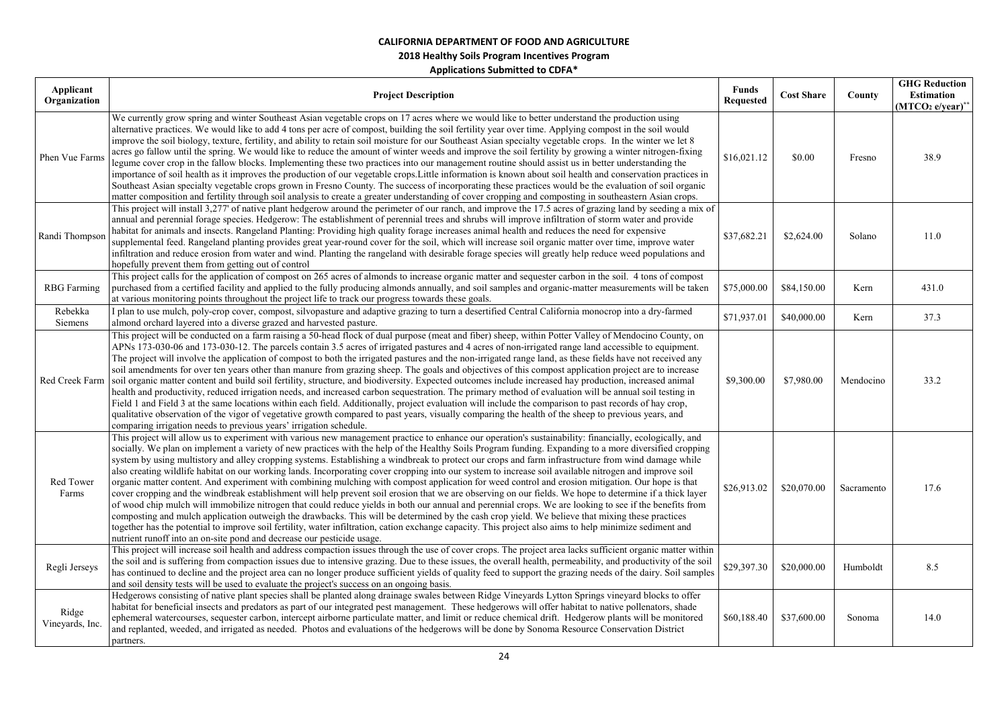| Applicant<br>Organization | <b>Project Description</b>                                                                                                                                                                                                                                                                                                                                                                                                                                                                                                                                                                                                                                                                                                                                                                                                                                                                                                                                                                                                                                                                                                                                                                                                                                                                                                                                                                                                                                                                              | <b>Funds</b><br><b>Requested</b> | <b>Cost Share</b> | County     | <b>GHG Reduction</b><br><b>Estimation</b><br>$(MTCO2 e/year)*$ |
|---------------------------|---------------------------------------------------------------------------------------------------------------------------------------------------------------------------------------------------------------------------------------------------------------------------------------------------------------------------------------------------------------------------------------------------------------------------------------------------------------------------------------------------------------------------------------------------------------------------------------------------------------------------------------------------------------------------------------------------------------------------------------------------------------------------------------------------------------------------------------------------------------------------------------------------------------------------------------------------------------------------------------------------------------------------------------------------------------------------------------------------------------------------------------------------------------------------------------------------------------------------------------------------------------------------------------------------------------------------------------------------------------------------------------------------------------------------------------------------------------------------------------------------------|----------------------------------|-------------------|------------|----------------------------------------------------------------|
| Phen Vue Farms            | We currently grow spring and winter Southeast Asian vegetable crops on 17 acres where we would like to better understand the production using<br>alternative practices. We would like to add 4 tons per acre of compost, building the soil fertility year over time. Applying compost in the soil would<br>improve the soil biology, texture, fertility, and ability to retain soil moisture for our Southeast Asian specialty vegetable crops. In the winter we let 8<br>acres go fallow until the spring. We would like to reduce the amount of winter weeds and improve the soil fertility by growing a winter nitrogen-fixing<br>legume cover crop in the fallow blocks. Implementing these two practices into our management routine should assist us in better understanding the<br>importance of soil health as it improves the production of our vegetable crops. Little information is known about soil health and conservation practices in<br>Southeast Asian specialty vegetable crops grown in Fresno County. The success of incorporating these practices would be the evaluation of soil organic<br>matter composition and fertility through soil analysis to create a greater understanding of cover cropping and composting in southeastern Asian crops.                                                                                                                                                                                                                               | \$16,021.12                      | \$0.00            | Fresno     | 38.9                                                           |
| Randi Thompson            | This project will install 3,277' of native plant hedgerow around the perimeter of our ranch, and improve the 17.5 acres of grazing land by seeding a mix of<br>annual and perennial forage species. Hedgerow: The establishment of perennial trees and shrubs will improve infiltration of storm water and provide<br>habitat for animals and insects. Rangeland Planting: Providing high quality forage increases animal health and reduces the need for expensive<br>supplemental feed. Rangeland planting provides great year-round cover for the soil, which will increase soil organic matter over time, improve water<br>infiltration and reduce erosion from water and wind. Planting the rangeland with desirable forage species will greatly help reduce weed populations and<br>hopefully prevent them from getting out of control                                                                                                                                                                                                                                                                                                                                                                                                                                                                                                                                                                                                                                                            | \$37,682.21                      | \$2,624.00        | Solano     | 11.0                                                           |
| <b>RBG</b> Farming        | This project calls for the application of compost on 265 acres of almonds to increase organic matter and sequester carbon in the soil. 4 tons of compost<br>purchased from a certified facility and applied to the fully producing almonds annually, and soil samples and organic-matter measurements will be taken<br>at various monitoring points throughout the project life to track our progress towards these goals.                                                                                                                                                                                                                                                                                                                                                                                                                                                                                                                                                                                                                                                                                                                                                                                                                                                                                                                                                                                                                                                                              | \$75,000.00                      | \$84,150.00       | Kern       | 431.0                                                          |
| Rebekka<br>Siemens        | plan to use mulch, poly-crop cover, compost, silvopasture and adaptive grazing to turn a desertified Central California monocrop into a dry-farmed<br>almond orchard layered into a diverse grazed and harvested pasture.                                                                                                                                                                                                                                                                                                                                                                                                                                                                                                                                                                                                                                                                                                                                                                                                                                                                                                                                                                                                                                                                                                                                                                                                                                                                               | \$71,937.01                      | \$40,000.00       | Kern       | 37.3                                                           |
|                           | This project will be conducted on a farm raising a 50-head flock of dual purpose (meat and fiber) sheep, within Potter Valley of Mendocino County, on<br>APNs 173-030-06 and 173-030-12. The parcels contain 3.5 acres of irrigated pastures and 4 acres of non-irrigated range land accessible to equipment.<br>The project will involve the application of compost to both the irrigated pastures and the non-irrigated range land, as these fields have not received any<br>soil amendments for over ten years other than manure from grazing sheep. The goals and objectives of this compost application project are to increase<br>Red Creek Farm soil organic matter content and build soil fertility, structure, and biodiversity. Expected outcomes include increased hay production, increased animal<br>health and productivity, reduced irrigation needs, and increased carbon sequestration. The primary method of evaluation will be annual soil testing in<br>Field 1 and Field 3 at the same locations within each field. Additionally, project evaluation will include the comparison to past records of hay crop,<br>qualitative observation of the vigor of vegetative growth compared to past years, visually comparing the health of the sheep to previous years, and<br>comparing irrigation needs to previous years' irrigation schedule.                                                                                                                                         | \$9,300.00                       | \$7,980.00        | Mendocino  | 33.2                                                           |
| Red Tower<br>Farms        | This project will allow us to experiment with various new management practice to enhance our operation's sustainability: financially, ecologically, and<br>socially. We plan on implement a variety of new practices with the help of the Healthy Soils Program funding. Expanding to a more diversified cropping<br>system by using multistory and alley cropping systems. Establishing a windbreak to protect our crops and farm infrastructure from wind damage while<br>also creating wildlife habitat on our working lands. Incorporating cover cropping into our system to increase soil available nitrogen and improve soil<br>organic matter content. And experiment with combining mulching with compost application for weed control and erosion mitigation. Our hope is that<br>cover cropping and the windbreak establishment will help prevent soil erosion that we are observing on our fields. We hope to determine if a thick layer<br>of wood chip mulch will immobilize nitrogen that could reduce yields in both our annual and perennial crops. We are looking to see if the benefits from<br>composting and mulch application outweigh the drawbacks. This will be determined by the cash crop yield. We believe that mixing these practices<br>together has the potential to improve soil fertility, water infiltration, cation exchange capacity. This project also aims to help minimize sediment and<br>nutrient runoff into an on-site pond and decrease our pesticide usage. | \$26,913.02                      | \$20,070.00       | Sacramento | 17.6                                                           |
| Regli Jerseys             | This project will increase soil health and address compaction issues through the use of cover crops. The project area lacks sufficient organic matter within<br>the soil and is suffering from compaction issues due to intensive grazing. Due to these issues, the overall health, permeability, and productivity of the soil<br>has continued to decline and the project area can no longer produce sufficient yields of quality feed to support the grazing needs of the dairy. Soil samples<br>and soil density tests will be used to evaluate the project's success on an ongoing basis.                                                                                                                                                                                                                                                                                                                                                                                                                                                                                                                                                                                                                                                                                                                                                                                                                                                                                                           | \$29,397.30                      | \$20,000.00       | Humboldt   | 8.5                                                            |
| Ridge<br>Vineyards, Inc.  | Hedgerows consisting of native plant species shall be planted along drainage swales between Ridge Vineyards Lytton Springs vineyard blocks to offer<br>habitat for beneficial insects and predators as part of our integrated pest management. These hedgerows will offer habitat to native pollenators, shade<br>ephemeral watercourses, sequester carbon, intercept airborne particulate matter, and limit or reduce chemical drift. Hedgerow plants will be monitored<br>and replanted, weeded, and irrigated as needed. Photos and evaluations of the hedgerows will be done by Sonoma Resource Conservation District<br>partners.                                                                                                                                                                                                                                                                                                                                                                                                                                                                                                                                                                                                                                                                                                                                                                                                                                                                  | \$60,188.40                      | \$37,600.00       | Sonoma     | 14.0                                                           |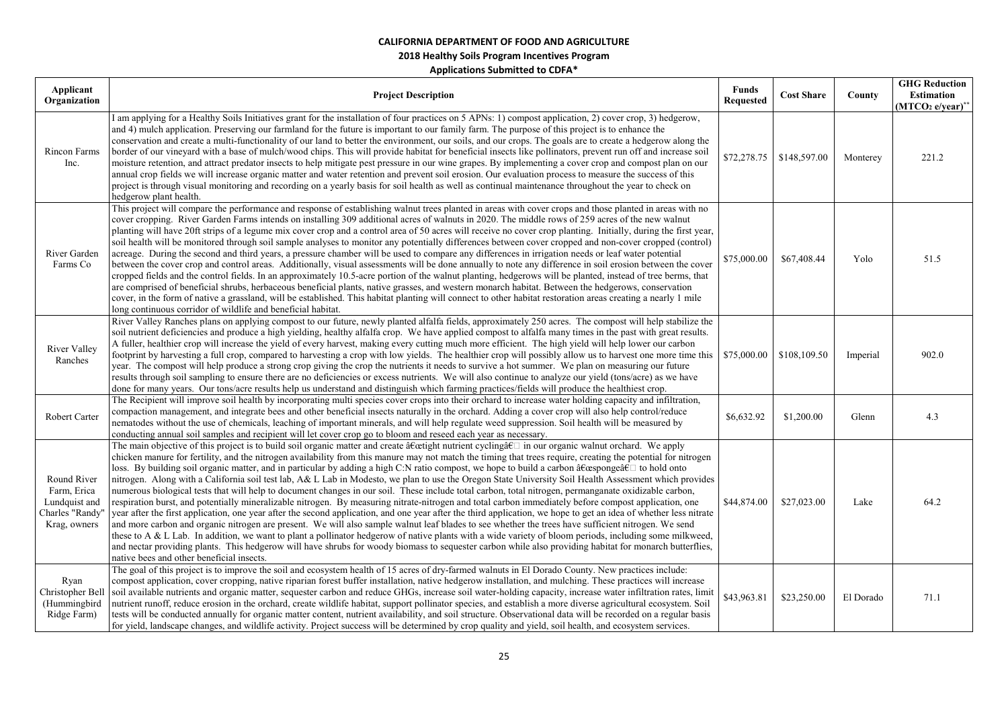| Applicant                                                   |                                                                                                                                                                                                                                                                                                                                                                                                                                                                                                                                                                                                                                                                                                                                                                                                                                                                                                                                                                                                                                                                                                                                                                                                                                                                                                                                                                                                                                                                                                                                                                                                                                                                      | <b>Funds</b>     |                   |           | <b>GHG Reduction</b>         |
|-------------------------------------------------------------|----------------------------------------------------------------------------------------------------------------------------------------------------------------------------------------------------------------------------------------------------------------------------------------------------------------------------------------------------------------------------------------------------------------------------------------------------------------------------------------------------------------------------------------------------------------------------------------------------------------------------------------------------------------------------------------------------------------------------------------------------------------------------------------------------------------------------------------------------------------------------------------------------------------------------------------------------------------------------------------------------------------------------------------------------------------------------------------------------------------------------------------------------------------------------------------------------------------------------------------------------------------------------------------------------------------------------------------------------------------------------------------------------------------------------------------------------------------------------------------------------------------------------------------------------------------------------------------------------------------------------------------------------------------------|------------------|-------------------|-----------|------------------------------|
| Organization                                                | <b>Project Description</b>                                                                                                                                                                                                                                                                                                                                                                                                                                                                                                                                                                                                                                                                                                                                                                                                                                                                                                                                                                                                                                                                                                                                                                                                                                                                                                                                                                                                                                                                                                                                                                                                                                           | <b>Requested</b> | <b>Cost Share</b> | County    | Estimation                   |
|                                                             | I am applying for a Healthy Soils Initiatives grant for the installation of four practices on 5 APNs: 1) compost application, 2) cover crop, 3) hedgerow,<br>and 4) mulch application. Preserving our farmland for the future is important to our family farm. The purpose of this project is to enhance the                                                                                                                                                                                                                                                                                                                                                                                                                                                                                                                                                                                                                                                                                                                                                                                                                                                                                                                                                                                                                                                                                                                                                                                                                                                                                                                                                         |                  |                   |           | (MTCO <sub>2</sub> e/year)** |
| Rincon Farms<br>Inc.                                        | conservation and create a multi-functionality of our land to better the environment, our soils, and our crops. The goals are to create a hedgerow along the<br>border of our vineyard with a base of mulch/wood chips. This will provide habitat for beneficial insects like pollinators, prevent run off and increase soil<br>moisture retention, and attract predator insects to help mitigate pest pressure in our wine grapes. By implementing a cover crop and compost plan on our<br>annual crop fields we will increase organic matter and water retention and prevent soil erosion. Our evaluation process to measure the success of this<br>project is through visual monitoring and recording on a yearly basis for soil health as well as continual maintenance throughout the year to check on<br>hedgerow plant health.                                                                                                                                                                                                                                                                                                                                                                                                                                                                                                                                                                                                                                                                                                                                                                                                                                 | \$72,278.75      | \$148,597.00      | Monterey  | 221.2                        |
| River Garden<br>Farms Co                                    | This project will compare the performance and response of establishing walnut trees planted in areas with cover crops and those planted in areas with no<br>cover cropping. River Garden Farms intends on installing 309 additional acres of walnuts in 2020. The middle rows of 259 acres of the new walnut<br>planting will have 20ft strips of a legume mix cover crop and a control area of 50 acres will receive no cover crop planting. Initially, during the first year,<br>soil health will be monitored through soil sample analyses to monitor any potentially differences between cover cropped and non-cover cropped (control)<br>acreage. During the second and third years, a pressure chamber will be used to compare any differences in irrigation needs or leaf water potential<br>between the cover crop and control areas. Additionally, visual assessments will be done annually to note any difference in soil erosion between the cover<br>cropped fields and the control fields. In an approximately 10.5-acre portion of the walnut planting, hedgerows will be planted, instead of tree berms, that<br>are comprised of beneficial shrubs, herbaceous beneficial plants, native grasses, and western monarch habitat. Between the hedgerows, conservation<br>cover, in the form of native a grassland, will be established. This habitat planting will connect to other habitat restoration areas creating a nearly 1 mile<br>long continuous corridor of wildlife and beneficial habitat.                                                                                                                                                  | \$75,000.00      | \$67,408.44       | Yolo      | 51.5                         |
| River Valley<br>Ranches                                     | River Valley Ranches plans on applying compost to our future, newly planted alfalfa fields, approximately 250 acres. The compost will help stabilize the<br>soil nutrient deficiencies and produce a high yielding, healthy alfalfa crop. We have applied compost to alfalfa many times in the past with great results.<br>A fuller, healthier crop will increase the yield of every harvest, making every cutting much more efficient. The high yield will help lower our carbon<br>footprint by harvesting a full crop, compared to harvesting a crop with low yields. The healthier crop will possibly allow us to harvest one more time this<br>year. The compost will help produce a strong crop giving the crop the nutrients it needs to survive a hot summer. We plan on measuring our future<br>results through soil sampling to ensure there are no deficiencies or excess nutrients. We will also continue to analyze our yield (tons/acre) as we have<br>done for many years. Our tons/acre results help us understand and distinguish which farming practices/fields will produce the healthiest crop.                                                                                                                                                                                                                                                                                                                                                                                                                                                                                                                                                  | \$75,000.00      | \$108,109.50      | Imperial  | 902.0                        |
| Robert Carter                                               | The Recipient will improve soil health by incorporating multi species cover crops into their orchard to increase water holding capacity and infiltration,<br>compaction management, and integrate bees and other beneficial insects naturally in the orchard. Adding a cover crop will also help control/reduce<br>nematodes without the use of chemicals, leaching of important minerals, and will help regulate weed suppression. Soil health will be measured by<br>conducting annual soil samples and recipient will let cover crop go to bloom and reseed each year as necessary.                                                                                                                                                                                                                                                                                                                                                                                                                                                                                                                                                                                                                                                                                                                                                                                                                                                                                                                                                                                                                                                                               | \$6,632.92       | \$1,200.00        | Glenn     | 4.3                          |
| Round River<br>Farm, Erica<br>Lundquist and<br>Krag, owners | The main objective of this project is to build soil organic matter and create "tight nutrient cyclingâ€ $\Box$ in our organic walnut orchard. We apply<br>chicken manure for fertility, and the nitrogen availability from this manure may not match the timing that trees require, creating the potential for nitrogen<br>loss. By building soil organic matter, and in particular by adding a high C:N ratio compost, we hope to build a carbon "spongeâ€□ to hold onto<br>nitrogen. Along with a California soil test lab, A& L Lab in Modesto, we plan to use the Oregon State University Soil Health Assessment which provides<br>numerous biological tests that will help to document changes in our soil. These include total carbon, total nitrogen, permanganate oxidizable carbon,<br>respiration burst, and potentially mineralizable nitrogen. By measuring nitrate-nitrogen and total carbon immediately before compost application, one<br>Charles "Randy" year after the first application, one year after the second application, and one year after the third application, we hope to get an idea of whether less nitrate<br>and more carbon and organic nitrogen are present. We will also sample walnut leaf blades to see whether the trees have sufficient nitrogen. We send<br>these to A & L Lab. In addition, we want to plant a pollinator hedgerow of native plants with a wide variety of bloom periods, including some milkweed,<br>and nectar providing plants. This hedgerow will have shrubs for woody biomass to sequester carbon while also providing habitat for monarch butterflies,<br>native bees and other beneficial insects. | \$44,874.00      | \$27,023.00       | Lake      | 64.2                         |
| Ryan<br>(Hummingbird<br>Ridge Farm)                         | The goal of this project is to improve the soil and ecosystem health of 15 acres of dry-farmed walnuts in El Dorado County. New practices include:<br>compost application, cover cropping, native riparian forest buffer installation, native hedgerow installation, and mulching. These practices will increase<br>Christopher Bell soil available nutrients and organic matter, sequester carbon and reduce GHGs, increase soil water-holding capacity, increase water infiltration rates, limit<br>nutrient runoff, reduce erosion in the orchard, create wildlife habitat, support pollinator species, and establish a more diverse agricultural ecosystem. Soil<br>tests will be conducted annually for organic matter content, nutrient availability, and soil structure. Observational data will be recorded on a regular basis<br>for yield, landscape changes, and wildlife activity. Project success will be determined by crop quality and yield, soil health, and ecosystem services.                                                                                                                                                                                                                                                                                                                                                                                                                                                                                                                                                                                                                                                                    | \$43,963.81      | \$23,250.00       | El Dorado | 71.1                         |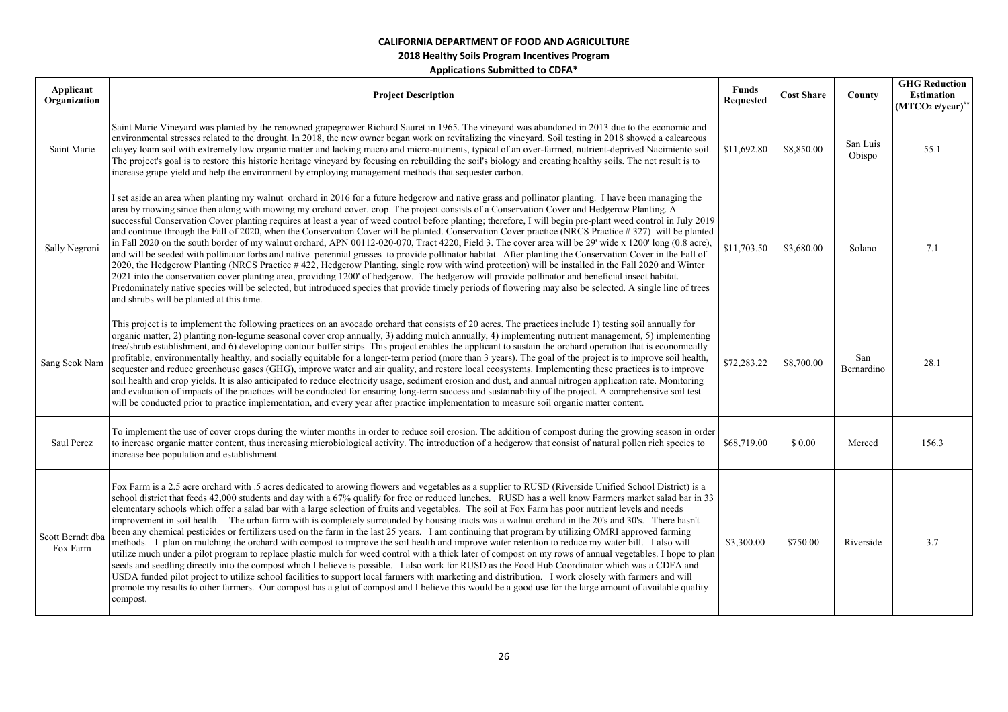| Applicant<br>Organization    | <b>Project Description</b>                                                                                                                                                                                                                                                                                                                                                                                                                                                                                                                                                                                                                                                                                                                                                                                                                                                                                                                                                                                                                                                                                                                                                                                                                                                                                                                                                                                                                                                                                                                                                                | <b>Funds</b><br><b>Requested</b> | <b>Cost Share</b> | County             | <b>GHG Reduction</b><br>Estimation<br>$(MTCO2 e/year)*$ |
|------------------------------|-------------------------------------------------------------------------------------------------------------------------------------------------------------------------------------------------------------------------------------------------------------------------------------------------------------------------------------------------------------------------------------------------------------------------------------------------------------------------------------------------------------------------------------------------------------------------------------------------------------------------------------------------------------------------------------------------------------------------------------------------------------------------------------------------------------------------------------------------------------------------------------------------------------------------------------------------------------------------------------------------------------------------------------------------------------------------------------------------------------------------------------------------------------------------------------------------------------------------------------------------------------------------------------------------------------------------------------------------------------------------------------------------------------------------------------------------------------------------------------------------------------------------------------------------------------------------------------------|----------------------------------|-------------------|--------------------|---------------------------------------------------------|
| Saint Marie                  | Saint Marie Vineyard was planted by the renowned grapegrower Richard Sauret in 1965. The vineyard was abandoned in 2013 due to the economic and<br>environmental stresses related to the drought. In 2018, the new owner began work on revitalizing the vineyard. Soil testing in 2018 showed a calcareous<br>clayey loam soil with extremely low organic matter and lacking macro and micro-nutrients, typical of an over-farmed, nutrient-deprived Nacimiento soil.<br>The project's goal is to restore this historic heritage vineyard by focusing on rebuilding the soil's biology and creating healthy soils. The net result is to<br>increase grape yield and help the environment by employing management methods that sequester carbon.                                                                                                                                                                                                                                                                                                                                                                                                                                                                                                                                                                                                                                                                                                                                                                                                                                           | \$11,692.80                      | \$8,850.00        | San Luis<br>Obispo | 55.1                                                    |
| Sally Negroni                | I set aside an area when planting my walnut orchard in 2016 for a future hedgerow and native grass and pollinator planting. I have been managing the<br>area by mowing since then along with mowing my orchard cover. crop. The project consists of a Conservation Cover and Hedgerow Planting. A<br>successful Conservation Cover planting requires at least a year of weed control before planting; therefore, I will begin pre-plant weed control in July 2019<br>and continue through the Fall of 2020, when the Conservation Cover will be planted. Conservation Cover practice (NRCS Practice #327) will be planted<br>in Fall 2020 on the south border of my walnut orchard, APN 00112-020-070, Tract 4220, Field 3. The cover area will be 29' wide x 1200' long (0.8 acre),<br>and will be seeded with pollinator forbs and native perennial grasses to provide pollinator habitat. After planting the Conservation Cover in the Fall of<br>2020, the Hedgerow Planting (NRCS Practice #422, Hedgerow Planting, single row with wind protection) will be installed in the Fall 2020 and Winter<br>2021 into the conservation cover planting area, providing 1200' of hedgerow. The hedgerow will provide pollinator and beneficial insect habitat.<br>Predominately native species will be selected, but introduced species that provide timely periods of flowering may also be selected. A single line of trees<br>and shrubs will be planted at this time.                                                                                                                    | \$11,703.50                      | \$3,680.00        | Solano             | 7.1                                                     |
| Sang Seok Nam                | This project is to implement the following practices on an avocado orchard that consists of 20 acres. The practices include 1) testing soil annually for<br>organic matter, 2) planting non-legume seasonal cover crop annually, 3) adding mulch annually, 4) implementing nutrient management, 5) implementing<br>tree/shrub establishment, and 6) developing contour buffer strips. This project enables the applicant to sustain the orchard operation that is economically<br>profitable, environmentally healthy, and socially equitable for a longer-term period (more than 3 years). The goal of the project is to improve soil health,<br>sequester and reduce greenhouse gases (GHG), improve water and air quality, and restore local ecosystems. Implementing these practices is to improve<br>soil health and crop yields. It is also anticipated to reduce electricity usage, sediment erosion and dust, and annual nitrogen application rate. Monitoring<br>and evaluation of impacts of the practices will be conducted for ensuring long-term success and sustainability of the project. A comprehensive soil test<br>will be conducted prior to practice implementation, and every year after practice implementation to measure soil organic matter content.                                                                                                                                                                                                                                                                                                            | \$72,283.22                      | \$8,700.00        | San<br>Bernardino  | 28.1                                                    |
| Saul Perez                   | To implement the use of cover crops during the winter months in order to reduce soil erosion. The addition of compost during the growing season in order<br>to increase organic matter content, thus increasing microbiological activity. The introduction of a hedgerow that consist of natural pollen rich species to<br>increase bee population and establishment.                                                                                                                                                                                                                                                                                                                                                                                                                                                                                                                                                                                                                                                                                                                                                                                                                                                                                                                                                                                                                                                                                                                                                                                                                     | \$68,719.00                      | \$0.00            | Merced             | 156.3                                                   |
| Scott Berndt dba<br>Fox Farm | Fox Farm is a 2.5 acre orchard with .5 acres dedicated to arowing flowers and vegetables as a supplier to RUSD (Riverside Unified School District) is a<br>school district that feeds 42,000 students and day with a 67% qualify for free or reduced lunches. RUSD has a well know Farmers market salad bar in 33<br>elementary schools which offer a salad bar with a large selection of fruits and vegetables. The soil at Fox Farm has poor nutrient levels and needs<br>improvement in soil health. The urban farm with is completely surrounded by housing tracts was a walnut orchard in the 20's and 30's. There hasn't<br>been any chemical pesticides or fertilizers used on the farm in the last 25 years. I am continuing that program by utilizing OMRI approved farming<br>methods. I plan on mulching the orchard with compost to improve the soil health and improve water retention to reduce my water bill. I also will<br>utilize much under a pilot program to replace plastic mulch for weed control with a thick later of compost on my rows of annual vegetables. I hope to plan<br>seeds and seedling directly into the compost which I believe is possible. I also work for RUSD as the Food Hub Coordinator which was a CDFA and<br>USDA funded pilot project to utilize school facilities to support local farmers with marketing and distribution. I work closely with farmers and will<br>promote my results to other farmers. Our compost has a glut of compost and I believe this would be a good use for the large amount of available quality<br>compost. | \$3,300.00                       | \$750.00          | Riverside          | 3.7                                                     |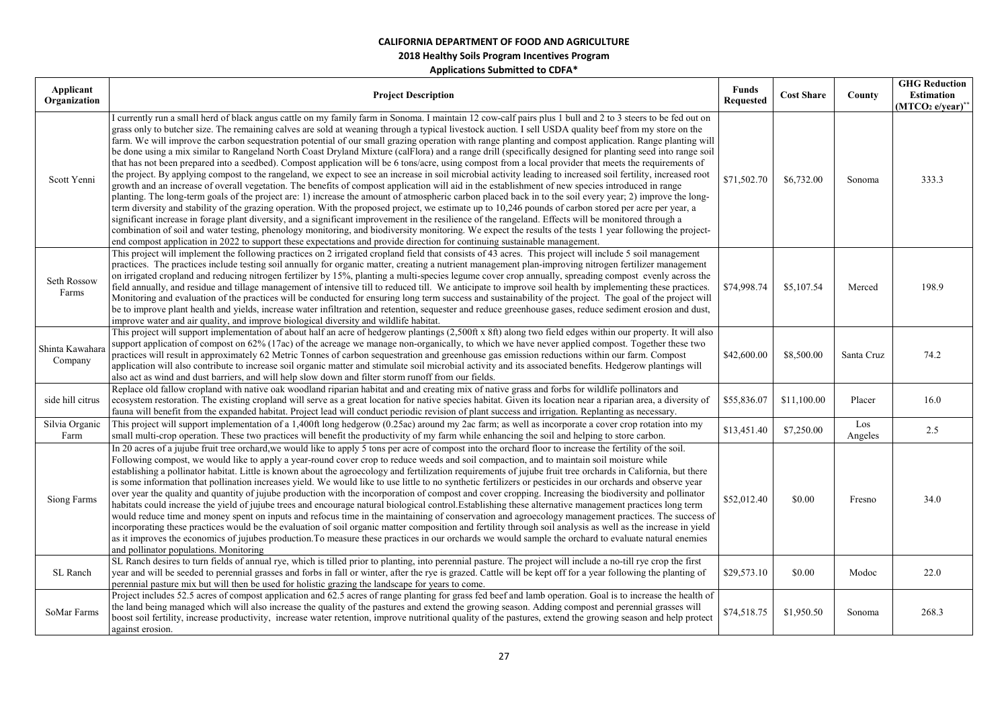| Applicant<br>Organization  | <b>Project Description</b>                                                                                                                                                                                                                                                                                                                                                                                                                                                                                                                                                                                                                                                                                                                                                                                                                                                                                                                                                                                                                                                                                                                                                                                                                                                                                                                                                                                                                                                                                                                                                                                                                                                                                                                                                                                                                                                                                        | <b>Funds</b><br><b>Requested</b> | <b>Cost Share</b> | County         | <b>GHG Reduction</b><br><b>Estimation</b><br>$(MTCO2 e/year)*$ |
|----------------------------|-------------------------------------------------------------------------------------------------------------------------------------------------------------------------------------------------------------------------------------------------------------------------------------------------------------------------------------------------------------------------------------------------------------------------------------------------------------------------------------------------------------------------------------------------------------------------------------------------------------------------------------------------------------------------------------------------------------------------------------------------------------------------------------------------------------------------------------------------------------------------------------------------------------------------------------------------------------------------------------------------------------------------------------------------------------------------------------------------------------------------------------------------------------------------------------------------------------------------------------------------------------------------------------------------------------------------------------------------------------------------------------------------------------------------------------------------------------------------------------------------------------------------------------------------------------------------------------------------------------------------------------------------------------------------------------------------------------------------------------------------------------------------------------------------------------------------------------------------------------------------------------------------------------------|----------------------------------|-------------------|----------------|----------------------------------------------------------------|
| Scott Yenni                | I currently run a small herd of black angus cattle on my family farm in Sonoma. I maintain 12 cow-calf pairs plus 1 bull and 2 to 3 steers to be fed out on<br>grass only to butcher size. The remaining calves are sold at weaning through a typical livestock auction. I sell USDA quality beef from my store on the<br>farm. We will improve the carbon sequestration potential of our small grazing operation with range planting and compost application. Range planting will<br>be done using a mix similar to Rangeland North Coast Dryland Mixture (calFlora) and a range drill (specifically designed for planting seed into range soil<br>that has not been prepared into a seedbed). Compost application will be 6 tons/acre, using compost from a local provider that meets the requirements of<br>the project. By applying compost to the rangeland, we expect to see an increase in soil microbial activity leading to increased soil fertility, increased root<br>growth and an increase of overall vegetation. The benefits of compost application will aid in the establishment of new species introduced in range<br>planting. The long-term goals of the project are: 1) increase the amount of atmospheric carbon placed back in to the soil every year; 2) improve the long-<br>term diversity and stability of the grazing operation. With the proposed project, we estimate up to 10,246 pounds of carbon stored per acre per year, a<br>significant increase in forage plant diversity, and a significant improvement in the resilience of the rangeland. Effects will be monitored through a<br>combination of soil and water testing, phenology monitoring, and biodiversity monitoring. We expect the results of the tests 1 year following the project-<br>end compost application in 2022 to support these expectations and provide direction for continuing sustainable management. | \$71,502.70                      | \$6,732.00        | Sonoma         | 333.3                                                          |
| Seth Rossow<br>Farms       | This project will implement the following practices on 2 irrigated cropland field that consists of 43 acres. This project will include 5 soil management<br>practices. The practices include testing soil annually for organic matter, creating a nutrient management plan-improving nitrogen fertilizer management<br>on irrigated cropland and reducing nitrogen fertilizer by 15%, planting a multi-species legume cover crop annually, spreading compost evenly across the<br>field annually, and residue and tillage management of intensive till to reduced till. We anticipate to improve soil health by implementing these practices.<br>Monitoring and evaluation of the practices will be conducted for ensuring long term success and sustainability of the project. The goal of the project will<br>be to improve plant health and yields, increase water infiltration and retention, sequester and reduce greenhouse gases, reduce sediment erosion and dust,<br>improve water and air quality, and improve biological diversity and wildlife habitat.                                                                                                                                                                                                                                                                                                                                                                                                                                                                                                                                                                                                                                                                                                                                                                                                                                               | \$74,998.74                      | \$5,107.54        | Merced         | 198.9                                                          |
| Shinta Kawahara<br>Company | This project will support implementation of about half an acre of hedgerow plantings (2,500ft x 8ft) along two field edges within our property. It will also<br>support application of compost on 62% (17ac) of the acreage we manage non-organically, to which we have never applied compost. Together these two<br>practices will result in approximately 62 Metric Tonnes of carbon sequestration and greenhouse gas emission reductions within our farm. Compost<br>application will also contribute to increase soil organic matter and stimulate soil microbial activity and its associated benefits. Hedgerow plantings will<br>also act as wind and dust barriers, and will help slow down and filter storm runoff from our fields.                                                                                                                                                                                                                                                                                                                                                                                                                                                                                                                                                                                                                                                                                                                                                                                                                                                                                                                                                                                                                                                                                                                                                                       | \$42,600.00                      | \$8,500.00        | Santa Cruz     | 74.2                                                           |
| side hill citrus           | Replace old fallow cropland with native oak woodland riparian habitat and and creating mix of native grass and forbs for wildlife pollinators and<br>ecosystem restoration. The existing cropland will serve as a great location for native species habitat. Given its location near a riparian area, a diversity of<br>fauna will benefit from the expanded habitat. Project lead will conduct periodic revision of plant success and irrigation. Replanting as necessary.                                                                                                                                                                                                                                                                                                                                                                                                                                                                                                                                                                                                                                                                                                                                                                                                                                                                                                                                                                                                                                                                                                                                                                                                                                                                                                                                                                                                                                       | \$55,836.07                      | \$11,100.00       | Placer         | 16.0                                                           |
| Silvia Organic<br>Farm     | This project will support implementation of a 1,400ft long hedgerow (0.25ac) around my 2ac farm; as well as incorporate a cover crop rotation into my<br>small multi-crop operation. These two practices will benefit the productivity of my farm while enhancing the soil and helping to store carbon.                                                                                                                                                                                                                                                                                                                                                                                                                                                                                                                                                                                                                                                                                                                                                                                                                                                                                                                                                                                                                                                                                                                                                                                                                                                                                                                                                                                                                                                                                                                                                                                                           | \$13,451.40                      | \$7,250.00        | Los<br>Angeles | 2.5                                                            |
| Siong Farms                | In 20 acres of a jujube fruit tree orchard, we would like to apply 5 tons per acre of compost into the orchard floor to increase the fertility of the soil.<br>Following compost, we would like to apply a year-round cover crop to reduce weeds and soil compaction, and to maintain soil moisture while<br>establishing a pollinator habitat. Little is known about the agroecology and fertilization requirements of jujube fruit tree orchards in California, but there<br>is some information that pollination increases yield. We would like to use little to no synthetic fertilizers or pesticides in our orchards and observe year<br>over year the quality and quantity of jujube production with the incorporation of compost and cover cropping. Increasing the biodiversity and pollinator<br>habitats could increase the yield of jujube trees and encourage natural biological control. Establishing these alternative management practices long term<br>would reduce time and money spent on inputs and refocus time in the maintaining of conservation and agroecology management practices. The success of<br>incorporating these practices would be the evaluation of soil organic matter composition and fertility through soil analysis as well as the increase in yield<br>as it improves the economics of jujubes production. To measure these practices in our orchards we would sample the orchard to evaluate natural enemies<br>and pollinator populations. Monitoring                                                                                                                                                                                                                                                                                                                                                                                                                 | \$52,012.40                      | \$0.00            | Fresno         | 34.0                                                           |
| SL Ranch                   | SL Ranch desires to turn fields of annual rye, which is tilled prior to planting, into perennial pasture. The project will include a no-till rye crop the first<br>year and will be seeded to perennial grasses and forbs in fall or winter, after the rye is grazed. Cattle will be kept off for a year following the planting of<br>perennial pasture mix but will then be used for holistic grazing the landscape for years to come.                                                                                                                                                                                                                                                                                                                                                                                                                                                                                                                                                                                                                                                                                                                                                                                                                                                                                                                                                                                                                                                                                                                                                                                                                                                                                                                                                                                                                                                                           | \$29,573.10                      | \$0.00            | Modoc          | 22.0                                                           |
| SoMar Farms                | Project includes 52.5 acres of compost application and 62.5 acres of range planting for grass fed beef and lamb operation. Goal is to increase the health of<br>the land being managed which will also increase the quality of the pastures and extend the growing season. Adding compost and perennial grasses will<br>boost soil fertility, increase productivity, increase water retention, improve nutritional quality of the pastures, extend the growing season and help protect<br>against erosion.                                                                                                                                                                                                                                                                                                                                                                                                                                                                                                                                                                                                                                                                                                                                                                                                                                                                                                                                                                                                                                                                                                                                                                                                                                                                                                                                                                                                        | \$74,518.75                      | \$1,950.50        | Sonoma         | 268.3                                                          |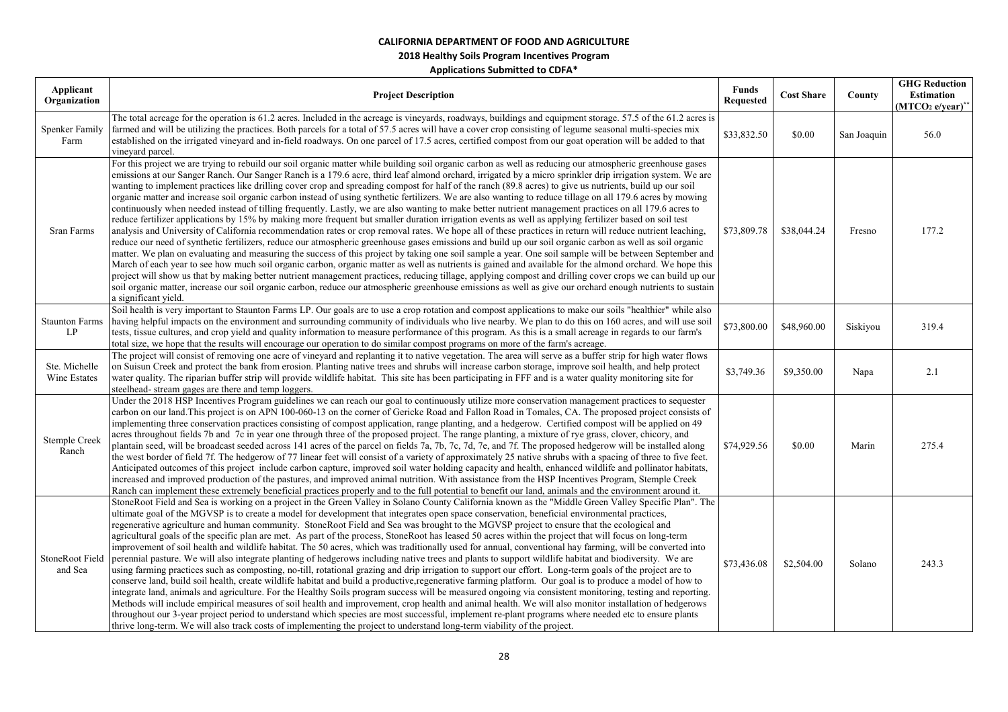| Applicant<br>Organization     | <b>Project Description</b>                                                                                                                                                                                                                                                                                                                                                                                                                                                                                                                                                                                                                                                                                                                                                                                                                                                                                                                                                                                                                                                                                                                                                                                                                                                                                                                                                                                                                                                                                                                                                                                                                                                                                                                                                                                                                                                                                                                                              | <b>Funds</b><br><b>Requested</b> | <b>Cost Share</b> | County      | <b>GHG Reduction</b><br>Estimation<br>$(MTCO2 e/year)*$ |
|-------------------------------|-------------------------------------------------------------------------------------------------------------------------------------------------------------------------------------------------------------------------------------------------------------------------------------------------------------------------------------------------------------------------------------------------------------------------------------------------------------------------------------------------------------------------------------------------------------------------------------------------------------------------------------------------------------------------------------------------------------------------------------------------------------------------------------------------------------------------------------------------------------------------------------------------------------------------------------------------------------------------------------------------------------------------------------------------------------------------------------------------------------------------------------------------------------------------------------------------------------------------------------------------------------------------------------------------------------------------------------------------------------------------------------------------------------------------------------------------------------------------------------------------------------------------------------------------------------------------------------------------------------------------------------------------------------------------------------------------------------------------------------------------------------------------------------------------------------------------------------------------------------------------------------------------------------------------------------------------------------------------|----------------------------------|-------------------|-------------|---------------------------------------------------------|
| <b>Spenker Family</b><br>Farm | The total acreage for the operation is 61.2 acres. Included in the acreage is vineyards, roadways, buildings and equipment storage. 57.5 of the 61.2 acres is<br>farmed and will be utilizing the practices. Both parcels for a total of 57.5 acres will have a cover crop consisting of legume seasonal multi-species mix<br>established on the irrigated vineyard and in-field roadways. On one parcel of 17.5 acres, certified compost from our goat operation will be added to that<br>vineyard parcel.                                                                                                                                                                                                                                                                                                                                                                                                                                                                                                                                                                                                                                                                                                                                                                                                                                                                                                                                                                                                                                                                                                                                                                                                                                                                                                                                                                                                                                                             | \$33,832.50                      | \$0.00            | San Joaquin | 56.0                                                    |
| Sran Farms                    | For this project we are trying to rebuild our soil organic matter while building soil organic carbon as well as reducing our atmospheric greenhouse gases<br>emissions at our Sanger Ranch. Our Sanger Ranch is a 179.6 acre, third leaf almond orchard, irrigated by a micro sprinkler drip irrigation system. We are<br>wanting to implement practices like drilling cover crop and spreading compost for half of the ranch (89.8 acres) to give us nutrients, build up our soil<br>organic matter and increase soil organic carbon instead of using synthetic fertilizers. We are also wanting to reduce tillage on all 179.6 acres by mowing<br>continuously when needed instead of tilling frequently. Lastly, we are also wanting to make better nutrient management practices on all 179.6 acres to<br>reduce fertilizer applications by 15% by making more frequent but smaller duration irrigation events as well as applying fertilizer based on soil test<br>analysis and University of California recommendation rates or crop removal rates. We hope all of these practices in return will reduce nutrient leaching,<br>reduce our need of synthetic fertilizers, reduce our atmospheric greenhouse gases emissions and build up our soil organic carbon as well as soil organic<br>matter. We plan on evaluating and measuring the success of this project by taking one soil sample a year. One soil sample will be between September and<br>March of each year to see how much soil organic carbon, organic matter as well as nutrients is gained and available for the almond orchard. We hope this<br>project will show us that by making better nutrient management practices, reducing tillage, applying compost and drilling cover crops we can build up our<br>soil organic matter, increase our soil organic carbon, reduce our atmospheric greenhouse emissions as well as give our orchard enough nutrients to sustain<br>a significant yield. | \$73,809.78                      | \$38,044.24       | Fresno      | 177.2                                                   |
| <b>Staunton Farms</b><br>LP   | Soil health is very important to Staunton Farms LP. Our goals are to use a crop rotation and compost applications to make our soils "healthier" while also<br>having helpful impacts on the environment and surrounding community of individuals who live nearby. We plan to do this on 160 acres, and will use soil<br>tests, tissue cultures, and crop yield and quality information to measure performance of this program. As this is a small acreage in regards to our farm's<br>total size, we hope that the results will encourage our operation to do similar compost programs on more of the farm's acreage.                                                                                                                                                                                                                                                                                                                                                                                                                                                                                                                                                                                                                                                                                                                                                                                                                                                                                                                                                                                                                                                                                                                                                                                                                                                                                                                                                   | \$73,800.00                      | \$48,960.00       | Siskiyou    | 319.4                                                   |
| Ste. Michelle<br>Wine Estates | The project will consist of removing one acre of vineyard and replanting it to native vegetation. The area will serve as a buffer strip for high water flows<br>on Suisun Creek and protect the bank from erosion. Planting native trees and shrubs will increase carbon storage, improve soil health, and help protect<br>water quality. The riparian buffer strip will provide wildlife habitat. This site has been participating in FFF and is a water quality monitoring site for<br>steelhead- stream gages are there and temp loggers.                                                                                                                                                                                                                                                                                                                                                                                                                                                                                                                                                                                                                                                                                                                                                                                                                                                                                                                                                                                                                                                                                                                                                                                                                                                                                                                                                                                                                            | \$3,749.36                       | \$9,350.00        | Napa        | 2.1                                                     |
| Stemple Creek<br>Ranch        | Under the 2018 HSP Incentives Program guidelines we can reach our goal to continuously utilize more conservation management practices to sequester<br>carbon on our land. This project is on APN 100-060-13 on the corner of Gericke Road and Fallon Road in Tomales, CA. The proposed project consists of<br>implementing three conservation practices consisting of compost application, range planting, and a hedgerow. Certified compost will be applied on 49<br>acres throughout fields 7b and 7c in year one through three of the proposed project. The range planting, a mixture of rye grass, clover, chicory, and<br>plantain seed, will be broadcast seeded across 141 acres of the parcel on fields 7a, 7b, 7c, 7d, 7e, and 7f. The proposed hedgerow will be installed along<br>the west border of field 7f. The hedgerow of 77 linear feet will consist of a variety of approximately 25 native shrubs with a spacing of three to five feet.<br>Anticipated outcomes of this project include carbon capture, improved soil water holding capacity and health, enhanced wildlife and pollinator habitats,<br>increased and improved production of the pastures, and improved animal nutrition. With assistance from the HSP Incentives Program, Stemple Creek<br>Ranch can implement these extremely beneficial practices properly and to the full potential to benefit our land, animals and the environment around it.                                                                                                                                                                                                                                                                                                                                                                                                                                                                                                                                   | \$74,929.56                      | \$0.00            | Marin       | 275.4                                                   |
| StoneRoot Field<br>and Sea    | StoneRoot Field and Sea is working on a project in the Green Valley in Solano County California known as the "Middle Green Valley Specific Plan". The<br>ultimate goal of the MGVSP is to create a model for development that integrates open space conservation, beneficial environmental practices,<br>regenerative agriculture and human community. StoneRoot Field and Sea was brought to the MGVSP project to ensure that the ecological and<br>agricultural goals of the specific plan are met. As part of the process, StoneRoot has leased 50 acres within the project that will focus on long-term<br>improvement of soil health and wildlife habitat. The 50 acres, which was traditionally used for annual, conventional hay farming, will be converted into<br>perennial pasture. We will also integrate planting of hedgerows including native trees and plants to support wildlife habitat and biodiversity. We are<br>using farming practices such as composting, no-till, rotational grazing and drip irrigation to support our effort. Long-term goals of the project are to<br>conserve land, build soil health, create wildlife habitat and build a productive, regenerative farming platform. Our goal is to produce a model of how to<br>integrate land, animals and agriculture. For the Healthy Soils program success will be measured ongoing via consistent monitoring, testing and reporting.<br>Methods will include empirical measures of soil health and improvement, crop health and animal health. We will also monitor installation of hedgerows<br>throughout our 3-year project period to understand which species are most successful, implement re-plant programs where needed etc to ensure plants<br>thrive long-term. We will also track costs of implementing the project to understand long-term viability of the project.                                                                                                     | \$73,436.08                      | \$2,504.00        | Solano      | 243.3                                                   |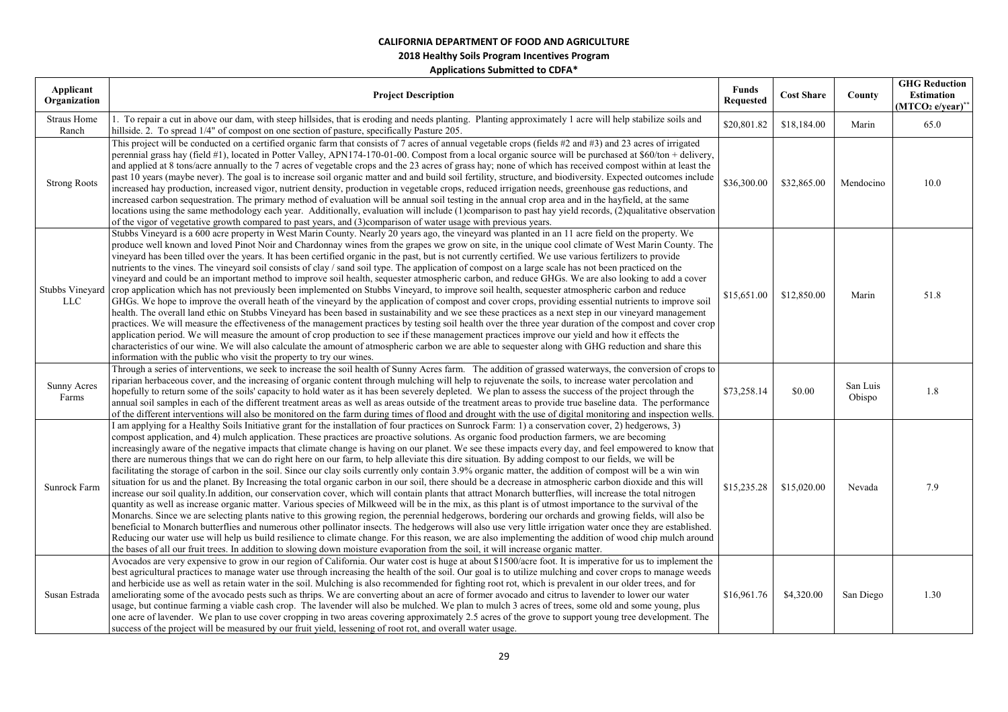**2018 Healthy Soils Program Incentives Program** 

| Applicant<br>Organization   | <b>Project Description</b>                                                                                                                                                                                                                                                                                                                                                                                                                                                                                                                                                                                                                                                                                                                                                                                                                                                                                                                                                                                                                                                                                                                                                                                                                                                                                                                                                                                                                                                                                                                                                                                                                                                                                                                                                                                                                                                                                  | <b>Funds</b><br><b>Requested</b> | <b>Cost Share</b> | County             | <b>GHG Reduction</b><br><b>Estimation</b><br>(MTCO <sub>2</sub> e/year) |
|-----------------------------|-------------------------------------------------------------------------------------------------------------------------------------------------------------------------------------------------------------------------------------------------------------------------------------------------------------------------------------------------------------------------------------------------------------------------------------------------------------------------------------------------------------------------------------------------------------------------------------------------------------------------------------------------------------------------------------------------------------------------------------------------------------------------------------------------------------------------------------------------------------------------------------------------------------------------------------------------------------------------------------------------------------------------------------------------------------------------------------------------------------------------------------------------------------------------------------------------------------------------------------------------------------------------------------------------------------------------------------------------------------------------------------------------------------------------------------------------------------------------------------------------------------------------------------------------------------------------------------------------------------------------------------------------------------------------------------------------------------------------------------------------------------------------------------------------------------------------------------------------------------------------------------------------------------|----------------------------------|-------------------|--------------------|-------------------------------------------------------------------------|
| <b>Straus Home</b><br>Ranch | 1. To repair a cut in above our dam, with steep hillsides, that is eroding and needs planting. Planting approximately 1 acre will help stabilize soils and<br>hillside. 2. To spread $1/4$ " of compost on one section of pasture, specifically Pasture 205.                                                                                                                                                                                                                                                                                                                                                                                                                                                                                                                                                                                                                                                                                                                                                                                                                                                                                                                                                                                                                                                                                                                                                                                                                                                                                                                                                                                                                                                                                                                                                                                                                                                | \$20,801.82                      | \$18,184.00       | Marin              | 65.0                                                                    |
| <b>Strong Roots</b>         | This project will be conducted on a certified organic farm that consists of 7 acres of annual vegetable crops (fields #2 and #3) and 23 acres of irrigated<br>perennial grass hay (field #1), located in Potter Valley, APN174-170-01-00. Compost from a local organic source will be purchased at \$60/ton + delivery,<br>and applied at 8 tons/acre annually to the 7 acres of vegetable crops and the 23 acres of grass hay; none of which has received compost within at least the<br>past 10 years (maybe never). The goal is to increase soil organic matter and and build soil fertility, structure, and biodiversity. Expected outcomes include<br>increased hay production, increased vigor, nutrient density, production in vegetable crops, reduced irrigation needs, greenhouse gas reductions, and<br>increased carbon sequestration. The primary method of evaluation will be annual soil testing in the annual crop area and in the hayfield, at the same<br>locations using the same methodology each year. Additionally, evaluation will include (1)comparison to past hay yield records, (2)qualitative observation<br>of the vigor of vegetative growth compared to past years, and (3)comparison of water usage with previous years.                                                                                                                                                                                                                                                                                                                                                                                                                                                                                                                                                                                                                                                    | \$36,300.00                      | \$32,865.00       | Mendocino          | 10.0                                                                    |
| Stubbs Vineyard<br>LLC      | Stubbs Vineyard is a 600 acre property in West Marin County. Nearly 20 years ago, the vineyard was planted in an 11 acre field on the property. We<br>produce well known and loved Pinot Noir and Chardonnay wines from the grapes we grow on site, in the unique cool climate of West Marin County. The<br>vineyard has been tilled over the years. It has been certified organic in the past, but is not currently certified. We use various fertilizers to provide<br>nutrients to the vines. The vineyard soil consists of clay / sand soil type. The application of compost on a large scale has not been practiced on the<br>vineyard and could be an important method to improve soil health, sequester atmospheric carbon, and reduce GHGs. We are also looking to add a cover<br>crop application which has not previously been implemented on Stubbs Vineyard, to improve soil health, sequester atmospheric carbon and reduce<br>GHGs. We hope to improve the overall heath of the vineyard by the application of compost and cover crops, providing essential nutrients to improve soil<br>health. The overall land ethic on Stubbs Vineyard has been based in sustainability and we see these practices as a next step in our vineyard management<br>practices. We will measure the effectiveness of the management practices by testing soil health over the three year duration of the compost and cover crop<br>application period. We will measure the amount of crop production to see if these management practices improve our yield and how it effects the<br>characteristics of our wine. We will also calculate the amount of atmospheric carbon we are able to sequester along with GHG reduction and share this<br>information with the public who visit the property to try our wines.                                                                                            | \$15,651.00                      | \$12,850.00       | Marin              | 51.8                                                                    |
| <b>Sunny Acres</b><br>Farms | Through a series of interventions, we seek to increase the soil health of Sunny Acres farm. The addition of grassed waterways, the conversion of crops to<br>riparian herbaceous cover, and the increasing of organic content through mulching will help to rejuvenate the soils, to increase water percolation and<br>hopefully to return some of the soils' capacity to hold water as it has been severely depleted. We plan to assess the success of the project through the<br>annual soil samples in each of the different treatment areas as well as areas outside of the treatment areas to provide true baseline data. The performance<br>of the different interventions will also be monitored on the farm during times of flood and drought with the use of digital monitoring and inspection wells.                                                                                                                                                                                                                                                                                                                                                                                                                                                                                                                                                                                                                                                                                                                                                                                                                                                                                                                                                                                                                                                                                              | \$73,258.14                      | \$0.00            | San Luis<br>Obispo | 1.8                                                                     |
| Sunrock Farm                | (am applying for a Healthy Soils Initiative grant for the installation of four practices on Sunrock Farm: 1) a conservation cover, 2) hedgerows, 3)<br>compost application, and 4) mulch application. These practices are proactive solutions. As organic food production farmers, we are becoming<br>increasingly aware of the negative impacts that climate change is having on our planet. We see these impacts every day, and feel empowered to know that<br>there are numerous things that we can do right here on our farm, to help alleviate this dire situation. By adding compost to our fields, we will be<br>facilitating the storage of carbon in the soil. Since our clay soils currently only contain 3.9% organic matter, the addition of compost will be a win win<br>situation for us and the planet. By Increasing the total organic carbon in our soil, there should be a decrease in atmospheric carbon dioxide and this will<br>increase our soil quality. In addition, our conservation cover, which will contain plants that attract Monarch butterflies, will increase the total nitrogen<br>quantity as well as increase organic matter. Various species of Milkweed will be in the mix, as this plant is of utmost importance to the survival of the<br>Monarchs. Since we are selecting plants native to this growing region, the perennial hedgerows, bordering our orchards and growing fields, will also be<br>beneficial to Monarch butterflies and numerous other pollinator insects. The hedgerows will also use very little irrigation water once they are established.<br>Reducing our water use will help us build resilience to climate change. For this reason, we are also implementing the addition of wood chip mulch around<br>the bases of all our fruit trees. In addition to slowing down moisture evaporation from the soil, it will increase organic matter. | \$15,235.28                      | \$15,020.00       | Nevada             | 7.9                                                                     |
| Susan Estrada               | Avocados are very expensive to grow in our region of California. Our water cost is huge at about \$1500/acre foot. It is imperative for us to implement the<br>best agricultural practices to manage water use through increasing the health of the soil. Our goal is to utilize mulching and cover crops to manage weeds<br>and herbicide use as well as retain water in the soil. Mulching is also recommended for fighting root rot, which is prevalent in our older trees, and for<br>ameliorating some of the avocado pests such as thrips. We are converting about an acre of former avocado and citrus to lavender to lower our water<br>usage, but continue farming a viable cash crop. The lavender will also be mulched. We plan to mulch 3 acres of trees, some old and some young, plus<br>one acre of lavender. We plan to use cover cropping in two areas covering approximately 2.5 acres of the grove to support young tree development. The<br>success of the project will be measured by our fruit yield, lessening of root rot, and overall water usage.                                                                                                                                                                                                                                                                                                                                                                                                                                                                                                                                                                                                                                                                                                                                                                                                                                 | \$16,961.76                      | \$4,320.00        | San Diego          | 1.30                                                                    |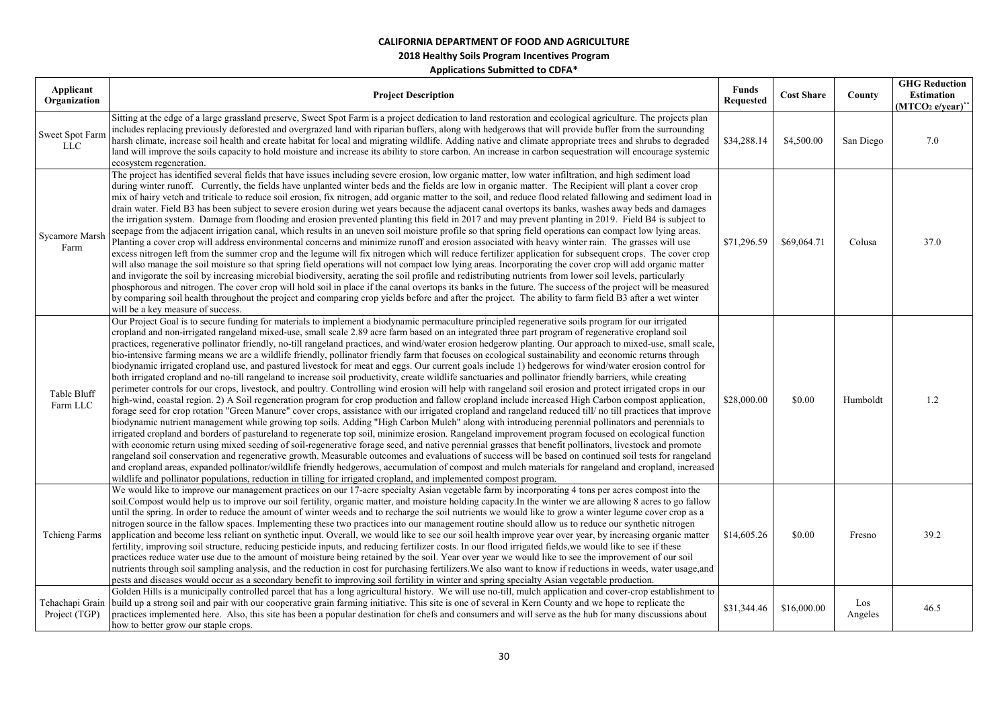| Applicant<br>Organization     | <b>Project Description</b>                                                                                                                                                                                                                                                                                                                                                                                                                                                                                                                                                                                                                                                                                                                                                                                                                                                                                                                                                                                                                                                                                                                                                                                                                                                                                                                                                                                                                                                                                                                                                                                                                                                                                                                                                                                                                                                                                                                                                                                                                                                                                                                                                                                                                                                                                                                                         | <b>Funds</b><br><b>Requested</b> | <b>Cost Share</b> | County         | <b>GHG Reduction</b><br><b>Estimation</b><br>$(MTCO2 e/year)^*$ |
|-------------------------------|--------------------------------------------------------------------------------------------------------------------------------------------------------------------------------------------------------------------------------------------------------------------------------------------------------------------------------------------------------------------------------------------------------------------------------------------------------------------------------------------------------------------------------------------------------------------------------------------------------------------------------------------------------------------------------------------------------------------------------------------------------------------------------------------------------------------------------------------------------------------------------------------------------------------------------------------------------------------------------------------------------------------------------------------------------------------------------------------------------------------------------------------------------------------------------------------------------------------------------------------------------------------------------------------------------------------------------------------------------------------------------------------------------------------------------------------------------------------------------------------------------------------------------------------------------------------------------------------------------------------------------------------------------------------------------------------------------------------------------------------------------------------------------------------------------------------------------------------------------------------------------------------------------------------------------------------------------------------------------------------------------------------------------------------------------------------------------------------------------------------------------------------------------------------------------------------------------------------------------------------------------------------------------------------------------------------------------------------------------------------|----------------------------------|-------------------|----------------|-----------------------------------------------------------------|
| Sweet Spot Farm<br><b>LLC</b> | Sitting at the edge of a large grassland preserve, Sweet Spot Farm is a project dedication to land restoration and ecological agriculture. The projects plan<br>includes replacing previously deforested and overgrazed land with riparian buffers, along with hedgerows that will provide buffer from the surrounding<br>harsh climate, increase soil health and create habitat for local and migrating wildlife. Adding native and climate appropriate trees and shrubs to degraded<br>land will improve the soils capacity to hold moisture and increase its ability to store carbon. An increase in carbon sequestration will encourage systemic<br>ecosystem regeneration.                                                                                                                                                                                                                                                                                                                                                                                                                                                                                                                                                                                                                                                                                                                                                                                                                                                                                                                                                                                                                                                                                                                                                                                                                                                                                                                                                                                                                                                                                                                                                                                                                                                                                    | \$34,288.14                      | \$4,500.00        | San Diego      | 7.0                                                             |
| <b>Sycamore Marsh</b><br>Farm | The project has identified several fields that have issues including severe erosion, low organic matter, low water infiltration, and high sediment load<br>during winter runoff. Currently, the fields have unplanted winter beds and the fields are low in organic matter. The Recipient will plant a cover crop<br>mix of hairy vetch and triticale to reduce soil erosion, fix nitrogen, add organic matter to the soil, and reduce flood related fallowing and sediment load in<br>drain water. Field B3 has been subject to severe erosion during wet years because the adjacent canal overtops its banks, washes away beds and damages<br>the irrigation system. Damage from flooding and erosion prevented planting this field in 2017 and may prevent planting in 2019. Field B4 is subject to<br>seepage from the adjacent irrigation canal, which results in an uneven soil moisture profile so that spring field operations can compact low lying areas.<br>Planting a cover crop will address environmental concerns and minimize runoff and erosion associated with heavy winter rain. The grasses will use<br>excess nitrogen left from the summer crop and the legume will fix nitrogen which will reduce fertilizer application for subsequent crops. The cover crop<br>will also manage the soil moisture so that spring field operations will not compact low lying areas. Incorporating the cover crop will add organic matter<br>and invigorate the soil by increasing microbial biodiversity, aerating the soil profile and redistributing nutrients from lower soil levels, particularly<br>phosphorous and nitrogen. The cover crop will hold soil in place if the canal overtops its banks in the future. The success of the project will be measured<br>by comparing soil health throughout the project and comparing crop yields before and after the project. The ability to farm field B3 after a wet winter<br>will be a key measure of success.                                                                                                                                                                                                                                                                                                                                                                                      | \$71,296.59                      | \$69,064.71       | Colusa         | 37.0                                                            |
| Table Bluff<br>Farm LLC       | Our Project Goal is to secure funding for materials to implement a biodynamic permaculture principled regenerative soils program for our irrigated<br>cropland and non-irrigated rangeland mixed-use, small scale 2.89 acre farm based on an integrated three part program of regenerative cropland soil<br>practices, regenerative pollinator friendly, no-till rangeland practices, and wind/water erosion hedgerow planting. Our approach to mixed-use, small scale,<br>bio-intensive farming means we are a wildlife friendly, pollinator friendly farm that focuses on ecological sustainability and economic returns through<br>biodynamic irrigated cropland use, and pastured livestock for meat and eggs. Our current goals include 1) hedgerows for wind/water erosion control for<br>both irrigated cropland and no-till rangeland to increase soil productivity, create wildlife sanctuaries and pollinator friendly barriers, while creating<br>perimeter controls for our crops, livestock, and poultry. Controlling wind erosion will help with rangeland soil erosion and protect irrigated crops in our<br>high-wind, coastal region. 2) A Soil regeneration program for crop production and fallow cropland include increased High Carbon compost application,<br>forage seed for crop rotation "Green Manure" cover crops, assistance with our irrigated cropland and rangeland reduced till/ no till practices that improve<br>biodynamic nutrient management while growing top soils. Adding "High Carbon Mulch" along with introducing perennial pollinators and perennials to<br>irrigated cropland and borders of pastureland to regenerate top soil, minimize erosion. Rangeland improvement program focused on ecological function<br>with economic return using mixed seeding of soil-regenerative forage seed, and native perennial grasses that benefit pollinators, livestock and promote<br>rangeland soil conservation and regenerative growth. Measurable outcomes and evaluations of success will be based on continued soil tests for rangeland<br>and cropland areas, expanded pollinator/wildlife friendly hedgerows, accumulation of compost and mulch materials for rangeland and cropland, increased<br>wildlife and pollinator populations, reduction in tilling for irrigated cropland, and implemented compost program. | \$28,000.00                      | \$0.00            | Humboldt       | $1.2\,$                                                         |
| <b>Tchieng Farms</b>          | We would like to improve our management practices on our 17-acre specialty Asian vegetable farm by incorporating 4 tons per acres compost into the<br>soil. Compost would help us to improve our soil fertility, organic matter, and moisture holding capacity. In the winter we are allowing 8 acres to go fallow<br>until the spring. In order to reduce the amount of winter weeds and to recharge the soil nutrients we would like to grow a winter legume cover crop as a<br>nitrogen source in the fallow spaces. Implementing these two practices into our management routine should allow us to reduce our synthetic nitrogen<br>application and become less reliant on synthetic input. Overall, we would like to see our soil health improve year over year, by increasing organic matter<br>fertility, improving soil structure, reducing pesticide inputs, and reducing fertilizer costs. In our flood irrigated fields, we would like to see if these<br>practices reduce water use due to the amount of moisture being retained by the soil. Year over year we would like to see the improvement of our soil<br>nutrients through soil sampling analysis, and the reduction in cost for purchasing fertilizers. We also want to know if reductions in weeds, water usage, and<br>pests and diseases would occur as a secondary benefit to improving soil fertility in winter and spring specialty Asian vegetable production.                                                                                                                                                                                                                                                                                                                                                                                                                                                                                                                                                                                                                                                                                                                                                                                                                                                                                                                        | \$14,605.26                      | \$0.00            | Fresno         | 39.2                                                            |
| Project (TGP)                 | Golden Hills is a municipally controlled parcel that has a long agricultural history. We will use no-till, mulch application and cover-crop establishment to<br>Tehachapi Grain   build up a strong soil and pair with our cooperative grain farming initiative. This site is one of several in Kern County and we hope to replicate the<br>practices implemented here. Also, this site has been a popular destination for chefs and consumers and will serve as the hub for many discussions about<br>how to better grow our staple crops.                                                                                                                                                                                                                                                                                                                                                                                                                                                                                                                                                                                                                                                                                                                                                                                                                                                                                                                                                                                                                                                                                                                                                                                                                                                                                                                                                                                                                                                                                                                                                                                                                                                                                                                                                                                                                        | \$31,344.46                      | \$16,000.00       | Los<br>Angeles | 46.5                                                            |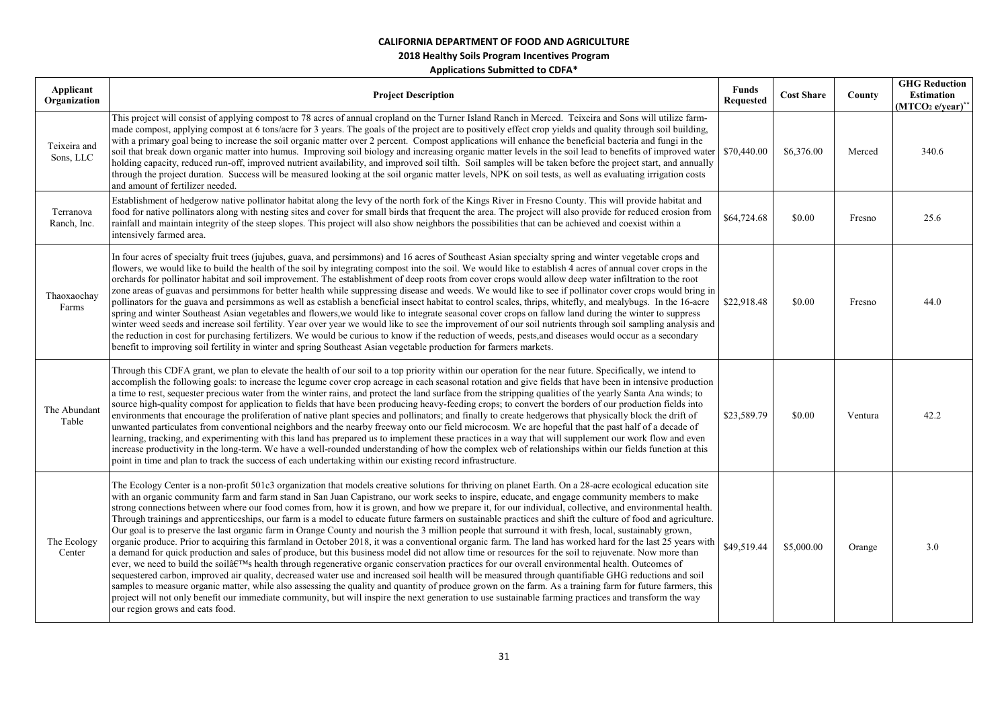| Applicant<br>Organization | <b>Project Description</b>                                                                                                                                                                                                                                                                                                                                                                                                                                                                                                                                                                                                                                                                                                                                                                                                                                                                                                                                                                                                                                                                                                                                                                                                                                                                                                                                                                                                                                                                                                                                                                                                                                                                                                                                                                                     | <b>Funds</b><br><b>Requested</b> | <b>Cost Share</b> | County  | <b>GHG Reduction</b><br><b>Estimation</b><br>$(MTCO2 e/year)*$ |
|---------------------------|----------------------------------------------------------------------------------------------------------------------------------------------------------------------------------------------------------------------------------------------------------------------------------------------------------------------------------------------------------------------------------------------------------------------------------------------------------------------------------------------------------------------------------------------------------------------------------------------------------------------------------------------------------------------------------------------------------------------------------------------------------------------------------------------------------------------------------------------------------------------------------------------------------------------------------------------------------------------------------------------------------------------------------------------------------------------------------------------------------------------------------------------------------------------------------------------------------------------------------------------------------------------------------------------------------------------------------------------------------------------------------------------------------------------------------------------------------------------------------------------------------------------------------------------------------------------------------------------------------------------------------------------------------------------------------------------------------------------------------------------------------------------------------------------------------------|----------------------------------|-------------------|---------|----------------------------------------------------------------|
| Teixeira and<br>Sons, LLC | This project will consist of applying compost to 78 acres of annual cropland on the Turner Island Ranch in Merced. Teixeira and Sons will utilize farm-<br>made compost, applying compost at 6 tons/acre for 3 years. The goals of the project are to positively effect crop yields and quality through soil building,<br>with a primary goal being to increase the soil organic matter over 2 percent. Compost applications will enhance the beneficial bacteria and fungi in the<br>soil that break down organic matter into humus. Improving soil biology and increasing organic matter levels in the soil lead to benefits of improved water<br>holding capacity, reduced run-off, improved nutrient availability, and improved soil tilth. Soil samples will be taken before the project start, and annually<br>through the project duration. Success will be measured looking at the soil organic matter levels, NPK on soil tests, as well as evaluating irrigation costs<br>and amount of fertilizer needed.                                                                                                                                                                                                                                                                                                                                                                                                                                                                                                                                                                                                                                                                                                                                                                                           | \$70,440.00                      | \$6,376.00        | Merced  | 340.6                                                          |
| Terranova<br>Ranch, Inc.  | Establishment of hedgerow native pollinator habitat along the levy of the north fork of the Kings River in Fresno County. This will provide habitat and<br>food for native pollinators along with nesting sites and cover for small birds that frequent the area. The project will also provide for reduced erosion from<br>rainfall and maintain integrity of the steep slopes. This project will also show neighbors the possibilities that can be achieved and coexist within a<br>intensively farmed area.                                                                                                                                                                                                                                                                                                                                                                                                                                                                                                                                                                                                                                                                                                                                                                                                                                                                                                                                                                                                                                                                                                                                                                                                                                                                                                 | \$64,724.68                      | \$0.00            | Fresno  | 25.6                                                           |
| Thaoxaochay<br>Farms      | In four acres of specialty fruit trees (jujubes, guava, and persimmons) and 16 acres of Southeast Asian specialty spring and winter vegetable crops and<br>flowers, we would like to build the health of the soil by integrating compost into the soil. We would like to establish 4 acres of annual cover crops in the<br>orchards for pollinator habitat and soil improvement. The establishment of deep roots from cover crops would allow deep water infiltration to the root<br>zone areas of guavas and persimmons for better health while suppressing disease and weeds. We would like to see if pollinator cover crops would bring in<br>pollinators for the guava and persimmons as well as establish a beneficial insect habitat to control scales, thrips, whitefly, and mealybugs. In the 16-acre<br>spring and winter Southeast Asian vegetables and flowers, we would like to integrate seasonal cover crops on fallow land during the winter to suppress<br>winter weed seeds and increase soil fertility. Year over year we would like to see the improvement of our soil nutrients through soil sampling analysis and<br>the reduction in cost for purchasing fertilizers. We would be curious to know if the reduction of weeds, pests, and diseases would occur as a secondary<br>benefit to improving soil fertility in winter and spring Southeast Asian vegetable production for farmers markets.                                                                                                                                                                                                                                                                                                                                                                                        | \$22,918.48                      | \$0.00            | Fresno  | 44.0                                                           |
| The Abundant<br>Table     | Through this CDFA grant, we plan to elevate the health of our soil to a top priority within our operation for the near future. Specifically, we intend to<br>accomplish the following goals: to increase the legume cover crop acreage in each seasonal rotation and give fields that have been in intensive production<br>a time to rest, sequester precious water from the winter rains, and protect the land surface from the stripping qualities of the yearly Santa Ana winds; to<br>source high-quality compost for application to fields that have been producing heavy-feeding crops; to convert the borders of our production fields into<br>environments that encourage the proliferation of native plant species and pollinators; and finally to create hedgerows that physically block the drift of<br>unwanted particulates from conventional neighbors and the nearby freeway onto our field microcosm. We are hopeful that the past half of a decade of<br>learning, tracking, and experimenting with this land has prepared us to implement these practices in a way that will supplement our work flow and even<br>increase productivity in the long-term. We have a well-rounded understanding of how the complex web of relationships within our fields function at this<br>point in time and plan to track the success of each undertaking within our existing record infrastructure.                                                                                                                                                                                                                                                                                                                                                                                                      | \$23,589.79                      | \$0.00            | Ventura | 42.2                                                           |
| The Ecology<br>Center     | The Ecology Center is a non-profit 501c3 organization that models creative solutions for thriving on planet Earth. On a 28-acre ecological education site<br>with an organic community farm and farm stand in San Juan Capistrano, our work seeks to inspire, educate, and engage community members to make<br>strong connections between where our food comes from, how it is grown, and how we prepare it, for our individual, collective, and environmental health.<br>Through trainings and apprenticeships, our farm is a model to educate future farmers on sustainable practices and shift the culture of food and agriculture.<br>Our goal is to preserve the last organic farm in Orange County and nourish the 3 million people that surround it with fresh, local, sustainably grown,<br>organic produce. Prior to acquiring this farmland in October 2018, it was a conventional organic farm. The land has worked hard for the last 25 years with<br>a demand for quick production and sales of produce, but this business model did not allow time or resources for the soil to rejuvenate. Now more than<br>ever, we need to build the soilâ $\epsilon^{TM}$ s health through regenerative organic conservation practices for our overall environmental health. Outcomes of<br>sequestered carbon, improved air quality, decreased water use and increased soil health will be measured through quantifiable GHG reductions and soil<br>samples to measure organic matter, while also assessing the quality and quantity of produce grown on the farm. As a training farm for future farmers, this<br>project will not only benefit our immediate community, but will inspire the next generation to use sustainable farming practices and transform the way<br>our region grows and eats food. | \$49,519.44                      | \$5,000.00        | Orange  | 3.0                                                            |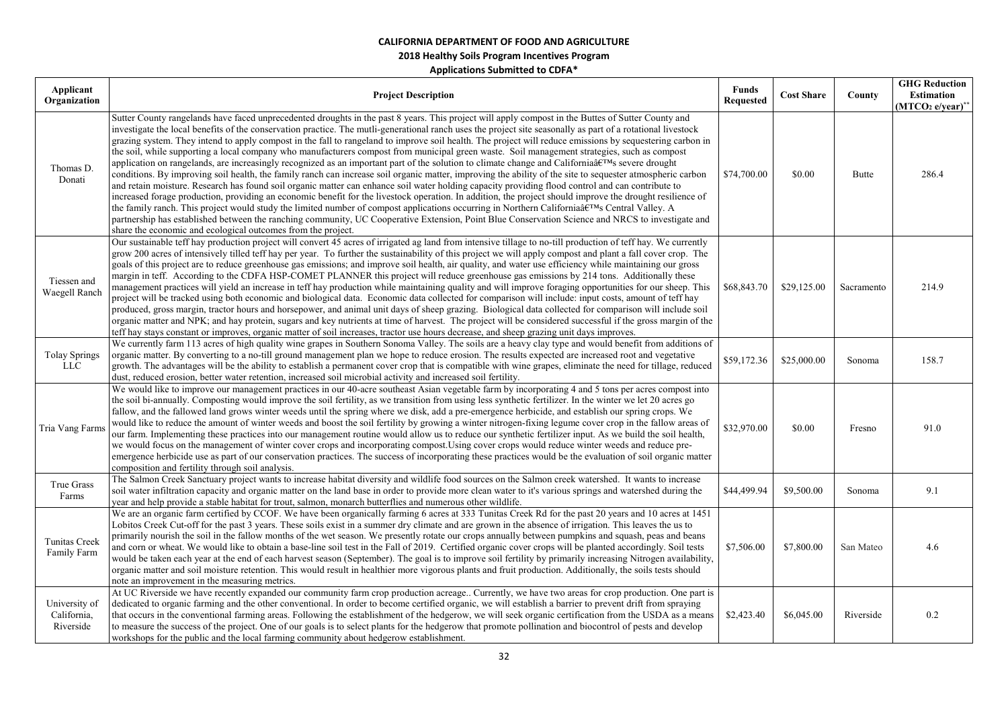| Applicant<br>Organization                 | <b>Project Description</b>                                                                                                                                                                                                                                                                                                                                                                                                                                                                                                                                                                                                                                                                                                                                                                                                                                                                                                                                                                                                                                                                                                                                                                                                                                                                                                                                                                                                                                                                                                                                                                                                                           | <b>Funds</b><br><b>Requested</b> | <b>Cost Share</b> | County     | <b>GHG Reduction</b><br>Estimation<br>$(MTCO2 e/year)*$ |
|-------------------------------------------|------------------------------------------------------------------------------------------------------------------------------------------------------------------------------------------------------------------------------------------------------------------------------------------------------------------------------------------------------------------------------------------------------------------------------------------------------------------------------------------------------------------------------------------------------------------------------------------------------------------------------------------------------------------------------------------------------------------------------------------------------------------------------------------------------------------------------------------------------------------------------------------------------------------------------------------------------------------------------------------------------------------------------------------------------------------------------------------------------------------------------------------------------------------------------------------------------------------------------------------------------------------------------------------------------------------------------------------------------------------------------------------------------------------------------------------------------------------------------------------------------------------------------------------------------------------------------------------------------------------------------------------------------|----------------------------------|-------------------|------------|---------------------------------------------------------|
| Thomas D.<br>Donati                       | Sutter County rangelands have faced unprecedented droughts in the past 8 years. This project will apply compost in the Buttes of Sutter County and<br>investigate the local benefits of the conservation practice. The mutli-generational ranch uses the project site seasonally as part of a rotational livestock<br>grazing system. They intend to apply compost in the fall to rangeland to improve soil health. The project will reduce emissions by sequestering carbon in<br>the soil, while supporting a local company who manufacturers compost from municipal green waste. Soil management strategies, such as compost<br>application on rangelands, are increasingly recognized as an important part of the solution to climate change and Californiaâ $\epsilon^{TM}$ s severe drought<br>conditions. By improving soil health, the family ranch can increase soil organic matter, improving the ability of the site to sequester atmospheric carbon<br>and retain moisture. Research has found soil organic matter can enhance soil water holding capacity providing flood control and can contribute to<br>increased forage production, providing an economic benefit for the livestock operation. In addition, the project should improve the drought resilience of<br>the family ranch. This project would study the limited number of compost applications occurring in Northern California's Central Valley. A<br>partnership has established between the ranching community, UC Cooperative Extension, Point Blue Conservation Science and NRCS to investigate and<br>share the economic and ecological outcomes from the project. | \$74,700.00                      | \$0.00            | Butte      | 286.4                                                   |
| Tiessen and<br>Waegell Ranch              | Our sustainable teff hay production project will convert 45 acres of irrigated ag land from intensive tillage to no-till production of teff hay. We currently<br>grow 200 acres of intensively tilled teff hay per year. To further the sustainability of this project we will apply compost and plant a fall cover crop. The<br>goals of this project are to reduce greenhouse gas emissions; and improve soil health, air quality, and water use efficiency while maintaining our gross<br>margin in teff. According to the CDFA HSP-COMET PLANNER this project will reduce greenhouse gas emissions by 214 tons. Additionally these<br>management practices will yield an increase in teff hay production while maintaining quality and will improve foraging opportunities for our sheep. This<br>project will be tracked using both economic and biological data. Economic data collected for comparison will include: input costs, amount of teff hay<br>produced, gross margin, tractor hours and horsepower, and animal unit days of sheep grazing. Biological data collected for comparison will include soil<br>organic matter and NPK; and hay protein, sugars and key nutrients at time of harvest. The project will be considered successful if the gross margin of the<br>teff hay stays constant or improves, organic matter of soil increases, tractor use hours decrease, and sheep grazing unit days improves.                                                                                                                                                                                                                     | \$68,843.70                      | \$29,125.00       | Sacramento | 214.9                                                   |
| <b>Tolay Springs</b><br>LLC               | We currently farm 113 acres of high quality wine grapes in Southern Sonoma Valley. The soils are a heavy clay type and would benefit from additions of<br>organic matter. By converting to a no-till ground management plan we hope to reduce erosion. The results expected are increased root and vegetative<br>growth. The advantages will be the ability to establish a permanent cover crop that is compatible with wine grapes, eliminate the need for tillage, reduced<br>dust, reduced erosion, better water retention, increased soil microbial activity and increased soil fertility.                                                                                                                                                                                                                                                                                                                                                                                                                                                                                                                                                                                                                                                                                                                                                                                                                                                                                                                                                                                                                                                       | \$59,172.36                      | \$25,000.00       | Sonoma     | 158.7                                                   |
| Tria Vang Farms                           | We would like to improve our management practices in our 40-acre southeast Asian vegetable farm by incorporating 4 and 5 tons per acres compost into<br>the soil bi-annually. Composting would improve the soil fertility, as we transition from using less synthetic fertilizer. In the winter we let 20 acres go<br>fallow, and the fallowed land grows winter weeds until the spring where we disk, add a pre-emergence herbicide, and establish our spring crops. We<br>would like to reduce the amount of winter weeds and boost the soil fertility by growing a winter nitrogen-fixing legume cover crop in the fallow areas of<br>our farm. Implementing these practices into our management routine would allow us to reduce our synthetic fertilizer input. As we build the soil health,<br>we would focus on the management of winter cover crops and incorporating compost. Using cover crops would reduce winter weeds and reduce pre-<br>emergence herbicide use as part of our conservation practices. The success of incorporating these practices would be the evaluation of soil organic matter<br>composition and fertility through soil analysis.                                                                                                                                                                                                                                                                                                                                                                                                                                                                                 | \$32,970.00                      | \$0.00            | Fresno     | 91.0                                                    |
| True Grass<br>Farms                       | The Salmon Creek Sanctuary project wants to increase habitat diversity and wildlife food sources on the Salmon creek watershed. It wants to increase<br>soil water infiltration capacity and organic matter on the land base in order to provide more clean water to it's various springs and watershed during the<br>year and help provide a stable habitat for trout, salmon, monarch butterflies and numerous other wildlife.                                                                                                                                                                                                                                                                                                                                                                                                                                                                                                                                                                                                                                                                                                                                                                                                                                                                                                                                                                                                                                                                                                                                                                                                                     | \$44,499.94                      | \$9,500.00        | Sonoma     | 9.1                                                     |
| Tunitas Creek<br>Family Farm              | We are an organic farm certified by CCOF. We have been organically farming 6 acres at 333 Tunitas Creek Rd for the past 20 years and 10 acres at 1451<br>Lobitos Creek Cut-off for the past 3 years. These soils exist in a summer dry climate and are grown in the absence of irrigation. This leaves the us to<br>primarily nourish the soil in the fallow months of the wet season. We presently rotate our crops annually between pumpkins and squash, peas and beans<br>and corn or wheat. We would like to obtain a base-line soil test in the Fall of 2019. Certified organic cover crops will be planted accordingly. Soil tests<br>would be taken each year at the end of each harvest season (September). The goal is to improve soil fertility by primarily increasing Nitrogen availability,<br>organic matter and soil moisture retention. This would result in healthier more vigorous plants and fruit production. Additionally, the soils tests should<br>note an improvement in the measuring metrics.                                                                                                                                                                                                                                                                                                                                                                                                                                                                                                                                                                                                                              | \$7,506.00                       | \$7,800.00        | San Mateo  | 4.6                                                     |
| University of<br>California,<br>Riverside | At UC Riverside we have recently expanded our community farm crop production acreage Currently, we have two areas for crop production. One part is<br>dedicated to organic farming and the other conventional. In order to become certified organic, we will establish a barrier to prevent drift from spraying<br>that occurs in the conventional farming areas. Following the establishment of the hedgerow, we will seek organic certification from the USDA as a means<br>to measure the success of the project. One of our goals is to select plants for the hedgerow that promote pollination and biocontrol of pests and develop<br>workshops for the public and the local farming community about hedgerow establishment.                                                                                                                                                                                                                                                                                                                                                                                                                                                                                                                                                                                                                                                                                                                                                                                                                                                                                                                    | \$2,423.40                       | \$6,045.00        | Riverside  | $0.2\,$                                                 |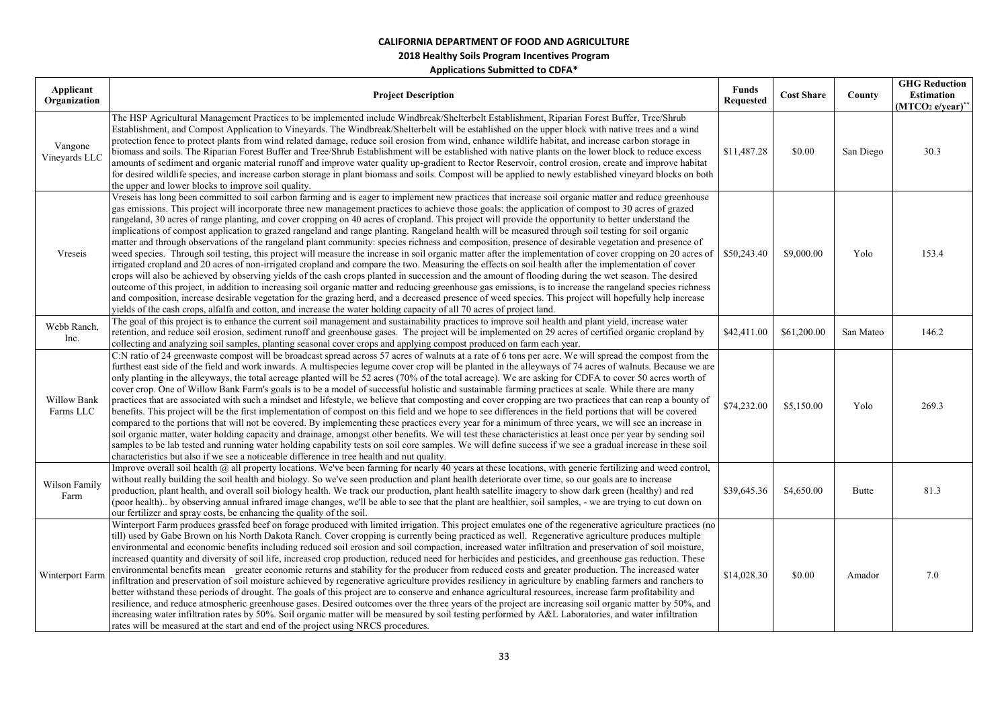| Applicant                |                                                                                                                                                                                                                                                                                                                                                                                                                                                                                                                                                                                                                                                                                                                                                                                                                                                                                                                                                                                                                                                                                                                                                                                                                                                                                                                                                                                                                                                                                                                                                                                                                                                                                                                                          |                                  |                   |           | <b>GHG Reduction</b> |
|--------------------------|------------------------------------------------------------------------------------------------------------------------------------------------------------------------------------------------------------------------------------------------------------------------------------------------------------------------------------------------------------------------------------------------------------------------------------------------------------------------------------------------------------------------------------------------------------------------------------------------------------------------------------------------------------------------------------------------------------------------------------------------------------------------------------------------------------------------------------------------------------------------------------------------------------------------------------------------------------------------------------------------------------------------------------------------------------------------------------------------------------------------------------------------------------------------------------------------------------------------------------------------------------------------------------------------------------------------------------------------------------------------------------------------------------------------------------------------------------------------------------------------------------------------------------------------------------------------------------------------------------------------------------------------------------------------------------------------------------------------------------------|----------------------------------|-------------------|-----------|----------------------|
| Organization             | <b>Project Description</b>                                                                                                                                                                                                                                                                                                                                                                                                                                                                                                                                                                                                                                                                                                                                                                                                                                                                                                                                                                                                                                                                                                                                                                                                                                                                                                                                                                                                                                                                                                                                                                                                                                                                                                               | <b>Funds</b><br><b>Requested</b> | <b>Cost Share</b> | County    | <b>Estimation</b>    |
|                          |                                                                                                                                                                                                                                                                                                                                                                                                                                                                                                                                                                                                                                                                                                                                                                                                                                                                                                                                                                                                                                                                                                                                                                                                                                                                                                                                                                                                                                                                                                                                                                                                                                                                                                                                          |                                  |                   |           | $(MTCO2 e/year)*$    |
| Vangone<br>Vineyards LLC | The HSP Agricultural Management Practices to be implemented include Windbreak/Shelterbelt Establishment, Riparian Forest Buffer, Tree/Shrub<br>Establishment, and Compost Application to Vineyards. The Windbreak/Shelterbelt will be established on the upper block with native trees and a wind<br>protection fence to protect plants from wind related damage, reduce soil erosion from wind, enhance wildlife habitat, and increase carbon storage in<br>biomass and soils. The Riparian Forest Buffer and Tree/Shrub Establishment will be established with native plants on the lower block to reduce excess<br>amounts of sediment and organic material runoff and improve water quality up-gradient to Rector Reservoir, control erosion, create and improve habitat<br>for desired wildlife species, and increase carbon storage in plant biomass and soils. Compost will be applied to newly established vineyard blocks on both<br>the upper and lower blocks to improve soil quality.                                                                                                                                                                                                                                                                                                                                                                                                                                                                                                                                                                                                                                                                                                                                        | \$11,487.28                      | \$0.00            | San Diego | 30.3                 |
| Vreseis                  | Vreseis has long been committed to soil carbon farming and is eager to implement new practices that increase soil organic matter and reduce greenhouse<br>gas emissions. This project will incorporate three new management practices to achieve those goals: the application of compost to 30 acres of grazed<br>rangeland, 30 acres of range planting, and cover cropping on 40 acres of cropland. This project will provide the opportunity to better understand the<br>implications of compost application to grazed rangeland and range planting. Rangeland health will be measured through soil testing for soil organic<br>matter and through observations of the rangeland plant community: species richness and composition, presence of desirable vegetation and presence of<br>weed species. Through soil testing, this project will measure the increase in soil organic matter after the implementation of cover cropping on 20 acres of \$50,243.40<br>irrigated cropland and 20 acres of non-irrigated cropland and compare the two. Measuring the effects on soil health after the implementation of cover<br>crops will also be achieved by observing yields of the cash crops planted in succession and the amount of flooding during the wet season. The desired<br>outcome of this project, in addition to increasing soil organic matter and reducing greenhouse gas emissions, is to increase the rangeland species richness<br>and composition, increase desirable vegetation for the grazing herd, and a decreased presence of weed species. This project will hopefully help increase<br>yields of the cash crops, alfalfa and cotton, and increase the water holding capacity of all 70 acres of project land. |                                  | \$9,000.00        | Yolo      | 153.4                |
| Webb Ranch,<br>Inc.      | The goal of this project is to enhance the current soil management and sustainability practices to improve soil health and plant yield, increase water<br>retention, and reduce soil erosion, sediment runoff and greenhouse gases. The project will be implemented on 29 acres of certified organic cropland by<br>collecting and analyzing soil samples, planting seasonal cover crops and applying compost produced on farm each year.                                                                                                                                                                                                                                                                                                                                                                                                                                                                                                                                                                                                                                                                                                                                                                                                                                                                                                                                                                                                                                                                                                                                                                                                                                                                                                | \$42,411.00                      | \$61,200.00       | San Mateo | 146.2                |
| Willow Bank<br>Farms LLC | C:N ratio of 24 greenwaste compost will be broadcast spread across 57 acres of walnuts at a rate of 6 tons per acre. We will spread the compost from the<br>furthest east side of the field and work inwards. A multispecies legume cover crop will be planted in the alleyways of 74 acres of walnuts. Because we are<br>only planting in the alleyways, the total acreage planted will be 52 acres (70% of the total acreage). We are asking for CDFA to cover 50 acres worth of<br>cover crop. One of Willow Bank Farm's goals is to be a model of successful holistic and sustainable farming practices at scale. While there are many<br>practices that are associated with such a mindset and lifestyle, we believe that composting and cover cropping are two practices that can reap a bounty of<br>benefits. This project will be the first implementation of compost on this field and we hope to see differences in the field portions that will be covered<br>compared to the portions that will not be covered. By implementing these practices every year for a minimum of three years, we will see an increase in<br>soil organic matter, water holding capacity and drainage, amongst other benefits. We will test these characteristics at least once per year by sending soil<br>samples to be lab tested and running water holding capability tests on soil core samples. We will define success if we see a gradual increase in these soil<br>characteristics but also if we see a noticeable difference in tree health and nut quality.                                                                                                                                                                             | \$74,232.00                      | \$5,150.00        | Yolo      | 269.3                |
| Wilson Family<br>Farm    | Improve overall soil health $@$ all property locations. We've been farming for nearly 40 years at these locations, with generic fertilizing and weed control,<br>without really building the soil health and biology. So we've seen production and plant health deteriorate over time, so our goals are to increase<br>production, plant health, and overall soil biology health. We track our production, plant health satellite imagery to show dark green (healthy) and red<br>(poor health) by observing annual infrared image changes, we'll be able to see that the plant are healthier, soil samples, - we are trying to cut down on<br>our fertilizer and spray costs, be enhancing the quality of the soil.                                                                                                                                                                                                                                                                                                                                                                                                                                                                                                                                                                                                                                                                                                                                                                                                                                                                                                                                                                                                                     | \$39,645.36                      | \$4,650.00        | Butte     | 81.3                 |
| Winterport Farm          | Winterport Farm produces grassfed beef on forage produced with limited irrigation. This project emulates one of the regenerative agriculture practices (no<br>till) used by Gabe Brown on his North Dakota Ranch. Cover cropping is currently being practiced as well. Regenerative agriculture produces multiple<br>environmental and economic benefits including reduced soil erosion and soil compaction, increased water infiltration and preservation of soil moisture,<br>increased quantity and diversity of soil life, increased crop production, reduced need for herbicides and pesticides, and greenhouse gas reduction. These<br>environmental benefits mean greater economic returns and stability for the producer from reduced costs and greater production. The increased water<br>infiltration and preservation of soil moisture achieved by regenerative agriculture provides resiliency in agriculture by enabling farmers and ranchers to<br>better withstand these periods of drought. The goals of this project are to conserve and enhance agricultural resources, increase farm profitability and<br>resilience, and reduce atmospheric greenhouse gases. Desired outcomes over the three years of the project are increasing soil organic matter by 50%, and<br>increasing water infiltration rates by 50%. Soil organic matter will be measured by soil testing performed by A&L Laboratories, and water infiltration<br>rates will be measured at the start and end of the project using NRCS procedures.                                                                                                                                                                                                     | \$14,028.30                      | \$0.00            | Amador    | 7.0                  |